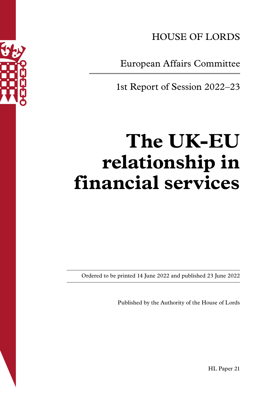

HOUSE OF LORDS

European Affairs Committee

1st Report of Session 2022–23

# **The UK-EU relationship in financial services**

Ordered to be printed 14 June 2022 and published 23 June 2022

Published by the Authority of the House of Lords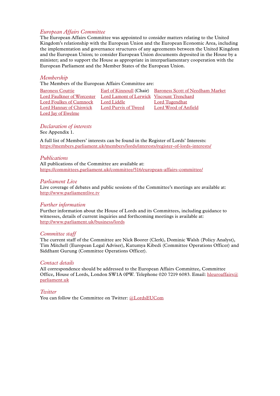# *European Affairs Committee*

The European Affairs Committee was appointed to consider matters relating to the United Kingdom's relationship with the European Union and the European Economic Area, including the implementation and governance structures of any agreements between the United Kingdom and the European Union; to consider European Union documents deposited in the House by a minister; and to support the House as appropriate in interparliamentary cooperation with the European Parliament and the Member States of the European Union.

# *Membership*

The Members of the European Affairs Committee are:

| <b>Baroness Couttie</b>                                              |                      | <b>Earl of Kinnoull (Chair)</b> Baroness Scott of Needham Market |
|----------------------------------------------------------------------|----------------------|------------------------------------------------------------------|
| Lord Faulkner of Worcester Lord Lamont of Lerwick Viscount Trenchard |                      |                                                                  |
| Lord Foulkes of Cumnock Lord Liddle                                  |                      | <b>Lord Tugendhat</b>                                            |
| <b>Lord Hannay of Chiswick</b>                                       | Lord Purvis of Tweed | <b>Lord Wood of Anfield</b>                                      |
| Lord Jay of Ewelme                                                   |                      |                                                                  |

*Declaration of interests* See Appendix 1.

A full list of Members' interests can be found in the Register of Lords' Interests: [https://members.parliament.uk/members/lords/interests/register-of-lords-interests/](https://members.parliament.uk/members/lords/interests/register-of-lords-interests)

#### *Publications*

All publications of the Committee are available at: <https://committees.parliament.uk/committee/516/european-affairs-committee/>

#### *Parliament Live*

Live coverage of debates and public sessions of the Committee's meetings are available at: <http://www.parliamentlive.tv>

#### *Further information*

Further information about the House of Lords and its Committees, including guidance to witnesses, details of current inquiries and forthcoming meetings is available at: <http://www.parliament.uk/business/lords>

# *Committee staff*

The current staff of the Committee are Nick Boorer (Clerk), Dominic Walsh (Policy Analyst), Tim Mitchell (European Legal Adviser), Kutumya Kibedi (Committee Operations Officer) and Siddhant Gurung (Committee Operations Officer).

#### *Contact details*

All correspondence should be addressed to the European Affairs Committee, Committee Office, House of Lords, London SW1A 0PW. Telephone 020 7219 6083. Email: [hleuroaffairs@](mailto:hleuroaffairs@parliament.uk) [parliament.uk](mailto:hleuroaffairs@parliament.uk)

*Twitter*

You can follow the Committee on Twitter: [@LordsEUCom](https://twitter.com/LordsEUCom)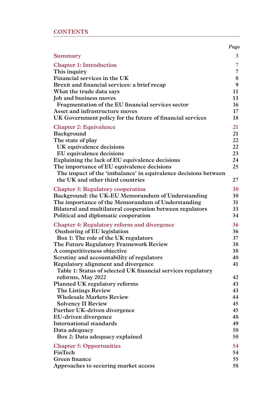|  |  |  | <b>CONTENTS</b> |
|--|--|--|-----------------|
|  |  |  |                 |

|                                                                | Page           |
|----------------------------------------------------------------|----------------|
| Summary                                                        | 3              |
| <b>Chapter 1: Introduction</b>                                 | $\overline{7}$ |
| This inquiry                                                   | 7              |
| Financial services in the UK                                   | 8              |
| Brexit and financial services: a brief recap                   | 9              |
| What the trade data says                                       | 11             |
| Job and business moves                                         | 13             |
| Fragmentation of the EU financial services sector              | 16             |
| Asset and infrastructure moves                                 | $17 \,$        |
| UK Government policy for the future of financial services      | 18             |
| <b>Chapter 2: Equivalence</b>                                  | 21             |
| Background                                                     | 21             |
| The state of play                                              | 22             |
| UK equivalence decisions                                       | 22             |
| EU equivalence decisions                                       | 23             |
| Explaining the lack of EU equivalence decisions                | 24             |
| The importance of EU equivalence decisions                     | 25             |
| The impact of the 'imbalance' in equivalence decisions between |                |
| the UK and other third countries                               | 27             |
| <b>Chapter 3: Regulatory cooperation</b>                       | 30             |
| Background: the UK-EU Memorandum of Understanding              | 30             |
| The importance of the Memorandum of Understanding              | 31             |
| Bilateral and multilateral cooperation between regulators      | 33             |
| Political and diplomatic cooperation                           | 34             |
| <b>Chapter 4: Regulatory reform and divergence</b>             | 36             |
| Onshoring of EU legislation                                    | 36             |
| Box 1: The role of the UK regulators                           | 37             |
| The Future Regulatory Framework Review                         | 38             |
| A competitiveness objective                                    | 38             |
| Scrutiny and accountability of regulators                      | 40             |
| Regulatory alignment and divergence                            | 41             |
| Table 1: Status of selected UK financial services regulatory   |                |
| reforms, May 2022                                              | 42             |
| <b>Planned UK regulatory reforms</b>                           | 43             |
| The Listings Review                                            | 43             |
| <b>Wholesale Markets Review</b>                                | 44             |
| <b>Solvency II Review</b>                                      | 45             |
| Further UK-driven divergence                                   | 45             |
| EU-driven divergence                                           | 48             |
| <b>International standards</b>                                 | 49             |
| Data adequacy                                                  | 50             |
| Box 2: Data adequacy explained                                 | 50             |
| <b>Chapter 5: Opportunities</b>                                | 54             |
| FinTech                                                        | 54             |
| Green finance                                                  | 55             |
| Approaches to securing market access                           | 58             |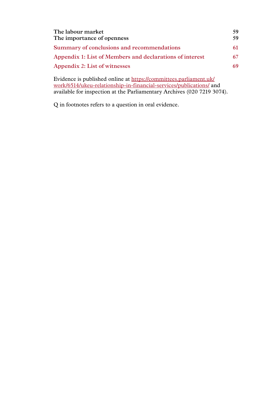| The labour market                                        | 59 |
|----------------------------------------------------------|----|
| The importance of openness                               | 59 |
| Summary of conclusions and recommendations               | 61 |
| Appendix 1: List of Members and declarations of interest |    |
| Appendix 2: List of witnesses                            |    |
|                                                          |    |

Evidence is published online at [https://committees.parliament.uk/](https://committees.parliament.uk/work/6514/ukeu-relationship-in-financial-services/publications/) [work/6514/ukeu-relationship-in-financial-services/publications/](https://committees.parliament.uk/work/6514/ukeu-relationship-in-financial-services/publications/) and available for inspection at the Parliamentary Archives (020 7219 3074).

Q in footnotes refers to a question in oral evidence.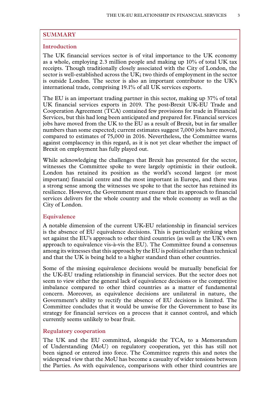# <span id="page-4-0"></span>**SUMMARY**

# **Introduction**

The UK financial services sector is of vital importance to the UK economy as a whole, employing 2.3 million people and making up 10% of total UK tax receipts. Though traditionally closely associated with the City of London, the sector is well-established across the UK; two thirds of employment in the sector is outside London. The sector is also an important contributor to the UK's international trade, comprising 19.1% of all UK services exports.

The EU is an important trading partner in this sector, making up 37% of total UK financial services exports in 2019. The post-Brexit UK-EU Trade and Cooperation Agreement (TCA) contained few provisions for trade in Financial Services, but this had long been anticipated and prepared for. Financial services jobs have moved from the UK to the EU as a result of Brexit, but in far smaller numbers than some expected; current estimates suggest 7,000 jobs have moved, compared to estimates of 75,000 in 2016. Nevertheless, the Committee warns against complacency in this regard, as it is not yet clear whether the impact of Brexit on employment has fully played out.

While acknowledging the challenges that Brexit has presented for the sector, witnesses the Committee spoke to were largely optimistic in their outlook. London has retained its position as the world's second largest (or most important) financial centre and the most important in Europe, and there was a strong sense among the witnesses we spoke to that the sector has retained its resilience. However, the Government must ensure that its approach to financial services delivers for the whole country and the whole economy as well as the City of London.

# **Equivalence**

A notable dimension of the current UK-EU relationship in financial services is the absence of EU equivalence decisions. This is particularly striking when set against the EU's approach to other third countries (as well as the UK's own approach to equivalence vis-à-vis the EU). The Committee found a consensus among its witnesses that this approach by the EU is political rather than technical and that the UK is being held to a higher standard than other countries.

Some of the missing equivalence decisions would be mutually beneficial for the UK-EU trading relationship in financial services. But the sector does not seem to view either the general lack of equivalence decisions or the competitive imbalance compared to other third countries as a matter of fundamental concern. Moreover, as equivalence decisions are unilateral in nature, the Government's ability to rectify the absence of EU decisions is limited. The Committee concludes that it would be unwise for the Government to base its strategy for financial services on a process that it cannot control, and which currently seems unlikely to bear fruit.

# **Regulatory cooperation**

The UK and the EU committed, alongside the TCA, to a Memorandum of Understanding (MoU) on regulatory cooperation, yet this has still not been signed or entered into force. The Committee regrets this and notes the widespread view that the MoU has become a casualty of wider tensions between the Parties. As with equivalence, comparisons with other third countries are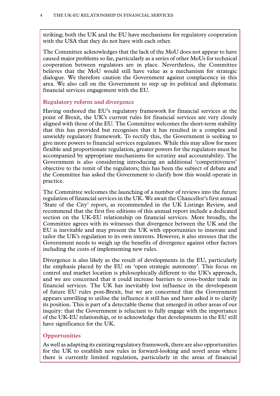striking; both the UK and the EU have mechanisms for regulatory cooperation with the USA that they do not have with each other.

The Committee acknowledges that the lack of the MoU does not appear to have caused major problems so far, particularly as a series of other MoUs for technical cooperation between regulators are in place. Nevertheless, the Committee believes that the MoU would still have value as a mechanism for strategic dialogue. We therefore caution the Government against complacency in this area. We also call on the Government to step up its political and diplomatic financial services engagement with the EU.

# **Regulatory reform and divergence**

Having onshored the EU's regulatory framework for financial services at the point of Brexit, the UK's current rules for financial services are very closely aligned with those of the EU. The Committee welcomes the short-term stability that this has provided but recognises that it has resulted in a complex and unwieldy regulatory framework. To rectify this, the Government is seeking to give more powers to financial services regulators. While this may allow for more flexible and proportionate regulation, greater powers for the regulators must be accompanied by appropriate mechanisms for scrutiny and accountability. The Government is also considering introducing an additional 'competitiveness' objective to the remit of the regulators; this has been the subject of debate and the Committee has asked the Government to clarify how this would operate in practice.

The Committee welcomes the launching of a number of reviews into the future regulation of financial services in the UK. We await the Chancellor's first annual 'State of the City' report, as recommended in the UK Listings Review, and recommend that the first five editions of this annual report include a dedicated section on the UK-EU relationship on financial services. More broadly, the Committee agrees with its witnesses that divergence between the UK and the EU is inevitable and may present the UK with opportunities to innovate and tailor the UK's regulation to its own interests. However, it also stresses that the Government needs to weigh up the benefits of divergence against other factors including the costs of implementing new rules.

Divergence is also likely as the result of developments in the EU, particularly the emphasis placed by the EU on 'open strategic autonomy'. This focus on control and market location is philosophically different to the UK's approach, and we are concerned that it could increase barriers to cross-border trade in financial services. The UK has inevitably lost influence in the development of future EU rules post-Brexit, but we are concerned that the Government appears unwilling to utilise the influence it still has and have asked it to clarify its position. This is part of a detectable theme that emerged in other areas of our inquiry: that the Government is reluctant to fully engage with the importance of the UK-EU relationship, or to acknowledge that developments in the EU still have significance for the UK.

# **Opportunities**

As well as adapting its existing regulatory framework, there are also opportunities for the UK to establish new rules in forward-looking and novel areas where there is currently limited regulation, particularly in the areas of financial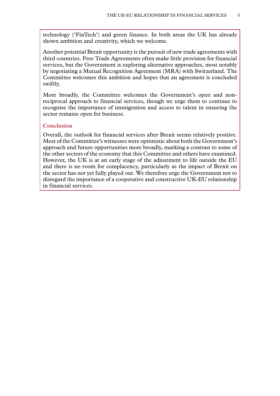technology ('FinTech') and green finance. In both areas the UK has already shown ambition and creativity, which we welcome.

Another potential Brexit opportunity is the pursuit of new trade agreements with third countries. Free Trade Agreements often make little provision for financial services, but the Government is exploring alternative approaches, most notably by negotiating a Mutual Recognition Agreement (MRA) with Switzerland. The Committee welcomes this ambition and hopes that an agreement is concluded swiftly.

More broadly, the Committee welcomes the Government's open and nonreciprocal approach to financial services, though we urge them to continue to recognise the importance of immigration and access to talent in ensuring the sector remains open for business.

# **Conclusion**

Overall, the outlook for financial services after Brexit seems relatively positive. Most of the Committee's witnesses were optimistic about both the Government's approach and future opportunities more broadly, marking a contrast to some of the other sectors of the economy that this Committee and others have examined. However, the UK is at an early stage of the adjustment to life outside the EU and there is no room for complacency, particularly as the impact of Brexit on the sector has not yet fully played out. We therefore urge the Government not to disregard the importance of a cooperative and constructive UK-EU relationship in financial services.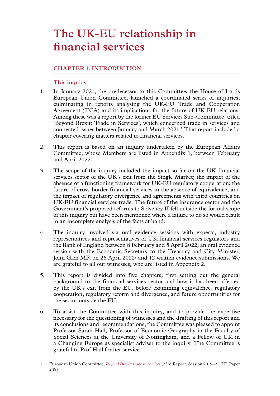# <span id="page-8-0"></span>**The UK-EU relationship in financial services**

# **Chapter 1: INTRODUCTION**

# **This inquiry**

- 1. In January 2021, the predecessor to this Committee, the House of Lords European Union Committee, launched a coordinated series of inquiries, culminating in reports analysing the UK-EU Trade and Cooperation Agreement (TCA) and its implications for the future of UK-EU relations. Among these was a report by the former EU Services Sub-Committee, titled 'Beyond Brexit: Trade in Services', which concerned trade in services and connected issues between January and March 2021.1 That report included a chapter covering matters related to financial services.
- 2. This report is based on an inquiry undertaken by the European Affairs Committee, whose Members are listed in Appendix 1, between February and April 2022.
- 3. The scope of the inquiry included the impact so far on the UK financial services sector of the UK's exit from the Single Market; the impact of the absence of a functioning framework for UK-EU regulatory cooperation; the future of cross-border financial services in the absence of equivalence; and the impact of regulatory divergence and agreements with third countries on UK-EU financial services trade. The future of the insurance sector and the Government's proposed reforms to Solvency II fell outside the formal scope of this inquiry but have been mentioned where a failure to do so would result in an incomplete analysis of the facts at hand.
- 4. The inquiry involved six oral evidence sessions with experts, industry representatives and representatives of UK financial services regulators and the Bank of England between 8 February and 5 April 2022; an oral evidence session with the Economic Secretary to the Treasury and City Minister, John Glen MP, on 26 April 2022; and 12 written evidence submissions. We are grateful to all our witnesses, who are listed in Appendix 2.
- 5. This report is divided into five chapters, first setting out the general background to the financial services sector and how it has been affected by the UK's exit from the EU, before examining equivalence, regulatory cooperation, regulatory reform and divergence, and future opportunities for the sector outside the EU.
- 6. To assist the Committee with this inquiry, and to provide the expertise necessary for the questioning of witnesses and the drafting of this report and its conclusions and recommendations, the Committee was pleased to appoint Professor Sarah Hall, Professor of Economic Geography in the Faculty of Social Sciences at the University of Nottingham, and a Fellow of UK in a Changing Europe as specialist adviser to the inquiry. The Committee is grateful to Prof Hall for her service.

<sup>1</sup> European Union Committee, *[Beyond Brexit: trade in services](https://publications.parliament.uk/pa/ld5801/ldselect/ldeucom/248/248.pdf)* (23rd Report, Session 2019–21, HL Paper 248)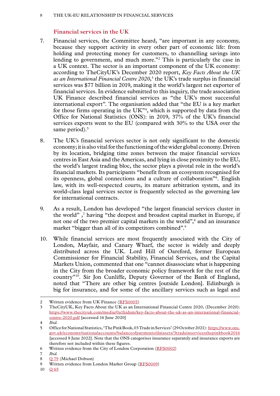### <span id="page-9-0"></span>8 The UK-EU relationship in financial services

# **Financial services in the UK**

- 7. Financial services, the Committee heard, "are important in any economy, because they support activity in every other part of economic life: from holding and protecting money for customers, to channelling savings into lending to government, and much more."<sup>2</sup> This is particularly the case in a UK context. The sector is an important component of the UK economy: according to TheCityUK's December 2020 report, *Key Facts About the UK*  as an International Financial Centre 2020,<sup>3</sup> the UK's trade surplus in financial services was \$77 billion in 2019, making it the world's largest net exporter of financial services. In evidence submitted to this inquiry, the trade association UK Finance described financial services as "the UK's most successful international export". The organisation added that "the EU is a key market for those firms operating in the  $UK^{\prime\prime}$ <sup>4</sup>, which is supported by data from the Office for National Statistics (ONS): in 2019, 37% of the UK's financial services exports went to the EU (compared with 30% to the USA over the same period).<sup>5</sup>
- 8. The UK's financial services sector is not only significant to the domestic economy; it is also vital for the functioning of the wider global economy. Driven by its location, bridging time zones between the major financial services centres in East Asia and the Americas, and lying in close proximity to the EU, the world's largest trading bloc, the sector plays a pivotal role in the world's financial markets. Its participants "benefit from an ecosystem recognised for its openness, global connections and a culture of collaboration"6 . English law, with its well-respected courts, its mature arbitration system, and its world-class legal services sector is frequently selected as the governing law for international contracts.
- 9. As a result, London has developed "the largest financial services cluster in the world",<sup>7</sup> having "the deepest and broadest capital market in Europe, if not one of the two premier capital markets in the world",<sup>8</sup> and an insurance market "bigger than all of its competitors combined".<sup>9</sup>
- 10. While financial services are most frequently associated with the City of London, Mayfair, and Canary Wharf, the sector is widely and deeply distributed across the UK. Lord Hill of Oareford, former European Commissioner for Financial Stability, Financial Services, and the Capital Markets Union, commented that one "cannot disassociate what is happening in the City from the broader economic policy framework for the rest of the country"10. Sir Jon Cunliffe, Deputy Governor of the Bank of England, noted that "There are other big centres [outside London]. Edinburgh is big for insurance, and for some of the ancillary services such as legal and

<sup>2</sup> Written evidence from UK Finance ([RFS0005\)](https://committees.parliament.uk/writtenevidence/108478/html/)

<sup>3</sup> TheCityUK, Key Facts About the UK as an International Financial Centre 2020, (December 2020): [https://www.thecityuk.com/media/0a1hidsm/key-facts-about-the-uk-as-an-international-financial](https://www.thecityuk.com/media/0a1hidsm/key-facts-about-the-uk-as-an-international-financial-centre-2020.pdf)[centre-2020.pdf](https://www.thecityuk.com/media/0a1hidsm/key-facts-about-the-uk-as-an-international-financial-centre-2020.pdf) [accessed 16 June 2020]

<sup>4</sup> *Ibid.*

<sup>5</sup> Office for National Statistics, 'The Pink Book, 03 Trade in Services' (29 October 2021): [https://www.ons.](https://www.ons.gov.uk/economy/nationalaccounts/balanceofpayments/datasets/3tradeinservicesthepinkbook2016) [gov.uk/economy/nationalaccounts/balanceofpayments/datasets/3tradeinservicesthepinkbook2016](https://www.ons.gov.uk/economy/nationalaccounts/balanceofpayments/datasets/3tradeinservicesthepinkbook2016) [accessed 8 June 2022]. Note that the ONS categorises insurance separately and insurance exports are therefore not included within these figures.

<sup>6</sup> Written evidence from the City of London Corporation ([RFS0002\)](https://committees.parliament.uk/writtenevidence/107600/html/)

<sup>7</sup> *Ibid.*

<sup>8</sup> O [79](https://committees.parliament.uk/oralevidence/10097/html/) (Michael Dobson)

<sup>9</sup> Written evidence from London Market Group ([RFS0009](https://committees.parliament.uk/writtenevidence/108486/html/))

<sup>10</sup> Q [65](https://committees.parliament.uk/oralevidence/10060/html/)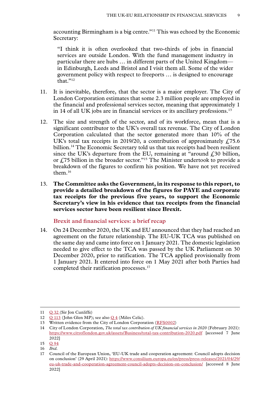<span id="page-10-0"></span>accounting Birmingham is a big centre."11 This was echoed by the Economic Secretary:

"I think it is often overlooked that two-thirds of jobs in financial services are outside London. With the fund management industry in particular there are hubs … in different parts of the United Kingdom in Edinburgh, Leeds and Bristol and I visit them all. Some of the wider government policy with respect to freeports … is designed to encourage that<sup>"12</sup>

- 11. It is inevitable, therefore, that the sector is a major employer. The City of London Corporation estimates that some 2.3 million people are employed in the financial and professional services sector, meaning that approximately 1 in 14 of all UK jobs are in financial services or its ancillary professions.<sup>13</sup>
- 12. The size and strength of the sector, and of its workforce, mean that is a significant contributor to the UK's overall tax revenue. The City of London Corporation calculated that the sector generated more than 10% of the UK's total tax receipts in 2019/20, a contribution of approximately  $f<sub>1</sub>75.6$ billion.<sup>14</sup> The Economic Secretary told us that tax receipts had been resilient since the UK's departure from the EU, remaining at "around  $f<sub>i</sub>$ 30 billion, or  $£75$  billion in the broader sector."<sup>15</sup> The Minister undertook to provide a breakdown of the figures to confirm his position. We have not yet received them.<sup>16</sup>
- 13. **The Committee asks the Government, in its response to this report, to provide a detailed breakdown of the figures for PAYE and corporate tax receipts for the previous five years, to support the Economic Secretary's view in his evidence that tax receipts from the financial services sector have been resilient since Brexit.**

# **Brexit and financial services: a brief recap**

14. On 24 December 2020, the UK and EU announced that they had reached an agreement on the future relationship. The EU-UK TCA was published on the same day and came into force on 1 January 2021. The domestic legislation needed to give effect to the TCA was passed by the UK Parliament on 30 December 2020, prior to ratification. The TCA applied provisionally from 1 January 2021. It entered into force on 1 May 2021 after both Parties had completed their ratification processes.<sup>17</sup>

<sup>11</sup> Q [32](https://committees.parliament.uk/oralevidence/9903/html/) (Sir Jon Cunliffe)

<sup>12</sup>  $Q$  [113](https://committees.parliament.uk/oralevidence/10188/html/) (John Glen MP); see also  $Q$  4 (Miles Celic).

<sup>13</sup> Written evidence from the City of London Corporation ([RFS0002\)](https://committees.parliament.uk/writtenevidence/107600/html/)

<sup>14</sup> City of London Corporation, *The total tax contribution of UK financial services in 2020* (February 2021): <https://www.cityoflondon.gov.uk/assets/Business/total-tax-contribution-2020.pdf> [accessed 7 June 2022]

<sup>15</sup> Q [94](https://committees.parliament.uk/oralevidence/10188/html/)

<sup>16</sup> *Ibid.*

<sup>17</sup> Council of the European Union, 'EU-UK trade and cooperation agreement: Council adopts decision on conclusion' (29 April 2021): [https://www.consilium.europa.eu/en/press/press-releases/2021/04/29/](https://www.consilium.europa.eu/en/press/press-releases/2021/04/29/eu-uk-trade-and-cooperation-agreement-council-adopts-decision-on-conclusion/) [eu-uk-trade-and-cooperation-agreement-council-adopts-decision-on-conclusion/](https://www.consilium.europa.eu/en/press/press-releases/2021/04/29/eu-uk-trade-and-cooperation-agreement-council-adopts-decision-on-conclusion/) [accessed 8 June 2022]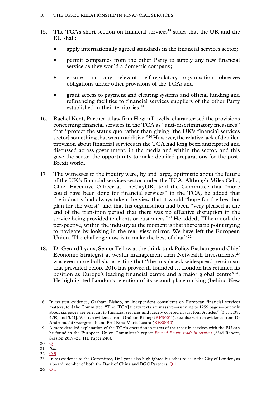- 15. The TCA's short section on financial services<sup>18</sup> states that the UK and the EU shall:
	- apply internationally agreed standards in the financial services sector;
	- permit companies from the other Party to supply any new financial service as they would a domestic company;
	- ensure that any relevant self-regulatory organisation observes obligations under other provisions of the TCA; and
	- grant access to payment and clearing systems and official funding and refinancing facilities to financial services suppliers of the other Party established in their territories.<sup>19</sup>
- 16. Rachel Kent, Partner at law firm Hogan Lovells, characterised the provisions concerning financial services in the TCA as "anti-discriminatory measures" that "protect the status quo rather than giving [the UK's financial services sector] something that was an additive."<sup>20</sup> However, the relative lack of detailed provision about financial services in the TCA had long been anticipated and discussed across government, in the media and within the sector, and this gave the sector the opportunity to make detailed preparations for the post-Brexit world.
- 17. The witnesses to the inquiry were, by and large, optimistic about the future of the UK's financial services sector under the TCA. Although Miles Celic, Chief Executive Officer at TheCityUK, told the Committee that "more could have been done for financial services" in the TCA, he added that the industry had always taken the view that it would "hope for the best but plan for the worst" and that his organisation had been "very pleased at the end of the transition period that there was no effective disruption in the service being provided to clients or customers."<sup>21</sup> He added, "The mood, the perspective, within the industry at the moment is that there is no point trying to navigate by looking in the rear-view mirror. We have left the European Union. The challenge now is to make the best of that".<sup>22</sup>
- 18. Dr Gerard Lyons, Senior Fellow at the think-tank Policy Exchange and Chief Economic Strategist at wealth management firm Netwealth Investments,23 was even more bullish, asserting that "the misplaced, widespread pessimism that prevailed before 2016 has proved ill-founded … London has retained its position as Europe's leading financial centre and a major global centre"24. He highlighted London's retention of its second-place ranking (behind New

<sup>18</sup> In written evidence, Graham Bishop, an independent consultant on European financial services matters, told the Committee: "The [TCA] treaty texts are massive—running to 1259 pages—but only about six pages are relevant to financial services and largely covered in just four Articles" [3.5, 5.38, 5.39, and 5.41]. Written evidence from Graham Bishop ([RFS0011](https://committees.parliament.uk/writtenevidence/108490/html/)); see also written evidence from Dr Andromachi Georgosouli and Prof Rosa Maria Lastra ([RFS0010\)](https://committees.parliament.uk/writtenevidence/108489/html/).

<sup>19</sup> A more detailed explanation of the TCA's operation in terms of the trade in services with the EU can be found in the European Union Committee's report *Beyond Brexit: trade in services* (23rd Report, Session 2019–21, HL Paper 248).

<sup>20</sup> **[Q](https://committees.parliament.uk/oralevidence/3446/html/)** 1

 $\frac{20}{21}$  *Ibid.* 

<sup>22</sup>  $\bigcap$  9

<sup>23</sup> In his evidence to the Committee, Dr Lyons also highlighted his other roles in the City of London, as a board member of both the Bank of China and BGC Partners. [Q](https://committees.parliament.uk/oralevidence/3446/html/) 1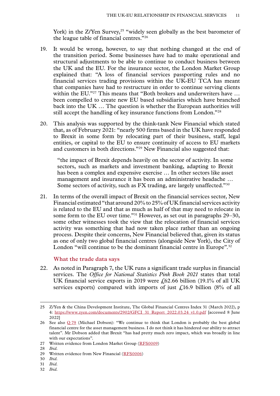<span id="page-12-0"></span>York) in the Z/Yen Survey,<sup>25</sup> "widely seen globally as the best barometer of the league table of financial centres."26

- 19. It would be wrong, however, to say that nothing changed at the end of the transition period. Some businesses have had to make operational and structural adjustments to be able to continue to conduct business between the UK and the EU. For the insurance sector, the London Market Group explained that: "A loss of financial services passporting rules and no financial services trading provisions within the UK-EU TCA has meant that companies have had to restructure in order to continue serving clients within the EU."<sup>27</sup> This means that "Both brokers and underwriters have ... been compelled to create new EU based subsidiaries which have branched back into the UK … The question is whether the European authorities will still accept the handling of key insurance functions from London."28
- 20. This analysis was supported by the think-tank New Financial which stated that, as of February 2021: "nearly 500 firms based in the UK have responded to Brexit in some form by relocating part of their business, staff, legal entities, or capital to the EU to ensure continuity of access to EU markets and customers in both directions."29 New Financial also suggested that:

"the impact of Brexit depends heavily on the sector of activity. In some sectors, such as markets and investment banking, adapting to Brexit has been a complex and expensive exercise … In other sectors like asset management and insurance it has been an administrative headache … Some sectors of activity, such as FX trading, are largely unaffected."30

21. In terms of the overall impact of Brexit on the financial services sector, New Financial estimated "that around 20% to 25% of UK financial services activity is related to the EU and that as much as half of that may need to relocate in some form to the EU over time."<sup>31</sup> However, as set out in paragraphs 29–30, some other witnesses took the view that the relocation of financial services activity was something that had now taken place rather than an ongoing process. Despite their concerns, New Financial believed that, given its status as one of only two global financial centres (alongside New York), the City of London "will continue to be the dominant financial centre in Europe".<sup>32</sup>

# **What the trade data says**

22. As noted in Paragraph 7, the UK runs a significant trade surplus in financial services. The *Office for National Statistics Pink Book 2021* states that total UK financial service exports in 2019 were  $\ell$  62.66 billion (19.1% of all UK services exports) compared with imports of just  $\mathcal{L}16.9$  billion (8% of all

32 *Ibid.*

<sup>25</sup> Z/Yen & the China Development Institute, The Global Financial Centres Index 31 (March 2022), p 4: [https://www.zyen.com/documents/2902/GFCI\\_31\\_Report\\_2022.03.24\\_v1.0.pdf](https://www.zyen.com/documents/2902/GFCI_31_Report_2022.03.24_v1.0.pdf) [accessed 8 June 2022]

<sup>26</sup> See also Q [79](https://committees.parliament.uk/oralevidence/10097/html/) (Michael Dobson): "We continue to think that London is probably the best global financial centre for the asset management business. I do not think it has hindered our ability to attract talent". Mr Dobson added that Brexit "has had pretty much zero impact, which was broadly in line with our expectations".

<sup>27</sup> Written evidence from London Market Group ([RFS0009](https://committees.parliament.uk/writtenevidence/108486/html/))

<sup>28</sup> *Ibid.*

<sup>29</sup> Written evidence from New Financial [\(RFS0006\)](https://committees.parliament.uk/writtenevidence/108480/html/)

<sup>30</sup> *Ibid.*

<sup>31</sup> *Ibid.*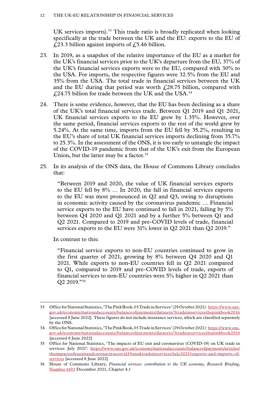UK services imports).<sup>33</sup> This trade ratio is broadly replicated when looking specifically at the trade between the UK and the EU: exports to the EU of  $\angle$  £23.3 billion against imports of £5.46 billion.

- 23. In 2019, as a snapshot of the relative importance of the EU as a market for the UK's financial services prior to the UK's departure from the EU, 37% of the UK's financial services exports were to the EU, compared with 30% to the USA. For imports, the respective figures were 32.5% from the EU and 35% from the USA. The total trade in financial services between the UK and the EU during that period was worth  $f(28.75)$  billion, compared with  $\frac{24.75}{1.24.75}$  billion for trade between the UK and the USA.<sup>34</sup>
- 24. There is some evidence, however, that the EU has been declining as a share of the UK's total financial services trade. Between Q1 2019 and Q1 2021, UK financial services exports to the EU grew by 1.35%. However, over the same period, financial services exports to the rest of the world grew by 5.24%. At the same time, imports from the EU fell by 35.2%, resulting in the EU's share of total UK financial services imports declining from 35.7% to 25.3%. In the assessment of the ONS, it is too early to untangle the impact of the COVID-19 pandemic from that of the UK's exit from the European Union, but the latter may be a factor.<sup>35</sup>
- 25. In its analysis of the ONS data, the House of Commons Library concludes that:

"Between 2019 and 2020, the value of UK financial services exports to the EU fell by 8% … In 2020, the fall in financial services exports to the EU was most pronounced in Q2 and Q3, owing to disruptions in economic activity caused by the coronavirus pandemic … Financial service exports to the EU have continued to fall in 2021, falling by 5% between Q4 2020 and Q1 2021 and by a further 5% between Q1 and Q2 2021. Compared to 2019 and pre-COVID levels of trade, financial services exports to the EU were 31% lower in Q2 2021 than Q2 2019."

In contrast to this:

"Financial service exports to non-EU countries continued to grow in the first quarter of 2021, growing by 8% between Q4 2020 and Q1 2021. While exports to non-EU countries fell in Q2 2021 compared to Q1, compared to 2019 and pre-COVID levels of trade, exports of financial services to non-EU countries were 5% higher in Q2 2021 than Q2 2019."36

<sup>33</sup> Office for National Statistics, 'The Pink Book, 03 Trade in Services' (29 October 2021): [https://www.ons.](https://www.ons.gov.uk/economy/nationalaccounts/balanceofpayments/datasets/3tradeinservicesthepinkbook2016) [gov.uk/economy/nationalaccounts/balanceofpayments/datasets/3tradeinservicesthepinkbook2016](https://www.ons.gov.uk/economy/nationalaccounts/balanceofpayments/datasets/3tradeinservicesthepinkbook2016) [accessed 8 June 2022]. These figures do not include insurance services, which are classified separately by the ONS.

<sup>34</sup> Office for National Statistics, 'The Pink Book, 03 Trade in Services' (29 October 2021): [https://www.ons.](https://www.ons.gov.uk/economy/nationalaccounts/balanceofpayments/datasets/3tradeinservicesthepinkbook2016) [gov.uk/economy/nationalaccounts/balanceofpayments/datasets/3tradeinservicesthepinkbook2016](https://www.ons.gov.uk/economy/nationalaccounts/balanceofpayments/datasets/3tradeinservicesthepinkbook2016) [accessed 8 June 2022]

<sup>35</sup> Office for National Statistics, 'The impacts of EU exit and coronavirus (COVID-19) on UK trade in services: July 2021': https://www.ons.gov.uk/economy/nationalaccounts/balanceofpayments/articles/ theimpactsofeuexitandcoronaviruscovid19onuktradeinservices/july2021#exports-and-imports-ofservices [accessed 8 June 2022]

<sup>36</sup> House of Commons Library, *Financial services: contribution to the UK economy, Research Briefing*, [Number 6193](https://researchbriefings.files.parliament.uk/documents/SN06193/SN06193.pdf) December 2021, Chapter 4.1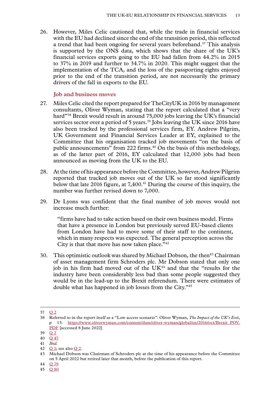<span id="page-14-0"></span>26. However, Miles Celic cautioned that, while the trade in financial services with the EU had declined since the end of the transition period, this reflected a trend that had been ongoing for several years beforehand.<sup>37</sup> This analysis is supported by the ONS data, which shows that the share of the UK's financial services exports going to the EU had fallen from 44.2% in 2015 to 37% in 2019 and further to 34.7% in 2020. This might suggest that the implementation of the TCA, and the loss of the passporting rights enjoyed prior to the end of the transition period, are not necessarily the primary drivers of the fall in exports to the EU.

# **Job and business moves**

- 27. Miles Celic cited the report prepared for TheCityUK in 2016 by management consultants, Oliver Wyman, stating that the report calculated that a "very hard"38 Brexit would result in around 75,000 jobs leaving the UK's financial services sector over a period of 5 years.<sup>39</sup> Jobs leaving the UK since 2016 have also been tracked by the professional services firm, EY. Andrew Pilgrim, UK Government and Financial Services Leader at EY, explained to the Committee that his organisation tracked job movements "on the basis of public announcements" from 222 firms.<sup>40</sup> On the basis of this methodology, as of the latter part of 2016, EY calculated that 12,000 jobs had been announced as moving from the UK to the EU.
- 28. At the time of his appearance before the Committee, however, Andrew Pilgrim reported that tracked job moves out of the UK so far stood significantly below that late 2016 figure, at 7,400.<sup>41</sup> During the course of this inquiry, the number was further revised down to 7,000.
- 29. Dr Lyons was confident that the final number of job moves would not increase much further:

"firms have had to take action based on their own business model. Firms that have a presence in London but previously served EU-based clients from London have had to move some of their staff to the continent, which in many respects was expected. The general perception across the City is that that move has now taken place."<sup>42</sup>

30. This optimistic outlook was shared by Michael Dobson, the then<sup>43</sup> Chairman of asset management firm Schroders plc. Mr Dobson stated that only one job in his firm had moved out of the UK<sup>44</sup> and that the "results for the industry have been considerably less bad than some people suggested they would be in the lead-up to the Brexit referendum. There were estimates of double what has happened in job losses from the City."45

<sup>37</sup> [Q](https://committees.parliament.uk/oralevidence/3446/html/) 2

<sup>38</sup> Referred to in the report itself as a "Low access scenario": Oliver Wyman, *The Impact of the UK's Exit*, p 13: [https://www.oliverwyman.com/content/dam/oliver-wyman/global/en/2016/oct/Brexit\\_POV.](https://www.oliverwyman.com/content/dam/oliver-wyman/global/en/2016/oct/Brexit_POV.PDF) [PDF](https://www.oliverwyman.com/content/dam/oliver-wyman/global/en/2016/oct/Brexit_POV.PDF) [accessed 8 June 2022]

<sup>39</sup> [Q](https://committees.parliament.uk/oralevidence/3446/html/) 2

<sup>40</sup> Q [47](https://committees.parliament.uk/oralevidence/9980/html/)

<sup>41</sup> *Ibid.*

 $\overline{Q}$  $\overline{Q}$  $\overline{Q}$  1; see also  $\overline{Q}$  2.

<sup>43</sup> Michael Dobson was Chairman of Schroders plc at the time of his appearance before the Committee on 5 April 2022 but retired later that month, before the publication of this report.

<sup>44</sup> Q [79](https://committees.parliament.uk/oralevidence/10097/html/)

<sup>45</sup> Q [80](https://committees.parliament.uk/oralevidence/10097/html/)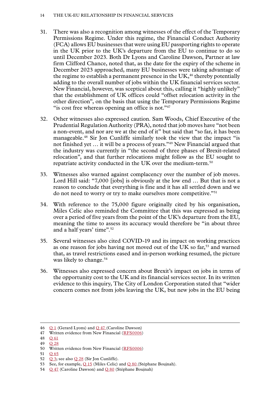### 14 The UK-EU relationship in financial services

- 31. There was also a recognition among witnesses of the effect of the Temporary Permissions Regime. Under this regime, the Financial Conduct Authority (FCA) allows EU businesses that were using EU passporting rights to operate in the UK prior to the UK's departure from the EU to continue to do so until December 2023. Both Dr Lyons and Caroline Dawson, Partner at law firm Clifford Chance, noted that, as the date for the expiry of the scheme in December 2023 approached, many EU businesses were taking advantage of the regime to establish a permanent presence in the  $UK<sub>146</sub>$  thereby potentially adding to the overall number of jobs within the UK financial services sector. New Financial, however, was sceptical about this, calling it "highly unlikely" that the establishment of UK offices could "offset relocation activity in the other direction", on the basis that using the Temporary Permissions Regime "is cost free whereas opening an office is not."<sup>47</sup>
- 32. Other witnesses also expressed caution. Sam Woods, Chief Executive of the Prudential Regulation Authority (PRA), noted that job moves have "not been a non-event, and nor are we at the end of it" but said that "so far, it has been manageable.48 Sir Jon Cunliffe similarly took the view that the impact "is not finished yet … it will be a process of years."49 New Financial argued that the industry was currently in "the second of three phases of Brexit-related relocation", and that further relocations might follow as the EU sought to repatriate activity conducted in the UK over the medium-term.50
- 33. Witnesses also warned against complacency over the number of job moves. Lord Hill said: "7,000 [jobs] is obviously at the low end … But that is not a reason to conclude that everything is fine and it has all settled down and we do not need to worry or try to make ourselves more competitive."51
- 34. With reference to the 75,000 figure originally cited by his organisation, Miles Celic also reminded the Committee that this was expressed as being over a period of five years from the point of the UK's departure from the EU, meaning the time to assess its accuracy would therefore be "in about three and a half years' time".<sup>52</sup>
- 35. Several witnesses also cited COVID-19 and its impact on working practices as one reason for jobs having not moved out of the UK so far,<sup>53</sup> and warned that, as travel restrictions eased and in-person working resumed, the picture was likely to change.<sup>54</sup>
- 36. Witnesses also expressed concern about Brexit's impact on jobs in terms of the opportunity cost to the UK and its financial services sector. In its written evidence to this inquiry, The City of London Corporation stated that "wider concern comes not from jobs leaving the UK, but new jobs in the EU being

51 Q [65](https://committees.parliament.uk/oralevidence/10060/html/)

<sup>46</sup>  $Q_1$  $Q_1$  (Gerard Lyons) and  $Q_4$ 7 (Caroline Dawson)

<sup>47</sup> Written evidence from New Financial [\(RFS0006\)](https://committees.parliament.uk/writtenevidence/108480/html/)

<sup>48</sup> Q [61](https://committees.parliament.uk/oralevidence/10016/html/)

<sup>49</sup>  $\bigcap 28$  $\bigcap 28$ 

<sup>50</sup> Written evidence from New Financial [\(RFS0006\)](https://committees.parliament.uk/writtenevidence/108480/html/)

<sup>52</sup>  $Q_3$  $Q_3$ ; see also  $Q_2$ 8 (Sir Jon Cunliffe).

<sup>53</sup> See, for example, Q [15](https://committees.parliament.uk/oralevidence/3446/html/) (Miles Celic) and Q [80](https://committees.parliament.uk/oralevidence/10097/html/) (Stéphane Boujnah).

<sup>54</sup>  $Q$  [47](https://committees.parliament.uk/oralevidence/9980/html/) (Caroline Dawson) and  $Q$  [80](https://committees.parliament.uk/oralevidence/10097/html/) (Stéphane Boujnah)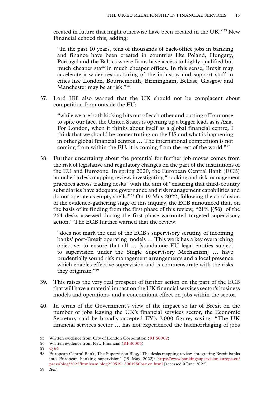created in future that might otherwise have been created in the UK."55 New Financial echoed this, adding:

"In the past 10 years, tens of thousands of back-office jobs in banking and finance have been created in countries like Poland, Hungary, Portugal and the Baltics where firms have access to highly qualified but much cheaper staff in much cheaper offices. In this sense, Brexit may accelerate a wider restructuring of the industry, and support staff in cities like London, Bournemouth, Birmingham, Belfast, Glasgow and Manchester may be at risk."56

37. Lord Hill also warned that the UK should not be complacent about competition from outside the EU:

"while we are both kicking bits out of each other and cutting off our nose to spite our face, the United States is opening up a bigger lead, as is Asia. For London, when it thinks about itself as a global financial centre, I think that we should be concentrating on the US and what is happening in other global financial centres … The international competition is not coming from within the EU, it is coming from the rest of the world."57

38. Further uncertainty about the potential for further job moves comes from the risk of legislative and regulatory changes on the part of the institutions of the EU and Eurozone. In spring 2020, the European Central Bank (ECB) launched a desk mapping review, investigating "booking and risk management practices across trading desks" with the aim of "ensuring that third-country subsidiaries have adequate governance and risk management capabilities and do not operate as empty shells."58 On 19 May 2022, following the conclusion of the evidence-gathering stage of this inquiry, the ECB announced that, on the basis of its finding from the first phase of this review, "21% [(56)] of the 264 desks assessed during the first phase warranted targeted supervisory action." The ECB further warned that the review:

"does not mark the end of the ECB's supervisory scrutiny of incoming banks' post-Brexit operating models … This work has a key overarching objective: to ensure that all … [standalone EU legal entities subject to supervision under the Single Supervisory Mechanism] … have prudentially sound risk management arrangements and a local presence which enables effective supervision and is commensurate with the risks they originate."<sup>59</sup>

- 39. This raises the very real prospect of further action on the part of the ECB that will have a material impact on the UK financial services sector's business models and operations, and a concomitant effect on jobs within the sector.
- 40. In terms of the Government's view of the impact so far of Brexit on the number of jobs leaving the UK's financial services sector, the Economic Secretary said he broadly accepted EY's 7,000 figure, saying: "The UK financial services sector … has not experienced the haemorrhaging of jobs

<sup>55</sup> Written evidence from City of London Corporation ([RFS0002\)](https://committees.parliament.uk/writtenevidence/107600/html/)

<sup>56</sup> Written evidence from New Financial [\(RFS0006\)](https://committees.parliament.uk/writtenevidence/108480/html/)

<sup>57</sup> Q [64](https://committees.parliament.uk/oralevidence/10060/html/)

<sup>58</sup> European Central Bank, The Supervision Blog, 'The desks mapping review–integrating Brexit banks into European banking supervision' (19 May 2022): [https://www.bankingsupervision.europa.eu/](https://www.bankingsupervision.europa.eu/press/blog/2022/html/ssm.blog220519~3081950bac.en.html) [press/blog/2022/html/ssm.blog220519~3081950bac.en.html](https://www.bankingsupervision.europa.eu/press/blog/2022/html/ssm.blog220519~3081950bac.en.html) [accessed 9 June 2022]

<sup>59</sup> *Ibid.*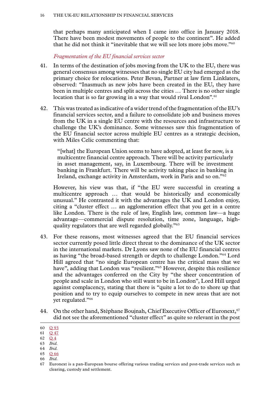<span id="page-17-0"></span>that perhaps many anticipated when I came into office in January 2018. There have been modest movements of people to the continent". He added that he did not think it "inevitable that we will see lots more jobs move."60

*Fragmentation of the EU financial services sector*

- 41. In terms of the destination of jobs moving from the UK to the EU, there was general consensus among witnesses that no single EU city had emerged as the primary choice for relocations. Peter Bevan, Partner at law firm Linklaters, observed: "Inasmuch as new jobs have been created in the EU, they have been in multiple centres and split across the cities … There is no other single location that is so far growing in a way that would rival London".<sup>61</sup>
- 42. This was treated as indicative of a wider trend of the fragmentation of the EU's financial services sector, and a failure to consolidate job and business moves from the UK in a single EU centre with the resources and infrastructure to challenge the UK's dominance. Some witnesses saw this fragmentation of the EU financial sector across multiple EU centres as a strategic decision, with Miles Celic commenting that:

"[what] the European Union seems to have adopted, at least for now, is a multicentre financial centre approach. There will be activity particularly in asset management, say, in Luxembourg. There will be investment banking in Frankfurt. There will be activity taking place in banking in Ireland, exchange activity in Amsterdam, work in Paris and so on."62

However, his view was that, if "the EU were successful in creating a multicentre approach … that would be historically and economically unusual." He contrasted it with the advantages the UK and London enjoy, citing a "cluster effect … an agglomeration effect that you get in a centre like London. There is the rule of law, English law, common law—a huge advantage—commercial dispute resolution, time zone, language, highquality regulators that are well regarded globally."63

- 43. For these reasons, most witnesses agreed that the EU financial services sector currently posed little direct threat to the dominance of the UK sector in the international markets. Dr Lyons saw none of the EU financial centres as having "the broad-based strength or depth to challenge London."64 Lord Hill agreed that "no single European centre has the critical mass that we have", adding that London was "resilient."<sup>65</sup> However, despite this resilience and the advantages conferred on the City by "the sheer concentration of people and scale in London who still want to be in London", Lord Hill urged against complacency, stating that there is "quite a lot to do to shore up that position and to try to equip ourselves to compete in new areas that are not yet regulated."66
- 44. On the other hand, Stéphane Boujnah, Chief Executive Officer of Euronext,<sup>67</sup> did not see the aforementioned "cluster effect" as quite so relevant in the post

- 62 [Q](https://committees.parliament.uk/oralevidence/3446/html/) 4
- 63 *Ibid.*
- 64 *Ibid.*
- 65 Q [66](https://committees.parliament.uk/oralevidence/10060/html/) 66 *Ibid.*

<sup>60</sup> Q [93](https://committees.parliament.uk/oralevidence/10188/html/)

<sup>61</sup> Q [47](https://committees.parliament.uk/oralevidence/9980/html/)

<sup>67</sup> Euronext is a pan-European bourse offering various trading services and post-trade services such as clearing, custody and settlement.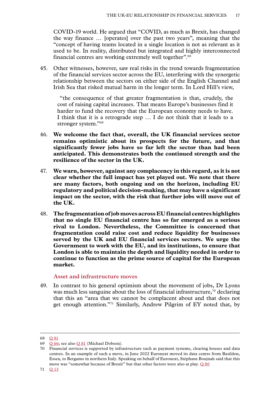<span id="page-18-0"></span>COVID-19 world. He argued that "COVID, as much as Brexit, has changed the way finance … [operates] over the past two years", meaning that the "concept of having teams located in a single location is not as relevant as it used to be. In reality, distributed but integrated and highly interconnected financial centres are working extremely well together".68

45. Other witnesses, however, saw real risks in the trend towards fragmentation of the financial services sector across the EU, interfering with the synergetic relationship between the sectors on either side of the English Channel and Irish Sea that risked mutual harm in the longer term. In Lord Hill's view,

 "the consequence of that greater fragmentation is that, crudely, the cost of raising capital increases. That means Europe's businesses find it harder to fund the recovery that the European economy needs to have. I think that it is a retrograde step … I do not think that it leads to a stronger system."69

- 46. **We welcome the fact that, overall, the UK financial services sector remains optimistic about its prospects for the future, and that significantly fewer jobs have so far left the sector than had been anticipated. This demonstrates both the continued strength and the resilience of the sector in the UK.**
- 47. **We warn, however, against any complacency in this regard, as it is not clear whether the full impact has yet played out. We note that there are many factors, both ongoing and on the horizon, including EU regulatory and political decision-making, that may have a significant impact on the sector, with the risk that further jobs will move out of the UK.**
- 48. **The fragmentation of job moves across EU financial centres highlights that no single EU financial centre has so far emerged as a serious rival to London. Nevertheless, the Committee is concerned that fragmentation could raise cost and reduce liquidity for businesses served by the UK and EU financial services sectors. We urge the Government to work with the EU, and its institutions, to ensure that London is able to maintain the depth and liquidity needed in order to continue to function as the prime source of capital for the European market.**

# **Asset and infrastructure moves**

49. In contrast to his general optimism about the movement of jobs, Dr Lyons was much less sanguine about the loss of financial infrastructure,  $70$  declaring that this an "area that we cannot be complacent about and that does not get enough attention."71 Similarly, Andrew Pilgrim of EY noted that, by

<sup>68</sup> Q [81](https://committees.parliament.uk/oralevidence/10097/html/)

<sup>69</sup> Q [66;](https://committees.parliament.uk/oralevidence/10060/html/) see also Q [81](https://committees.parliament.uk/oralevidence/10097/html/) (Michael Dobson).

<sup>70</sup> Financial services is supported by infrastructure such as payment systems, clearing houses and data centres. In an example of such a move, in June 2022 Euronext moved its data centre from Basildon, Essex, to Bergamo in northern Italy. Speaking on behalf of Euronext, Stéphane Boujnah said that this move was "somewhat because of Brexit" but that other factors were also at play. Q [80](https://committees.parliament.uk/oralevidence/10097/pdf/)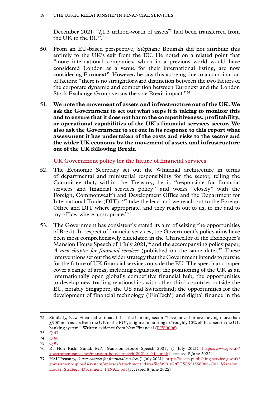<span id="page-19-0"></span>December 2021, " $f_{\text{L}}$ 1.3 trillion-worth of assets<sup>72</sup> had been transferred from the UK to the EU".73

- 50. From an EU-based perspective, Stéphane Boujnah did not attribute this entirely to the UK's exit from the EU. He noted on a related point that "more international companies, which in a previous world would have considered London as a venue for their international listing, are now considering Euronext". However, he saw this as being due to a combination of factors: "there is no straightforward distinction between the two factors of the corporate dynamic and competition between Euronext and the London Stock Exchange Group versus the sole Brexit impact."74
- 51. **We note the movement of assets and infrastructure out of the UK. We ask the Government to set out what steps it is taking to monitor this and to ensure that it does not harm the competitiveness, profitability, or operational capabilities of the UK's financial services sector. We also ask the Government to set out in its response to this report what assessment it has undertaken of the costs and risks to the sector and the wider UK economy by the movement of assets and infrastructure out of the UK following Brexit.**

**UK Government policy for the future of financial services**

- 52. The Economic Secretary set out the Whitehall architecture in terms of departmental and ministerial responsibility for the sector, telling the Committee that, within the Treasury, he is "responsible for financial services and financial services policy" and works "closely" with the Foreign, Commonwealth and Development Office and the Department for International Trade (DIT): "I take the lead and we reach out to the Foreign Office and DIT where appropriate, and they reach out to us, to me and to my office, where appropriate."75
- 53. The Government has consistently stated its aim of seizing the opportunities of Brexit. In respect of financial services, the Government's policy aims have been most comprehensively elucidated in the Chancellor of the Exchequer's Mansion House Speech of 1 July 2021,<sup>76</sup> and the accompanying policy paper, *A new chapter for financial services* (published on the same date).<sup>77</sup> These interventions set out the wider strategy that the Government intends to pursue for the future of UK financial services outside the EU. The speech and paper cover a range of areas, including regulation; the positioning of the UK as an internationally open globally competitive financial hub; the opportunities to develop new trading relationships with other third countries outside the EU, notably Singapore, the US and Switzerland; the opportunities for the development of financial technology ('FinTech') and digital finance in the

<sup>72</sup> Similarly, New Financial estimated that the banking sector "have moved or are moving more than  $\angle$ 900bn in assets from the UK to the EU", a figure amounting to "roughly 10% of the assets in the UK banking system". Written evidence from New Financial ([RFS0006\)](https://committees.parliament.uk/writtenevidence/108480/html/).

<sup>73</sup> Q [47](https://committees.parliament.uk/oralevidence/9980/html/)

<sup>74</sup> Q [80](https://committees.parliament.uk/oralevidence/10097/pdf/)

<sup>75</sup> Q [95](https://committees.parliament.uk/oralevidence/10188/html/)

<sup>76</sup> Rt Hon Rishi Sunak MP, 'Mansion House Speech 2021', (1 July 2021): [https://www.gov.uk/](https://www.gov.uk/government/speeches/mansion-house-speech-2021-rishi-sunak) [government/speeches/mansion-house-speech-2021-rishi-sunak](https://www.gov.uk/government/speeches/mansion-house-speech-2021-rishi-sunak) [accessed 8 June 2022]

<sup>77</sup> HM Treasury, *A new chapter for financial services* (1 July 2021): [https://assets.publishing.service.gov.uk/](https://assets.publishing.service.gov.uk/government/uploads/system/uploads/attachment_data/file/998102/CCS0521556086-001_Mansion_House_Strategy_Document_FINAL.pdf) [government/uploads/system/uploads/attachment\\_data/file/998102/CCS0521556086–001\\_Mansion\\_](https://assets.publishing.service.gov.uk/government/uploads/system/uploads/attachment_data/file/998102/CCS0521556086-001_Mansion_House_Strategy_Document_FINAL.pdf) [House\\_Strategy\\_Document\\_FINAL.pdf](https://assets.publishing.service.gov.uk/government/uploads/system/uploads/attachment_data/file/998102/CCS0521556086-001_Mansion_House_Strategy_Document_FINAL.pdf) [accessed 8 June 2022]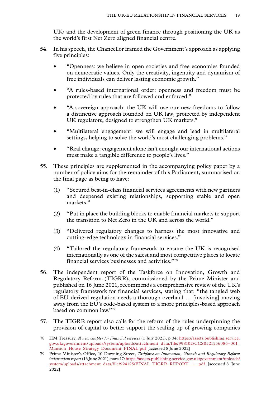UK; and the development of green finance through positioning the UK as the world's first Net Zero aligned financial centre.

- 54. In his speech, the Chancellor framed the Government's approach as applying five principles:
	- "Openness: we believe in open societies and free economies founded on democratic values. Only the creativity, ingenuity and dynamism of free individuals can deliver lasting economic growth."
	- "A rules-based international order: openness and freedom must be protected by rules that are followed and enforced."
	- "A sovereign approach: the UK will use our new freedoms to follow a distinctive approach founded on UK law, protected by independent UK regulators, designed to strengthen UK markets."
	- "Multilateral engagement: we will engage and lead in multilateral settings, helping to solve the world's most challenging problems."
	- "Real change: engagement alone isn't enough; our international actions must make a tangible difference to people's lives."
- 55. These principles are supplemented in the accompanying policy paper by a number of policy aims for the remainder of this Parliament, summarised on the final page as being to have:
	- (1) "Secured best-in-class financial services agreements with new partners and deepened existing relationships, supporting stable and open markets."
	- (2) "Put in place the building blocks to enable financial markets to support the transition to Net Zero in the UK and across the world."
	- (3) "Delivered regulatory changes to harness the most innovative and cutting-edge technology in financial services."
	- (4) "Tailored the regulatory framework to ensure the UK is recognised internationally as one of the safest and most competitive places to locate financial services businesses and activities."78
- 56. The independent report of the Taskforce on Innovation, Growth and Regulatory Reform (TIGRR), commissioned by the Prime Minister and published on 16 June 2021, recommends a comprehensive review of the UK's regulatory framework for financial services, stating that: "the tangled web of EU-derived regulation needs a thorough overhaul … [involving] moving away from the EU's code-based system to a more principles-based approach based on common law."79
- 57. The TIGRR report also calls for the reform of the rules underpinning the provision of capital to better support the scaling up of growing companies

<sup>78</sup> HM Treasury, *A new chapter for financial services* (1 July 2021), p 34: [https://assets.publishing.service.](https://assets.publishing.service.gov.uk/government/uploads/system/uploads/attachment_data/file/998102/CCS0521556086-001_Mansion_House_Strategy_Document_FINAL.pdf) [gov.uk/government/uploads/system/uploads/attachment\\_data/file/998102/CCS0521556086–001\\_](https://assets.publishing.service.gov.uk/government/uploads/system/uploads/attachment_data/file/998102/CCS0521556086-001_Mansion_House_Strategy_Document_FINAL.pdf) [Mansion\\_House\\_Strategy\\_Document\\_FINAL.pdf](https://assets.publishing.service.gov.uk/government/uploads/system/uploads/attachment_data/file/998102/CCS0521556086-001_Mansion_House_Strategy_Document_FINAL.pdf) [accessed 8 June 2022]

<sup>79</sup> Prime Minister's Office, 10 Downing Street, *Taskforce on Innovation, Growth and Regulatory Reform independent report* (16 June 2021), para 17: [https://assets.publishing.service.gov.uk/government/uploads/](https://assets.publishing.service.gov.uk/government/uploads/system/uploads/attachment_data/file/994125/FINAL_TIGRR_REPORT__1_.pdf) system/uploads/attachment\_data/file/994125/FINAL\_TIGRR\_REPORT\_1\_.pdf [accessed 8 June 2022]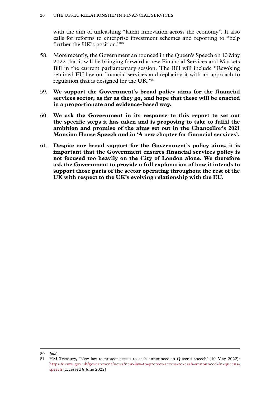with the aim of unleashing "latent innovation across the economy". It also calls for reforms to enterprise investment schemes and reporting to "help further the UK's position."80

- 58. More recently, the Government announced in the Queen's Speech on 10 May 2022 that it will be bringing forward a new Financial Services and Markets Bill in the current parliamentary session. The Bill will include "Revoking retained EU law on financial services and replacing it with an approach to regulation that is designed for the UK."81
- 59. **We support the Government's broad policy aims for the financial services sector, as far as they go, and hope that these will be enacted in a proportionate and evidence-based way.**
- 60. **We ask the Government in its response to this report to set out the specific steps it has taken and is proposing to take to fulfil the ambition and promise of the aims set out in the Chancellor's 2021 Mansion House Speech and in 'A new chapter for financial services'.**
- 61. **Despite our broad support for the Government's policy aims, it is important that the Government ensures financial services policy is not focused too heavily on the City of London alone. We therefore ask the Government to provide a full explanation of how it intends to support those parts of the sector operating throughout the rest of the UK with respect to the UK's evolving relationship with the EU.**

<sup>80</sup> *Ibid.*

<sup>81</sup> HM Treasury, 'New law to protect access to cash announced in Queen's speech' (10 May 2022): [https://www.gov.uk/government/news/new-law-to-protect-access-to-cash-announced-in-queens](https://www.gov.uk/government/news/new-law-to-protect-access-to-cash-announced-in-queens-speech)[speech](https://www.gov.uk/government/news/new-law-to-protect-access-to-cash-announced-in-queens-speech) [accessed 8 June 2022]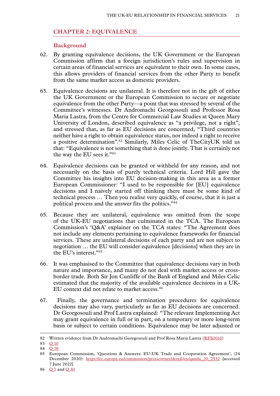# <span id="page-22-0"></span>**Chapter 2: EQUIVALENCE**

# **Background**

- 62. By granting equivalence decisions, the UK Government or the European Commission affirm that a foreign jurisdiction's rules and supervision in certain areas of financial services are equivalent to their own. In some cases, this allows providers of financial services from the other Party to benefit from the same market access as domestic providers.
- 63. Equivalence decisions are unilateral. It is therefore not in the gift of either the UK Government or the European Commission to secure or negotiate equivalence from the other Party—a point that was stressed by several of the Committee's witnesses. Dr Andromachi Georgosouli and Professor Rosa Maria Lastra, from the Centre for Commercial Law Studies at Queen Mary University of London, described equivalence as "a privilege, not a right", and stressed that, as far as EU decisions are concerned, "Third countries neither have a right to obtain equivalence status, nor indeed a right to receive a positive determination".82 Similarly, Miles Celic of TheCityUK told us that: "Equivalence is not something that is done jointly. That is certainly not the way the EU sees it."83
- 64. Equivalence decisions can be granted or withheld for any reason, and not necessarily on the basis of purely technical criteria. Lord Hill gave the Committee his insights into EU decision-making in this area as a former European Commissioner: "I used to be responsible for [EU] equivalence decisions and I naively started off thinking there must be some kind of technical process … Then you realise very quickly, of course, that it is just a political process and the answer fits the politics."84
- 65. Because they are unilateral, equivalence was omitted from the scope of the UK-EU negotiations that culminated in the TCA. The European Commission's 'Q&A' explainer on the TCA states: "The Agreement does not include any elements pertaining to equivalence frameworks for financial services. These are unilateral decisions of each party and are not subject to negotiation … the EU will consider equivalence [decisions] when they are in the EU's interest."85
- 66. It was emphasised to the Committee that equivalence decisions vary in both nature and importance, and many do not deal with market access or crossborder trade. Both Sir Jon Cunliffe of the Bank of England and Miles Celic estimated that the majority of the available equivalence decisions in a UK-EU context did not relate to market access.<sup>86</sup>
- 67. Finally, the governance and termination procedures for equivalence decisions may also vary, particularly as far as EU decisions are concerned. Dr Georgosouli and Prof Lastra explained: "The relevant Implementing Act may grant equivalence in full or in part, on a temporary or more long-term basis or subject to certain conditions. Equivalence may be later adjusted or

<sup>82</sup> Written evidence from Dr Andromachi Georgosouli and Prof Rosa Maria Lastra ([RFS0010\)](https://committees.parliament.uk/writtenevidence/108489/html/)

<sup>83</sup> Q [10](https://committees.parliament.uk/oralevidence/3446/html/)

<sup>84</sup> Q [78](https://committees.parliament.uk/oralevidence/10060/html/)

<sup>85</sup> European Commission, 'Questions & Answers: EU-UK Trade and Cooperation Agreement', (24 December 2020): [https://ec.europa.eu/commission/presscorner/detail/en/qanda\\_20\\_2532](https://ec.europa.eu/commission/presscorner/detail/en/qanda_20_2532) [accessed 7 June 2022]

<sup>86</sup> [Q](https://committees.parliament.uk/oralevidence/3446/html/) 7 and Q [30](https://committees.parliament.uk/oralevidence/9903/html/)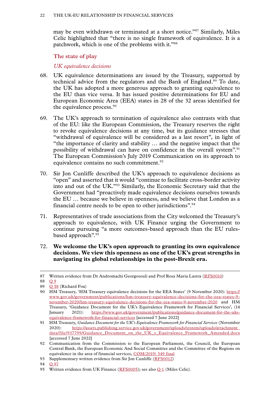<span id="page-23-0"></span>may be even withdrawn or terminated at a short notice."87 Similarly, Miles Celic highlighted that "there is no single framework of equivalence. It is a patchwork, which is one of the problems with it."88

**The state of play**

*UK equivalence decisions*

- 68. UK equivalence determinations are issued by the Treasury, supported by technical advice from the regulators and the Bank of England.<sup>89</sup> To date, the UK has adopted a more generous approach to granting equivalence to the EU than vice versa. It has issued positive determinations for EU and European Economic Area (EEA) states in 28 of the 32 areas identified for the equivalence process.90
- 69. The UK's approach to termination of equivalence also contrasts with that of the EU: like the European Commission, the Treasury reserves the right to revoke equivalence decisions at any time, but its guidance stresses that "withdrawal of equivalence will be considered as a last resort", in light of "the importance of clarity and stability … and the negative impact that the possibility of withdrawal can have on confidence in the overall system".91 The European Commission's July 2019 Communication on its approach to equivalence contains no such commitment.<sup>92</sup>
- 70. Sir Jon Cunliffe described the UK's approach to equivalence decisions as "open" and asserted that it would "continue to facilitate cross-border activity into and out of the UK."93 Similarly, the Economic Secretary said that the Government had "proactively made equivalence decisions ourselves towards the EU … because we believe in openness, and we believe that London as a financial centre needs to be open to other jurisdictions".94
- 71. Representatives of trade associations from the City welcomed the Treasury's approach to equivalence, with UK Finance urging the Government to continue pursuing "a more outcomes-based approach than the EU rulesbased approach".<sup>95</sup>
- 72. **We welcome the UK's open approach to granting its own equivalence decisions. We view this openness as one of the UK's great strengths in navigating its global relationships in the post-Brexit era.**

94 O [97](https://committees.parliament.uk/oralevidence/10188/html/)

<sup>87</sup> Written evidence from Dr Andromachi Georgosouli and Prof Rosa Maria Lastra ([RFS0010\)](https://committees.parliament.uk/writtenevidence/108489/html/)

<sup>88</sup> [Q](https://committees.parliament.uk/oralevidence/3446/html/) 9

<sup>89</sup> Q [58](https://committees.parliament.uk/oralevidence/10016/html/) (Richard Fox)

<sup>90</sup> HM Treasury, 'HM Treasury equivalence decisions for the EEA States' (9 November 2020): [https://](https://www.gov.uk/government/publications/hm-treasury-equivalence-decisions-for-the-eea-states-9-november-2020/hm-treasury-equivalence-decisions-for-the-eea-states-9-november-2020) [www.gov.uk/government/publications/hm-treasury-equivalence-decisions-for-the-eea-states-9](https://www.gov.uk/government/publications/hm-treasury-equivalence-decisions-for-the-eea-states-9-november-2020/hm-treasury-equivalence-decisions-for-the-eea-states-9-november-2020) [november-2020/hm-treasury-equivalence-decisions-for-the-eea-states-9-november-2020](https://www.gov.uk/government/publications/hm-treasury-equivalence-decisions-for-the-eea-states-9-november-2020/hm-treasury-equivalence-decisions-for-the-eea-states-9-november-2020) and HM Treasury, 'Guidance Document for the UK's Equivalence Framework for Financial Services', (14 January 2021): [https://www.gov.uk/government/publications/guidance-document-for-the-uks](https://www.gov.uk/government/publications/guidance-document-for-the-uks-equivalence-framework-for-financial-services)[equivalence-framework-for-financial-services](https://www.gov.uk/government/publications/guidance-document-for-the-uks-equivalence-framework-for-financial-services) [accessed 7 June 2022]

<sup>91</sup> HM Treasury, *Guidance Document for the UK's Equivalence Framework for Financial Services* (November 2020): [https://assets.publishing.service.gov.uk/government/uploads/system/uploads/attachment\\_](https://assets.publishing.service.gov.uk/government/uploads/system/uploads/attachment_data/file/937799/Guidance_Document_on_the_UK_s_Equivalence_Framework_Amended.docx) [data/file/937799/Guidance\\_Document\\_on\\_the\\_UK\\_s\\_Equivalence\\_Framework\\_Amended.docx](https://assets.publishing.service.gov.uk/government/uploads/system/uploads/attachment_data/file/937799/Guidance_Document_on_the_UK_s_Equivalence_Framework_Amended.docx) [accessed 7 June 2022]

<sup>92</sup> Communication from the Commission to the European Parliament, the Council, the European Central Bank, the European Economic And Social Committee and the Committee of the Regions on equivalence in the area of financial services, [COM\(2019\) 349 final](https://eur-lex.europa.eu/resource.html?uri=cellar:989ca6f3-b1de-11e9-9d01-01aa75ed71a1.0001.02/DOC_1&format=PDF)

<sup>93</sup> Supplementary written evidence from Sir Jon Cunliffe [\(RFS0012](https://committees.parliament.uk/writtenevidence/109074/html/))

<sup>95</sup> Written evidence from UK Finance ( $\overline{RFS0005}$ ); see also  $\overline{Q1}$  (Miles Celic).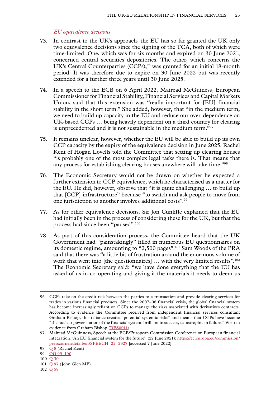# *EU equivalence decisions*

- <span id="page-24-0"></span>73. In contrast to the UK's approach, the EU has so far granted the UK only two equivalence decisions since the signing of the TCA, both of which were time-limited. One, which was for six months and expired on 30 June 2021, concerned central securities depositories. The other, which concerns the UK's Central Counterparties (CCPs),<sup>96</sup> was granted for an initial 18-month period. It was therefore due to expire on 30 June 2022 but was recently extended for a further three years until 30 June 2025.
- 74. In a speech to the ECB on 6 April 2022, Mairead McGuiness, European Commissioner for Financial Stability, Financial Services and Capital Markets Union, said that this extension was "really important for [EU] financial stability in the short term." She added, however, that "in the medium term, we need to build up capacity in the EU and reduce our over-dependence on UK-based CCPs … being heavily dependent on a third country for clearing is unprecedented and it is not sustainable in the medium term."97
- 75. It remains unclear, however, whether the EU will be able to build up its own CCP capacity by the expiry of the equivalence decision in June 2025. Rachel Kent of Hogan Lovells told the Committee that setting up clearing houses "is probably one of the most complex legal tasks there is. That means that any process for establishing clearing houses anywhere will take time."98
- 76. The Economic Secretary would not be drawn on whether he expected a further extension to CCP equivalence, which he characterised as a matter for the EU. He did, however, observe that "it is quite challenging … to build up that [CCP] infrastructure" because "to switch and ask people to move from one jurisdiction to another involves additional costs".99
- 77. As for other equivalence decisions, Sir Jon Cunliffe explained that the EU had initially been in the process of considering these for the UK, but that the process had since been "paused".100
- 78. As part of this consideration process, the Committee heard that the UK Government had "painstakingly" filled in numerous EU questionnaires on its domestic regime, amounting to "2,500 pages".101 Sam Woods of the PRA said that there was "a little bit of frustration around the enormous volume of work that went into [the questionnaires] ... with the very limited results".<sup>102</sup> The Economic Secretary said: "we have done everything that the EU has asked of us in co-operating and giving it the materials it needs to deem us

<sup>96</sup> CCPs take on the credit risk between the parties to a transaction and provide clearing services for trades in various financial products. Since the 2007–08 financial crisis, the global financial system has become increasingly reliant on CCPs to manage the risks associated with derivatives contracts. According to evidence the Committee received from independent financial services consultant Graham Bishop, this reliance creates "potential systemic risks" and means that CCPs have become "the nuclear power station of the financial system: brilliant in success, catastrophic in failure." Written evidence from Graham Bishop ([RFS0011\)](https://committees.parliament.uk/writtenevidence/108490/html/)

<sup>97</sup> Mairead McGuinness, Speech at the ECB/European Commission Conference on European financial integration, 'An EU financial system for the future', (22 June 2021): [https://ec.europa.eu/commission/](https://ec.europa.eu/commission/presscorner/detail/en/SPEECH_22_2327) [presscorner/detail/en/SPEECH\\_22\\_2327](https://ec.europa.eu/commission/presscorner/detail/en/SPEECH_22_2327) [accessed 7 June 2022]

<sup>98</sup> [Q](https://committees.parliament.uk/oralevidence/3446/html/) 8 (Rachel Kent)

<sup>99</sup> [QQ](https://committees.parliament.uk/oralevidence/10188/html/) 99–100

<sup>100</sup> Q [30](https://committees.parliament.uk/oralevidence/9903/html/)

<sup>101</sup> Q [97](https://committees.parliament.uk/oralevidence/10188/html/) (John Glen MP)

<sup>102</sup> Q [58](https://committees.parliament.uk/oralevidence/10016/html/)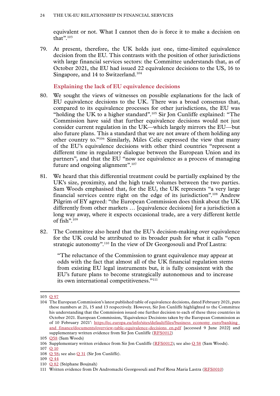<span id="page-25-0"></span>equivalent or not. What I cannot then do is force it to make a decision on that".103

79. At present, therefore, the UK holds just one, time-limited equivalence decision from the EU. This contrasts with the position of other jurisdictions with large financial services sectors: the Committee understands that, as of October 2021, the EU had issued 22 equivalence decisions to the US, 16 to Singapore, and 14 to Switzerland.<sup>104</sup>

**Explaining the lack of EU equivalence decisions**

- 80. We sought the views of witnesses on possible explanations for the lack of EU equivalence decisions to the UK. There was a broad consensus that, compared to its equivalence processes for other jurisdictions, the EU was "holding the UK to a higher standard".105 Sir Jon Cunliffe explained: "The Commission have said that further equivalence decisions would not just consider current regulation in the UK—which largely mirrors the EU—but also future plans. This a standard that we are not aware of them holding any other country to."106 Similarly, Miles Celic expressed the view that many of the EU's equivalence decisions with other third countries "represent a different time in regulatory dialogue between the European Union and its partners", and that the EU "now see equivalence as a process of managing future and ongoing alignment".<sup>107</sup>
- 81. We heard that this differential treatment could be partially explained by the UK's size, proximity, and the high trade volumes between the two parties. Sam Woods emphasised that, for the EU, the UK represents "a very large financial services centre right on the edge of its jurisdiction".108 Andrew Pilgrim of EY agreed: "the European Commission does think about the UK differently from other markets … [equivalence decisions] for a jurisdiction a long way away, where it expects occasional trade, are a very different kettle of fish".109
- 82. The Committee also heard that the EU's decision-making over equivalence for the UK could be attributed to its broader push for what it calls "open strategic autonomy".110 In the view of Dr Georgosouli and Prof Lastra:

"The reluctance of the Commission to grant equivalence may appear at odds with the fact that almost all of the UK financial regulation stems from existing EU legal instruments but, it is fully consistent with the EU's future plans to become strategically autonomous and to increase its own international competitiveness."<sup>111</sup>

<sup>103</sup> Q [97](https://committees.parliament.uk/oralevidence/10188/html/)

<sup>104</sup> The European Commission's latest published table of equivalence decisions, dated February 2021, puts these numbers at 21, 15 and 13 respectively. However, Sir Jon Cunliffe highlighted to the Committee his understanding that the Commission issued one further decision to each of these three countries in October 2021. European Commission, 'Equivalence Decisions taken by the European Commission as of 10 February 2021': [https://ec.europa.eu/info/sites/default/files/business\\_economy\\_euro/banking\\_](https://ec.europa.eu/info/sites/default/files/business_economy_euro/banking_and_finance/documents/overview-table-equivalence-decisions_en.pdf) [and\\_finance/documents/overview-table-equivalence-decisions\\_en.pdf](https://ec.europa.eu/info/sites/default/files/business_economy_euro/banking_and_finance/documents/overview-table-equivalence-decisions_en.pdf) [accessed 9 June 2022] and supplementary written evidence from Sir Jon Cunliffe ([RFS0012\)](https://committees.parliament.uk/writtenevidence/109074/html/)

<sup>105</sup> [Q58](https://committees.parliament.uk/oralevidence/10016/html/) (Sam Woods)

<sup>106</sup> Supplementary written evidence from Sir Jon Cunliffe ( $RFS0012$ ); see also Q [58](https://committees.parliament.uk/oralevidence/10016/html/) (Sam Woods).

<sup>107</sup> Q [10](https://committees.parliament.uk/oralevidence/3446/html/)

<sup>108</sup>  $\overline{Q}$  [58;](https://committees.parliament.uk/oralevidence/10016/html/) see also  $\overline{Q}$  [31](https://committees.parliament.uk/oralevidence/9903/html/) (Sir Jon Cunliffe).

<sup>109</sup> Q [44](https://committees.parliament.uk/oralevidence/9980/html/)

<sup>110</sup> Q [82](https://committees.parliament.uk/oralevidence/10097/html/) (Stéphane Boujnah)

<sup>111</sup> Written evidence from Dr Andromachi Georgosouli and Prof Rosa Maria Lastra ([RFS0010\)](https://committees.parliament.uk/writtenevidence/108489/html/)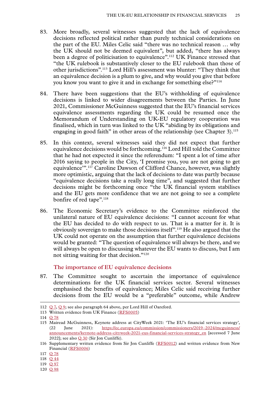- <span id="page-26-0"></span>83. More broadly, several witnesses suggested that the lack of equivalence decisions reflected political rather than purely technical considerations on the part of the EU. Miles Celic said "there was no technical reason … why the UK should not be deemed equivalent", but added, "there has always been a degree of politicisation to equivalence".<sup>112</sup> UK Finance stressed that "the UK rulebook is substantively closer to the EU rulebook than those of other jurisdictions".113 Lord Hill's assessment was blunter: "They think that an equivalence decision is a plum to give, and why would you give that before you know you want to give it and in exchange for something else?"114
- 84. There have been suggestions that the EU's withholding of equivalence decisions is linked to wider disagreements between the Parties. In June 2021, Commissioner McGuinness suggested that the EU's financial services equivalence assessments regarding the UK could be resumed once the Memorandum of Understanding on UK-EU regulatory cooperation was finalised, which in turn was linked to the UK "abiding by its obligations and engaging in good faith" in other areas of the relationship (see Chapter 3).<sup>115</sup>
- 85. In this context, several witnesses said they did not expect that further equivalence decisions would be forthcoming.116 Lord Hill told the Committee that he had not expected it since the referendum: "I spent a lot of time after 2016 saying to people in the City, 'I promise you, you are not going to get equivalence'".117 Caroline Dawson of Clifford Chance, however, was slightly more optimistic, arguing that the lack of decisions to date was partly because "equivalence decisions take a really long time", and suggested that further decisions might be forthcoming once "the UK financial system stabilises and the EU gets more confidence that we are not going to see a complete bonfire of red tape".<sup>118</sup>
- 86. The Economic Secretary's evidence to the Committee reinforced the unilateral nature of EU equivalence decisions: "I cannot account for what the EU has decided to do with respect to us. That is a matter for it. It is obviously sovereign to make those decisions itself".119 He also argued that the UK could not operate on the assumption that further equivalence decisions would be granted: "The question of equivalence will always be there, and we will always be open to discussing whatever the EU wants to discuss, but I am not sitting waiting for that decision."120

# **The importance of EU equivalence decisions**

87. The Committee sought to ascertain the importance of equivalence determinations for the UK financial services sector. Several witnesses emphasised the benefits of equivalence; Miles Celic said receiving further decisions from the EU would be a "preferable" outcome, while Andrew

<sup>112</sup> [Q](https://committees.parliament.uk/oralevidence/3446/html/) 7, [Q](https://committees.parliament.uk/oralevidence/3446/html/) 9; see also paragraph 64 above, per Lord Hill of Oareford.

<sup>113</sup> Written evidence from UK Finance ([RFS0005\)](https://committees.parliament.uk/writtenevidence/108478/html/)

<sup>114</sup> Q [78](https://committees.parliament.uk/oralevidence/10060/html/)

<sup>115</sup> Mairead McGuinness, Keynote address at CityWeek 2021: 'The EU's financial services strategy', (22 June 2021): [https://ec.europa.eu/commission/commissioners/2019–2024/mcguinness/](https://ec.europa.eu/commission/commissioners/2019-2024/mcguinness/announcements/keynote-address-cityweek-2021-eus-financial-services-strategy_en) [announcements/keynote-address-cityweek-2021-eus-financial-services-strategy\\_en](https://ec.europa.eu/commission/commissioners/2019-2024/mcguinness/announcements/keynote-address-cityweek-2021-eus-financial-services-strategy_en) [accessed 7 June 2022]; see also Q [30](https://committees.parliament.uk/oralevidence/9903/html/) (Sir Jon Cunliffe).

<sup>116</sup> Supplementary written evidence from Sir Jon Cunliffe ([RFS0012](https://committees.parliament.uk/writtenevidence/109074/html/)) and written evidence from New Financial ([RFS0006](https://committees.parliament.uk/writtenevidence/108480/html/))

<sup>117</sup> Q [78](https://committees.parliament.uk/oralevidence/10060/html/)

<sup>118</sup> Q [44](https://committees.parliament.uk/oralevidence/9980/html/)

<sup>119</sup> O [97](https://committees.parliament.uk/oralevidence/10188/html/)

<sup>120</sup> Q [98](https://committees.parliament.uk/oralevidence/10188/html/)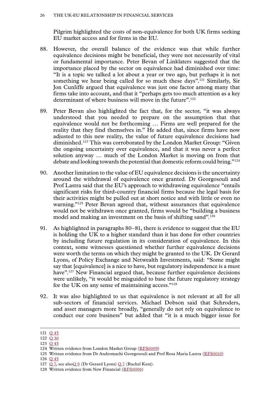Pilgrim highlighted the costs of non-equivalence for both UK firms seeking EU market access and for firms in the EU.

- 88. However, the overall balance of the evidence was that while further equivalence decisions might be beneficial, they were not necessarily of vital or fundamental importance. Peter Bevan of Linklaters suggested that the importance placed by the sector on equivalence had diminished over time: "It is a topic we talked a lot about a year or two ago, but perhaps it is not something we hear being called for so much these days".<sup>121</sup> Similarly, Sir Jon Cunliffe argued that equivalence was just one factor among many that firms take into account, and that it "perhaps gets too much attention as a key determinant of where business will move in the future".<sup>122</sup>
- 89. Peter Bevan also highlighted the fact that, for the sector, "it was always understood that you needed to prepare on the assumption that that equivalence would not be forthcoming … Firms are well prepared for the reality that they find themselves in." He added that, since firms have now adjusted to this new reality, the value of future equivalence decisions had diminished.123 This was corroborated by the London Market Group: "Given the ongoing uncertainty over equivalence, and that it was never a perfect solution anyway … much of the London Market is moving on from that debate and looking towards the potential that domestic reform could bring."124
- 90. Another limitation to the value of EU equivalence decisions is the uncertainty around the withdrawal of equivalence once granted. Dr Georgosouli and Prof Lastra said that the EU's approach to withdrawing equivalence "entails significant risks for third-country financial firms because the legal basis for their activities might be pulled out at short notice and with little or even no warning."<sup>125</sup> Peter Bevan agreed that, without assurances that equivalence would not be withdrawn once granted, firms would be "building a business model and making an investment on the basis of shifting sand".<sup>126</sup>
- 91. As highlighted in paragraphs 80–81, there is evidence to suggest that the EU is holding the UK to a higher standard than it has done for other countries by including future regulation in its consideration of equivalence. In this context, some witnesses questioned whether further equivalence decisions were worth the terms on which they might be granted to the UK. Dr Gerard Lyons, of Policy Exchange and Netwealth Investments, said: "Some might say that [equivalence] is a nice to have, but regulatory independence is a must have".<sup>127</sup> New Financial argued that, because further equivalence decisions were unlikely, "it would be misguided to base the future regulatory strategy for the UK on any sense of maintaining access."128
- 92. It was also highlighted to us that equivalence is not relevant at all for all sub-sectors of financial services. Michael Dobson said that Schroders, and asset managers more broadly, "generally do not rely on equivalence to conduct our core business" but added that "it is a much bigger issue for

126 Q [45](https://committees.parliament.uk/oralevidence/9980/html/)

<sup>121</sup> Q [45](https://committees.parliament.uk/oralevidence/9980/html/)

<sup>122</sup> Q [30](https://committees.parliament.uk/oralevidence/9903/html/)

<sup>123</sup> Q [45](https://committees.parliament.uk/oralevidence/9980/html/)

<sup>124</sup> Written evidence from London Market Group ([RFS0009](https://committees.parliament.uk/writtenevidence/108486/html/))

<sup>125</sup> Written evidence from Dr Andromachi Georgosouli and Prof Rosa Maria Lastra ([RFS0010\)](https://committees.parliament.uk/writtenevidence/108489/html/)

<sup>127</sup> [Q](https://committees.parliament.uk/oralevidence/3446/html/) 7, see also[Q](https://committees.parliament.uk/oralevidence/3446/html/) 9 (Dr Gerard Lyons) [Q](https://committees.parliament.uk/oralevidence/3446/html/) 7 (Rachel Kent).

<sup>128</sup> Written evidence from New Financial [\(RFS0006\)](https://committees.parliament.uk/writtenevidence/108480/html/)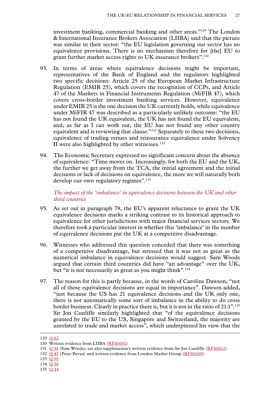<span id="page-28-0"></span>investment banking, commercial banking and other areas."129 The London & International Insurance Brokers Association (LIIBA) said that the picture was similar in their sector: "the EU legislation governing our sector has no equivalence provisions. There is no mechanism therefore for [the] EU to grant further market access rights to UK insurance brokers".130

- 93. In terms of areas where equivalence decisions might be important, representatives of the Bank of England and the regulators highlighted two specific decisions: Article 25 of the European Market Infrastructure Regulation (EMIR 25), which covers the recognition of CCPs, and Article 47 of the Markets in Financial Instruments Regulation (MiFIR 47), which covers cross-border investment banking services. However, equivalence under EMIR 25 is the one decision the UK currently holds, while equivalence under MiFIR 47 was described as a particularly unlikely outcome: "the EU has not found the UK equivalent, the UK has not found the EU equivalent, and, as far as I can work out, the EU has not found any other country equivalent and is reviewing that clause."131 Separately to these two decisions, equivalence of trading venues and reinsurance equivalence under Solvency II were also highlighted by other witnesses. $132$
- 94. The Economic Secretary expressed no significant concern about the absence of equivalence: "Time moves on. Increasingly, for both the EU and the UK, the further we get away from the TCA, the initial agreement and the initial decisions or lack of decisions on equivalence, the more we will naturally both develop our own regulatory regimes".<sup>133</sup>

*The impact of the 'imbalance' in equivalence decisions between the UK and other third countries*

- 95. As set out in paragraph 79, the EU's apparent reluctance to grant the UK equivalence decisions marks a striking contrast to its historical approach to equivalence for other jurisdictions with major financial services sectors. We therefore took a particular interest in whether this 'imbalance' in the number of equivalence decisions put the UK at a competitive disadvantage.
- 96. Witnesses who addressed this question conceded that there was something of a competitive disadvantage, but stressed that it was not as great as the numerical imbalance in equivalence decisions would suggest. Sam Woods argued that certain third countries did have "an advantage" over the UK, but "it is not necessarily as great as you might think".<sup>134</sup>
- 97. The reason for this is partly because, in the words of Caroline Dawson, "not all of those equivalence decisions are equal in importance". Dawson added, "just because the US has 21 equivalence decisions and the UK only one, there is not automatically some sort of imbalance in the ability to do cross border business. Clearly in practice there is, but it is not in the ratio of 21:1".135 Sir Jon Cunliffe similarly highlighted that "of the equivalence decisions granted by the EU to the US, Singapore and Switzerland, the majority are unrelated to trade and market access", which underpinned his view that the

<sup>129</sup> Q [82](https://committees.parliament.uk/oralevidence/10097/html/)

<sup>130</sup> Written evidence from LIIBA [\(RFS0001\)](https://committees.parliament.uk/writtenevidence/107598/html/)

<sup>131</sup> Q [58](https://committees.parliament.uk/oralevidence/10016/html/) (Sam Woods); see also supplementary written evidence from Sir Jon Cunliffe ([RFS0012\)](https://committees.parliament.uk/writtenevidence/109074/html/).

<sup>132</sup> Q [45](https://committees.parliament.uk/oralevidence/9980/html/) (Peter Bevan) and written evidence from London Market Group ([RFS0009\)](https://committees.parliament.uk/writtenevidence/108486/html/)

<sup>133</sup> Q [98](https://committees.parliament.uk/oralevidence/10188/html/)

<sup>134</sup> Q [58](https://committees.parliament.uk/oralevidence/10016/html/)

<sup>135</sup> Q [44](https://committees.parliament.uk/oralevidence/9980/html/)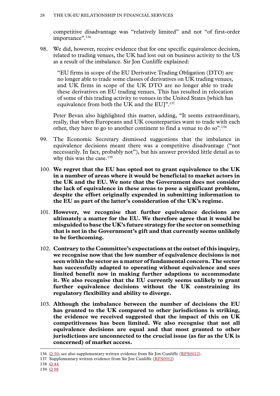competitive disadvantage was "relatively limited" and not "of first-order importance".<sup>136</sup>

98. We did, however, receive evidence that for one specific equivalence decision, related to trading venues, the UK had lost out on business activity to the US as a result of the imbalance. Sir Jon Cunliffe explained:

"EU firms in scope of the EU Derivative Trading Obligation (DTO) are no longer able to trade some classes of derivatives on UK trading venues, and UK firms in scope of the UK DTO are no longer able to trade these derivatives on EU trading venues. This has resulted in relocation of some of this trading activity to venues in the United States [which has equivalence from both the UK and the EU]".<sup>137</sup>

Peter Bevan also highlighted this matter, adding, "It seems extraordinary, really, that when Europeans and UK counterparties want to trade with each other, they have to go to another continent to find a venue to do so".<sup>138</sup>

- 99. The Economic Secretary dismissed suggestions that the imbalance in equivalence decisions meant there was a competitive disadvantage ("not necessarily. In fact, probably not"), but his answer provided little detail as to why this was the case. $139$
- 100. **We regret that the EU has opted not to grant equivalence to the UK in a number of areas where it would be beneficial to market actors in the UK and the EU. We note that the Government does not consider the lack of equivalence in these areas to pose a significant problem, despite the effort originally expended in submitting information to the EU as part of the latter's consideration of the UK's regime.**
- 101. **However, we recognise that further equivalence decisions are ultimately a matter for the EU. We therefore agree that it would be misguided to base the UK's future strategy for the sector on something that is not in the Government's gift and that currently seems unlikely to be forthcoming.**
- 102. **Contrary to the Committee's expectations at the outset of this inquiry, we recognise now that the low number of equivalence decisions is not seen within the sector as a matter of fundamental concern. The sector has successfully adapted to operating without equivalence and sees limited benefit now in making further adaptions to accommodate it. We also recognise that the EU currently seems unlikely to grant further equivalence decisions without the UK constraining its regulatory flexibility and ability to diverge.**
- 103. **Although the imbalance between the number of decisions the EU has granted to the UK compared to other jurisdictions is striking, the evidence we received suggested that the impact of this on UK competitiveness has been limited. We also recognise that not all equivalence decisions are equal and that most granted to other jurisdictions are unconnected to the crucial issue (as far as the UK is concerned) of market access.**

<sup>136</sup> Q [30;](https://committees.parliament.uk/oralevidence/9903/html/) see also supplementary written evidence from Sir Jon Cunliffe ([RFS0012\)](https://committees.parliament.uk/writtenevidence/109074/html/).

<sup>137</sup> Supplementary written evidence from Sir Jon Cunliffe [\(RFS0012](https://committees.parliament.uk/writtenevidence/109074/html/))

<sup>138</sup> Q [44](https://committees.parliament.uk/oralevidence/9980/html/)

<sup>139</sup> Q [98](https://committees.parliament.uk/oralevidence/10188/html/)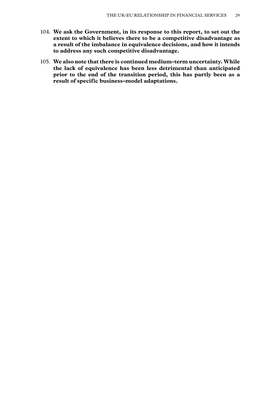- 104. **We ask the Government, in its response to this report, to set out the extent to which it believes there to be a competitive disadvantage as a result of the imbalance in equivalence decisions, and how it intends to address any such competitive disadvantage.**
- 105. **We also note that there is continued medium-term uncertainty. While the lack of equivalence has been less detrimental than anticipated prior to the end of the transition period, this has partly been as a result of specific business-model adaptations.**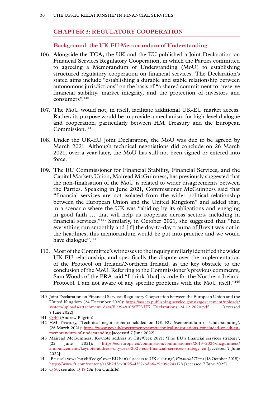# <span id="page-31-0"></span>**Chapter 3: REGULATORY COOPERATION**

# **Background: the UK-EU Memorandum of Understanding**

- 106. Alongside the TCA, the UK and the EU published a Joint Declaration on Financial Services Regulatory Cooperation, in which the Parties committed to agreeing a Memorandum of Understanding (MoU) to establishing structured regulatory cooperation on financial services. The Declaration's stated aims include "establishing a durable and stable relationship between autonomous jurisdictions" on the basis of "a shared commitment to preserve financial stability, market integrity, and the protection of investors and consumers".140
- 107. The MoU would not, in itself, facilitate additional UK-EU market access. Rather, its purpose would be to provide a mechanism for high-level dialogue and cooperation, particularly between HM Treasury and the European Commission.<sup>141</sup>
- 108. Under the UK-EU Joint Declaration, the MoU was due to be agreed by March 2021. Although technical negotiations did conclude on 26 March 2021, over a year later, the MoU has still not been signed or entered into force.142
- 109. The EU Commissioner for Financial Stability, Financial Services, and the Capital Markets Union, Mairead McGuinness, has previously suggested that the non-finalisation of the MoU is related to wider disagreements between the Parties. Speaking in June 2021, Commissioner McGuinness said that "financial services are not isolated from the wider political relationship between the European Union and the United Kingdom" and added that, in a scenario where the UK was "abiding by its obligations and engaging in good faith … that will help us cooperate across sectors, including in financial services."143 Similarly, in October 2021, she suggested that "had everything run smoothly and [if] the day-to-day trauma of Brexit was not in the headlines, this memorandum would be put into practice and we would have dialogue".<sup>144</sup>
- 110. Most of the Committee's witnesses to the inquiry similarly identified the wider UK-EU relationship, and specifically the dispute over the implementation of the Protocol on Ireland/Northern Ireland, as the key obstacle to the conclusion of the MoU. Referring to the Commissioner's previous comments, Sam Woods of the PRA said "I think [that] is code for the Northern Ireland Protocol. I am not aware of any specific problems with the MoU itself."<sup>145</sup>

<sup>140</sup> Joint Declaration on Financial Services Regulatory Cooperation between the European Union and the United Kingdom (24 December 2020): [https://assets.publishing.service.gov.uk/government/uploads/](https://assets.publishing.service.gov.uk/government/uploads/system/uploads/attachment_data/file/948105/EU-UK_Declarations_24.12.2020.pdf) [system/uploads/attachment\\_data/file/948105/EU-UK\\_Declarations\\_24.12.2020.pdf](https://assets.publishing.service.gov.uk/government/uploads/system/uploads/attachment_data/file/948105/EU-UK_Declarations_24.12.2020.pdf) [accessed] 7 June 2022]

<sup>141</sup> Q [40](https://committees.parliament.uk/oralevidence/9980/html/) (Andrew Pilgrim)

<sup>142</sup> HM Treasury, 'Technical negotiations concluded on UK–EU Memorandum of Understanding', (26 March 2021): [https://www.gov.uk/government/news/technical-negotiations-concluded-on-uk-eu](https://www.gov.uk/government/news/technical-negotiations-concluded-on-uk-eu-memorandum-of-understanding)[memorandum-of-understanding](https://www.gov.uk/government/news/technical-negotiations-concluded-on-uk-eu-memorandum-of-understanding) [accessed 7 June 2022]

<sup>143</sup> Mairead McGuinness, Keynote address at CityWeek 2021: 'The EU's financial services strategy',<br>
(22 June 2021): https://ec.europa.eu/commission/commissioners/2019-2024/mcguinness/ (22 June 2021): [https://ec.europa.eu/commission/commissioners/2019–2024/mcguinness/](https://ec.europa.eu/commission/commissioners/2019-2024/mcguinness/announcements/keynote-address-cityweek-2021-eus-financial-services-strategy_en) [announcements/keynote-address-cityweek-2021-eus-financial-services-strategy\\_en](https://ec.europa.eu/commission/commissioners/2019-2024/mcguinness/announcements/keynote-address-cityweek-2021-eus-financial-services-strategy_en) [accessed 7 June 2022]

<sup>144</sup> 'Brussels vows 'no cliff edge' over EU banks' access to UK clearing', *Financial Times* (18 October 2018): <https://www.ft.com/content/aa5b2d3c-0095-4f22-bd66-29c09e24a178>[accessed 7 June 2022]

<sup>145</sup>  $\overline{O}$  [50;](https://committees.parliament.uk/oralevidence/10016/html/) see also  $\overline{O}$  [17](https://committees.parliament.uk/oralevidence/9903/html/) (Sir Jon Cunliffe).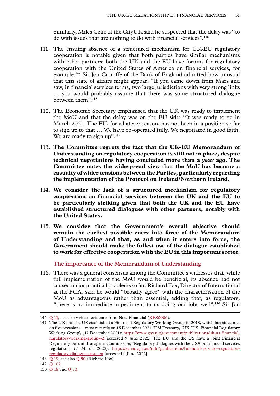<span id="page-32-0"></span>Similarly, Miles Celic of the CityUK said he suspected that the delay was "to do with issues that are nothing to do with financial services".146

- 111. The ensuing absence of a structured mechanism for UK-EU regulatory cooperation is notable given that both parties have similar mechanisms with other partners: both the UK and the EU have forums for regulatory cooperation with the United States of America on financial services, for example.147 Sir Jon Cunliffe of the Bank of England admitted how unusual that this state of affairs might appear: "If you came down from Mars and saw, in financial services terms, two large jurisdictions with very strong links … you would probably assume that there was some structured dialogue between them".148
- 112. The Economic Secretary emphasised that the UK was ready to implement the MoU and that the delay was on the EU side: "It was ready to go in March 2021. The EU, for whatever reason, has not been in a position so far to sign up to that … We have co-operated fully. We negotiated in good faith. We are ready to sign up".<sup>149</sup>
- 113. **The Committee regrets the fact that the UK-EU Memorandum of Understanding on regulatory cooperation is still not in place, despite technical negotiations having concluded more than a year ago. The Committee notes the widespread view that the MoU has become a casualty of wider tensions between the Parties, particularly regarding the implementation of the Protocol on Ireland/Northern Ireland.**
- 114. **We consider the lack of a structured mechanism for regulatory cooperation on financial services between the UK and the EU to be particularly striking given that both the UK and the EU have established structured dialogues with other partners, notably with the United States.**
- 115. **We consider that the Government's overall objective should remain the earliest possible entry into force of the Memorandum of Understanding and that, as and when it enters into force, the Government should make the fullest use of the dialogue established to work for effective cooperation with the EU in this important sector.**

**The importance of the Memorandum of Understanding**

116. There was a general consensus among the Committee's witnesses that, while full implementation of the MoU would be beneficial, its absence had not caused major practical problems so far. Richard Fox, Director of International at the FCA, said he would "broadly agree" with the characterisation of the MoU as advantageous rather than essential, adding that, as regulators, "there is no immediate impediment to us doing our jobs well".150 Sir Jon

<sup>146</sup> Q [11;](https://committees.parliament.uk/oralevidence/3446/html/) see also written evidence from New Financial [\(RFS0006](https://committees.parliament.uk/writtenevidence/108480/html/)).

<sup>147</sup> The UK and the US established a Financial Regulatory Working Group in 2018, which has since met on five occasions—most recently on 15 December 2021. HM Treasury, 'UK-U.S. Financial Regulatory Working Group', (17 December 2021): [https://www.gov.uk/government/publications/uk-us-financial](https://www.gov.uk/government/publications/uk-us-financial-regulatory-working-group--2)[regulatory-working-group--2.](https://www.gov.uk/government/publications/uk-us-financial-regulatory-working-group--2)[accessed 9 June 2022] The EU and the US have a Joint Financial Regulatory Forum. European Commission, 'Regulatory dialogues with the USA on financial services regulation', (7 March 2022): [https://ec.europa.eu/info/publications/financial-services-regulation](https://ec.europa.eu/info/publications/financial-services-regulation-regulatory-dialogues-usa_en)[regulatory-dialogues-usa\\_en.](https://ec.europa.eu/info/publications/financial-services-regulation-regulatory-dialogues-usa_en)[accessed 9 June 2022]

<sup>148</sup> Q [19](https://committees.parliament.uk/oralevidence/9903/html/); see also Q [50](https://committees.parliament.uk/oralevidence/10016/html/) (Richard Fox).

<sup>149</sup> Q [102](https://committees.parliament.uk/oralevidence/10188/html/)

<sup>150</sup> O [18](https://committees.parliament.uk/oralevidence/9903/html/) and O [50](https://committees.parliament.uk/oralevidence/10016/html/)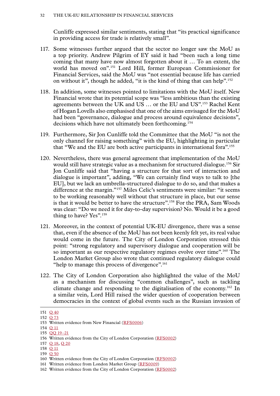Cunliffe expressed similar sentiments, stating that "its practical significance in providing access for trade is relatively small".

- 117. Some witnesses further argued that the sector no longer saw the MoU as a top priority. Andrew Pilgrim of EY said it had "been such a long time coming that many have now almost forgotten about it … To an extent, the world has moved on".151 Lord Hill, former European Commissioner for Financial Services, said the MoU was "not essential because life has carried on without it", though he added, "it is the kind of thing that can help".152
- 118. In addition, some witnesses pointed to limitations with the MoU itself. New Financial wrote that its potential scope was "less ambitious than the existing agreements between the UK and US … or the EU and US".153 Rachel Kent of Hogan Lovells also emphasised that one of the aims envisaged for the MoU had been "governance, dialogue and process around equivalence decisions", decisions which have not ultimately been forthcoming.154
- 119. Furthermore, Sir Jon Cunliffe told the Committee that the MoU "is not the only channel for raising something" with the EU, highlighting in particular that "We and the EU are both active participants in international fora".155
- 120. Nevertheless, there was general agreement that implementation of the MoU would still have strategic value as a mechanism for structured dialogue.156 Sir Jon Cunliffe said that "having a structure for that sort of interaction and dialogue is important", adding, "We can certainly find ways to talk to [the EU], but we lack an umbrella-structured dialogue to do so, and that makes a difference at the margin."157 Miles Celic's sentiments were similar: "it seems to be working reasonably well without that structure in place, but our sense is that it would be better to have the structure".<sup>158</sup> For the PRA, Sam Woods was clear: "Do we need it for day-to-day supervision? No. Would it be a good thing to have? Yes".<sup>159</sup>
- 121. Moreover, in the context of potential UK-EU divergence, there was a sense that, even if the absence of the MoU has not been keenly felt yet, its real value would come in the future. The City of London Corporation stressed this point: "strong regulatory and supervisory dialogue and cooperation will be so important as our respective regulatory regimes evolve over time".<sup>160</sup> The London Market Group also wrote that continued regulatory dialogue could "help to manage this process of divergence".<sup>161</sup>
- 122. The City of London Corporation also highlighted the value of the MoU as a mechanism for discussing "common challenges", such as tackling climate change and responding to the digitalisation of the economy.162 In a similar vein, Lord Hill raised the wider question of cooperation between democracies in the context of global events such as the Russian invasion of

159 Q [50](https://committees.parliament.uk/oralevidence/10016/html/)

<sup>151</sup> Q [40](https://committees.parliament.uk/oralevidence/9980/html/)

<sup>152</sup> Q [73](https://committees.parliament.uk/oralevidence/10060/html/)

<sup>153</sup> Written evidence from New Financial [\(RFS0006\)](https://committees.parliament.uk/writtenevidence/108480/html/)

<sup>154</sup> Q [11](https://committees.parliament.uk/oralevidence/3446/html/)

<sup>155</sup> [QQ](https://committees.parliament.uk/oralevidence/9903/html/) 19–21

<sup>156</sup> Written evidence from the City of London Corporation ([RFS0002\)](https://committees.parliament.uk/writtenevidence/107600/html/)

<sup>157</sup> Q [18](https://committees.parliament.uk/oralevidence/9903/html/), Q [20](https://committees.parliament.uk/oralevidence/9903/html/)

<sup>158</sup> Q [11](https://committees.parliament.uk/oralevidence/3446/html/)

<sup>160</sup> Written evidence from the City of London Corporation ([RFS0002\)](https://committees.parliament.uk/writtenevidence/107600/html/)

<sup>161</sup> Written evidence from London Market Group ([RFS0009](https://committees.parliament.uk/writtenevidence/108486/html/))

<sup>162</sup> Written evidence from the City of London Corporation ([RFS0002\)](https://committees.parliament.uk/writtenevidence/107600/html/)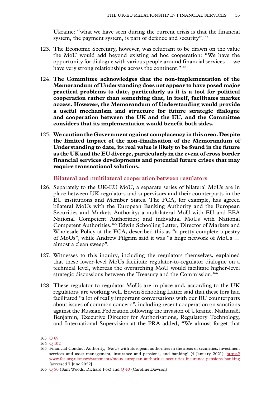<span id="page-34-0"></span>Ukraine: "what we have seen during the current crisis is that the financial system, the payment system, is part of defence and security".<sup>163</sup>

- 123. The Economic Secretary, however, was reluctant to be drawn on the value the MoU would add beyond existing ad hoc cooperation: "We have the opportunity for dialogue with various people around financial services … we have very strong relationships across the continent."<sup>164</sup>
- 124. **The Committee acknowledges that the non-implementation of the Memorandum of Understanding does not appear to have posed major practical problems to date, particularly as it is a tool for political cooperation rather than something that, in itself, facilitates market access. However, the Memorandum of Understanding would provide a useful mechanism and structure for future strategic dialogue and cooperation between the UK and the EU, and the Committee considers that its implementation would benefit both sides.**
- 125. **We caution the Government against complacency in this area. Despite the limited impact of the non-finalisation of the Memorandum of Understanding to date, its real value is likely to be found in the future as the UK and the EU diverge, particularly in the event of cross border financial services developments and potential future crises that may require transnational solutions.**

**Bilateral and multilateral cooperation between regulators**

- 126. Separately to the UK-EU MoU, a separate series of bilateral MoUs are in place between UK regulators and supervisors and their counterparts in the EU institutions and Member States. The FCA, for example, has agreed bilateral MoUs with the European Banking Authority and the European Securities and Markets Authority; a multilateral MoU with EU and EEA National Competent Authorities; and individual MoUs with National Competent Authorities.165 Edwin Schooling Latter, Director of Markets and Wholesale Policy at the FCA, described this as "a pretty complete tapestry of MoUs", while Andrew Pilgrim said it was "a huge network of MoUs … almost a clean sweep".
- 127. Witnesses to this inquiry, including the regulators themselves, explained that these lower-level MoUs facilitate regulator-to-regulator dialogue on a technical level, whereas the overarching MoU would facilitate higher-level strategic discussions between the Treasury and the Commission.<sup>166</sup>
- 128. These regulator-to-regulator MoUs are in place and, according to the UK regulators, are working well. Edwin Schooling Latter said that these fora had facilitated "a lot of really important conversations with our EU counterparts about issues of common concern", including recent cooperation on sanctions against the Russian Federation following the invasion of Ukraine. Nathanaël Benjamin, Executive Director for Authorisations, Regulatory Technology, and International Supervision at the PRA added, "We almost forget that

<sup>163</sup> Q [69](https://committees.parliament.uk/oralevidence/10060/html/)

<sup>164</sup> Q [102](https://committees.parliament.uk/oralevidence/10188/html/)

<sup>165</sup> Financial Conduct Authority, 'MoUs with European authorities in the areas of securities, investment services and asset management, insurance and pensions, and banking' (4 January 2021): [https://](https://www.fca.org.uk/news/statements/mous-european-authorities-securities-insurance-pensions-banking) [www.fca.org.uk/news/statements/mous-european-authorities-securities-insurance-pensions-banking](https://www.fca.org.uk/news/statements/mous-european-authorities-securities-insurance-pensions-banking) [accessed 7 June 2022]

<sup>166</sup> Q [50](https://committees.parliament.uk/oralevidence/10016/html/) (Sam Woods, Richard Fox) and Q [40](https://committees.parliament.uk/oralevidence/9980/html/) (Caroline Dawson)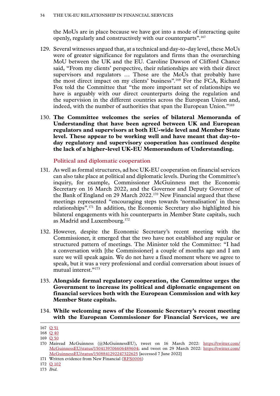<span id="page-35-0"></span>the MoUs are in place because we have got into a mode of interacting quite openly, regularly and constructively with our counterparts".167

- 129. Several witnesses argued that, at a technical and day-to-day level, these MoUs were of greater significance for regulators and firms than the overarching MoU between the UK and the EU. Caroline Dawson of Clifford Chance said, "From my clients' perspective, their relationships are with their direct supervisors and regulators … Those are the MoUs that probably have the most direct impact on my clients' business".168 For the FCA, Richard Fox told the Committee that "the more important set of relationships we have is arguably with our direct counterparts doing the regulation and the supervision in the different countries across the European Union and, indeed, with the number of authorities that span the European Union."169
- 130. **The Committee welcomes the series of bilateral Memoranda of Understanding that have been agreed between UK and European regulators and supervisors at both EU-wide level and Member State level. These appear to be working well and have meant that day-today regulatory and supervisory cooperation has continued despite the lack of a higher-level UK-EU Memorandum of Understanding.**

**Political and diplomatic cooperation**

- 131. As well as formal structures, ad hoc UK-EU cooperation on financial services can also take place at political and diplomatic levels. During the Committee's inquiry, for example, Commissioner McGuinness met the Economic Secretary on 16 March 2022, and the Governor and Deputy Governor of the Bank of England on 29 March 2022.170 New Financial argued that these meetings represented "encouraging steps towards 'normalisation' in these relationships".171 In addition, the Economic Secretary also highlighted his bilateral engagements with his counterparts in Member State capitals, such as Madrid and Luxembourg.172
- 132. However, despite the Economic Secretary's recent meeting with the Commissioner, it emerged that the two have not established any regular or structured pattern of meetings. The Minister told the Committee: "I had a conversation with [the Commissioner] a couple of months ago and I am sure we will speak again. We do not have a fixed moment where we agree to speak, but it was a very professional and cordial conversation about issues of mutual interest."<sup>173</sup>
- 133. **Alongside formal regulatory cooperation, the Committee urges the Government to increase its political and diplomatic engagement on financial services both with the European Commission and with key Member State capitals.**
- 134. **While welcoming news of the Economic Secretary's recent meeting with the European Commissioner for Financial Services, we are**

<sup>167</sup> Q [51](https://committees.parliament.uk/oralevidence/10016/html/)

<sup>168</sup> Q [40](https://committees.parliament.uk/oralevidence/9980/html/) 169 Q [50](https://committees.parliament.uk/oralevidence/10016/html/)

<sup>170</sup> Mairead McGuinness (@McGuinnessEU), tweet on 16 March 2022: [https://twitter.com/](https://twitter.com/McGuinnessEU/status/1504139706606489604) [McGuinnessEU/status/1504139706606489604](https://twitter.com/McGuinnessEU/status/1504139706606489604); and tweet on 29 March 2022: [https://twitter.com/](https://twitter.com/McGuinnessEU/status/1508841292247322625) [McGuinnessEU/status/1508841292247322625](https://twitter.com/McGuinnessEU/status/1508841292247322625) [accessed 7 June 2022]

<sup>171</sup> Written evidence from New Financial [\(RFS0006\)](https://committees.parliament.uk/writtenevidence/108480/html/)

<sup>172</sup> Q [102](https://committees.parliament.uk/oralevidence/10188/html/)

<sup>173</sup> *Ibid.*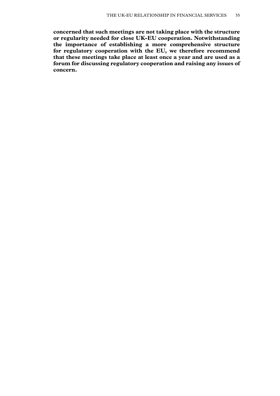**concerned that such meetings are not taking place with the structure or regularity needed for close UK-EU cooperation. Notwithstanding the importance of establishing a more comprehensive structure for regulatory cooperation with the EU, we therefore recommend that these meetings take place at least once a year and are used as a forum for discussing regulatory cooperation and raising any issues of concern.**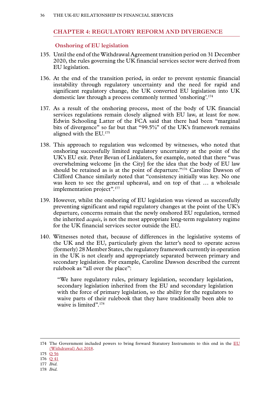### **Chapter 4: REGULATORY REFORM AND DIVERGENCE**

### **Onshoring of EU legislation**

- 135. Until the end of the Withdrawal Agreement transition period on 31 December 2020, the rules governing the UK financial services sector were derived from EU legislation.
- 136. At the end of the transition period, in order to prevent systemic financial instability through regulatory uncertainty and the need for rapid and significant regulatory change, the UK converted EU legislation into UK domestic law through a process commonly termed 'onshoring'.174
- 137. As a result of the onshoring process, most of the body of UK financial services regulations remain closely aligned with EU law, at least for now. Edwin Schooling Latter of the FCA said that there had been "marginal bits of divergence" so far but that "99.5%" of the UK's framework remains aligned with the EU.175
- 138. This approach to regulation was welcomed by witnesses, who noted that onshoring successfully limited regulatory uncertainty at the point of the UK's EU exit. Peter Bevan of Linklaters, for example, noted that there "was overwhelming welcome [in the City] for the idea that the body of EU law should be retained as is at the point of departure."<sup>176</sup> Caroline Dawson of Clifford Chance similarly noted that "consistency initially was key. No one was keen to see the general upheaval, and on top of that … a wholesale implementation project".177
- 139. However, whilst the onshoring of EU legislation was viewed as successfully preventing significant and rapid regulatory changes at the point of the UK's departure, concerns remain that the newly onshored EU regulation, termed the inherited *acquis*, is not the most appropriate long-term regulatory regime for the UK financial services sector outside the EU.
- 140. Witnesses noted that, because of differences in the legislative systems of the UK and the EU, particularly given the latter's need to operate across (formerly) 28 Member States, the regulatory framework currently in operation in the UK is not clearly and appropriately separated between primary and secondary legislation. For example, Caroline Dawson described the current rulebook as "all over the place":

"We have regulatory rules, primary legislation, secondary legislation, secondary legislation inherited from the EU and secondary legislation with the force of primary legislation, so the ability for the regulators to waive parts of their rulebook that they have traditionally been able to waive is limited".<sup>178</sup>

<sup>174</sup> The Government included powers to bring forward Statutory Instruments to this end in the [EU](https://www.legislation.gov.uk/ukpga/2018/16/contents/enacted) [\(Withdrawal\) Act 2018.](https://www.legislation.gov.uk/ukpga/2018/16/contents/enacted)

<sup>175</sup> Q [56](https://committees.parliament.uk/oralevidence/10016/html/)

<sup>176</sup> Q [41](https://committees.parliament.uk/oralevidence/9980/html/)

<sup>177</sup> *Ibid.*

<sup>178</sup> *Ibid.*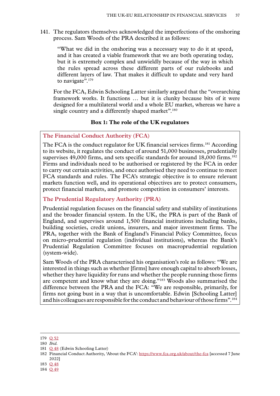141. The regulators themselves acknowledged the imperfections of the onshoring process. Sam Woods of the PRA described it as follows:

"What we did in the onshoring was a necessary way to do it at speed, and it has created a viable framework that we are both operating today, but it is extremely complex and unwieldly because of the way in which the rules spread across these different parts of our rulebooks and different layers of law. That makes it difficult to update and very hard to navigate".<sup>179</sup>

For the FCA, Edwin Schooling Latter similarly argued that the "overarching framework works. It functions … but it is clunky because bits of it were designed for a multilateral world and a whole EU market, whereas we have a single country and a differently shaped market".<sup>180</sup>

# **Box 1: The role of the UK regulators**

### **The Financial Conduct Authority (FCA)**

The FCA is the conduct regulator for UK financial services firms.<sup>181</sup> According to its website, it regulates the conduct of around 51,000 businesses, prudentially supervises 49,000 firms, and sets specific standards for around  $18,000$  firms.<sup>182</sup> Firms and individuals need to be authorised or registered by the FCA in order to carry out certain activities, and once authorised they need to continue to meet FCA standards and rules. The FCA's strategic objective is to ensure relevant markets function well, and its operational objectives are to protect consumers, protect financial markets, and promote competition in consumers' interests.

# **The Prudential Regulatory Authority (PRA)**

Prudential regulation focuses on the financial safety and stability of institutions and the broader financial system. In the UK, the PRA is part of the Bank of England, and supervises around 1,500 financial institutions including banks, building societies, credit unions, insurers, and major investment firms. The PRA, together with the Bank of England's Financial Policy Committee, focus on micro-prudential regulation (individual institutions), whereas the Bank's Prudential Regulation Committee focuses on macroprudential regulation (system-wide).

Sam Woods of the PRA characterised his organisation's role as follows: "We are interested in things such as whether [firms] have enough capital to absorb losses, whether they have liquidity for runs and whether the people running those firms are competent and know what they are doing."183 Woods also summarised the difference between the PRA and the FCA: "We are responsible, primarily, for firms not going bust in a way that is uncomfortable. Edwin [Schooling Latter] and his colleagues are responsible for the conduct and behaviour of those firms".184

- 183 Q [48](https://committees.parliament.uk/oralevidence/10016/html/)
- 184 Q [49](https://committees.parliament.uk/oralevidence/10016/html/)

<sup>179</sup> Q [52](https://committees.parliament.uk/oralevidence/10016/html/)

<sup>180</sup> *Ibid.*

<sup>181</sup> Q [48](https://committees.parliament.uk/oralevidence/10016/html/) (Edwin Schooling Latter)

<sup>182</sup> Financial Conduct Authority, 'About the FCA': <https://www.fca.org.uk/about/the-fca> [accessed 7 June 2022]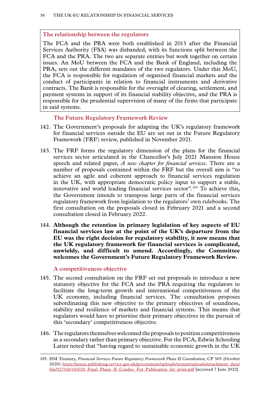### **The relationship between the regulators**

The FCA and the PRA were both established in 2013 after the Financial Services Authority (FSA) was disbanded, with its functions split between the FCA and the PRA. The two are separate entities but work together on certain issues. An MoU between the FCA and the Bank of England, including the PRA, sets out the different mandates of the two regulators. Under this MoU, the FCA is responsible for regulation of organised financial markets and the conduct of participants in relation to financial instruments and derivative contracts. The Bank is responsible for the oversight of clearing, settlement, and payment systems in support of its financial stability objective, and the PRA is responsible for the prudential supervision of many of the firms that participate in said systems.

### **The Future Regulatory Framework Review**

- 142. The Government's proposals for adapting the UK's regulatory framework for financial services outside the EU are set out in the Future Regulatory Framework (FRF) review, published in November 2021.
- 143. The FRF forms the regulatory dimension of the plans for the financial services sector articulated in the Chancellor's July 2021 Mansion House speech and related paper, *A new chapter for financial services*. There are a number of proposals contained within the FRF but the overall aim is "to achieve an agile and coherent approach to financial services regulation in the UK, with appropriate democratic policy input to support a stable, innovative and world leading financial services sector".185 To achieve this, the Government intends to transpose large parts of the financial services regulatory framework from legislation to the regulators' own rulebooks. The first consultation on the proposals closed in February 2021 and a second consultation closed in February 2022.
- 144. **Although the retention in primary legislation of key aspects of EU financial services law at the point of the UK's departure from the EU was the right decision for regulatory stability, it now means that the UK regulatory framework for financial services is complicated, unwieldy, and difficult to amend. Accordingly, the Committee welcomes the Government's Future Regulatory Framework Review.**

### **A competitiveness objective**

- 145. The second consultation on the FRF set out proposals to introduce a new statutory objective for the FCA and the PRA requiring the regulators to facilitate the long-term growth and international competitiveness of the UK economy, including financial services. The consultation proposes subordinating this new objective to the primary objectives of soundness, stability and resilience of markets and financial systems. This means that regulators would have to prioritise their primary objectives in the pursuit of this 'secondary' competitiveness objective.
- 146. The regulators themselves welcomed the proposals to position competitiveness as a secondary rather than primary objective. For the FCA, Edwin Schooling Latter noted that "having regard to sustainable economic growth in the UK

<sup>185</sup> HM Treasury, *Financial Services Future Regulatory Framework Phase II Consultation,* CP 305 (October 2020): [https://assets.publishing.service.gov.uk/government/uploads/system/uploads/attachment\\_data/](https://assets.publishing.service.gov.uk/government/uploads/system/uploads/attachment_data/file/927316/141020_Final_Phase_II_Condoc_For_Publication_for_print.pdf) [file/927316/141020\\_Final\\_Phase\\_II\\_Condoc\\_For\\_Publication\\_for\\_print.pdf](https://assets.publishing.service.gov.uk/government/uploads/system/uploads/attachment_data/file/927316/141020_Final_Phase_II_Condoc_For_Publication_for_print.pdf) [accessed 7 June 2022]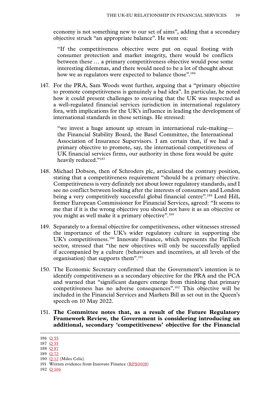economy is not something new to our set of aims", adding that a secondary objective struck "an appropriate balance". He went on:

"If the competitiveness objective were put on equal footing with consumer protection and market integrity, there would be conflicts between these … a primary competitiveness objective would pose some interesting dilemmas, and there would need to be a lot of thought about how we as regulators were expected to balance those".<sup>186</sup>

147. For the PRA, Sam Woods went further, arguing that a "primary objective to promote competitiveness is genuinely a bad idea". In particular, he noted how it could present challenges to ensuring that the UK was respected as a well-regulated financial services jurisdiction in international regulatory fora, with implications for the UK's influence in leading the development of international standards in those settings. He stressed:

"we invest a huge amount up stream in international rule-making the Financial Stability Board, the Basel Committee, the International Association of Insurance Supervisors. I am certain that, if we had a primary objective to promote, say, the international competitiveness of UK financial services firms, our authority in those fora would be quite heavily reduced."187

- 148. Michael Dobson, then of Schroders plc, articulated the contrary position, stating that a competitiveness requirement "should be a primary objective. Competitiveness is very definitely not about lower regulatory standards, and I see no conflict between looking after the interests of consumers and London being a very competitively successful global financial centre".<sup>188</sup> Lord Hill, former European Commissioner for Financial Services, agreed: "It seems to me that if it is the wrong objective you should not have it as an objective or you might as well make it a primary objective".<sup>189</sup>
- 149. Separately to a formal objective for competitiveness, other witnesses stressed the importance of the UK's wider regulatory culture in supporting the UK's competitiveness.190 Innovate Finance, which represents the FinTech sector, stressed that "the new objectives will only be successfully applied if accompanied by a culture (behaviours and incentives, at all levels of the organisation) that supports them".<sup>191</sup>
- 150. The Economic Secretary confirmed that the Government's intention is to identify competitiveness as a secondary objective for the PRA and the FCA and warned that "significant dangers emerge from thinking that primary competitiveness has no adverse consequences".192 This objective will be included in the Financial Services and Markets Bill as set out in the Queen's speech on 10 May 2022.
- 151. **The Committee notes that, as a result of the Future Regulatory Framework Review, the Government is considering introducing an additional, secondary 'competitiveness' objective for the Financial**

192 Q [106](https://committees.parliament.uk/oralevidence/10188/html/)

<sup>186</sup> Q [55](https://committees.parliament.uk/oralevidence/10016/html/)

<sup>187</sup> Q [55](https://committees.parliament.uk/oralevidence/10016/html/)

<sup>188</sup> Q [87](https://committees.parliament.uk/oralevidence/10097/html/)

<sup>189</sup> Q [72](https://committees.parliament.uk/oralevidence/10060/html/)

<sup>190</sup> Q [12](https://committees.parliament.uk/oralevidence/3446/html/) (Miles Celic)

<sup>191</sup> Written evidence from Innovate Finance ([RFS0008\)](https://committees.parliament.uk/writtenevidence/108484/html/)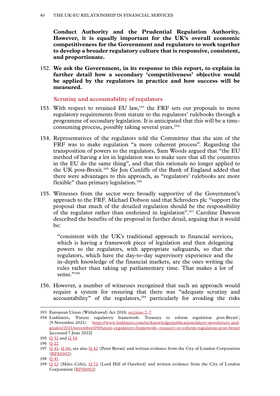**Conduct Authority and the Prudential Regulation Authority. However, it is equally important for the UK's overall economic competitiveness for the Government and regulators to work together to develop a broader regulatory culture that is responsive, consistent, and proportionate.**

152. **We ask the Government, in its response to this report, to explain in further detail how a secondary 'competitiveness' objective would be applied by the regulators in practice and how success will be measured.**

### **Scrutiny and accountability of regulators**

- 153. With respect to retained EU law,<sup>193</sup> the FRF sets out proposals to move regulatory requirements from statute to the regulators' rulebooks through a programme of secondary legislation. It is anticipated that this will be a timeconsuming process, possibly taking several years.194
- 154. Representatives of the regulators told the Committee that the aim of the FRF was to make regulation "a more coherent process". Regarding the transposition of powers to the regulators, Sam Woods argued that "the EU method of having a lot in legislation was to make sure that all the countries in the EU do the same thing", and that this rationale no longer applied to the UK post-Brexit.195 Sir Jon Cunliffe of the Bank of England added that there were advantages to this approach, as "regulators' rulebooks are more flexible" than primary legislation.<sup>196</sup>
- 155. Witnesses from the sector were broadly supportive of the Government's approach to the FRF. Michael Dobson said that Schroders plc "support the proposal that much of the detailed regulation should be the responsibility of the regulator rather than enshrined in legislation".197 Caroline Dawson described the benefits of the proposal in further detail, arguing that it would be:

"consistent with the UK's traditional approach to financial services, which is having a framework piece of legislation and then delegating powers to the regulators, with appropriate safeguards, so that the regulators, which have the day-to-day supervisory experience and the in-depth knowledge of the financial markets, are the ones writing the rules rather than taking up parliamentary time. That makes a lot of sense."198

156. However, a number of witnesses recognised that such an approach would require a system for ensuring that there was "adequate scrutiny and accountability" of the regulators,<sup>199</sup> particularly for avoiding the risks

<sup>193</sup> European Union (Withdrawal) Act 2018, [sections 2–7](https://www.legislation.gov.uk/ukpga/2018/16/crossheading/retention-of-existing-eu-law/enacted)

<sup>194</sup> Linklaters, 'Future regulatory framework: Treasury to reform regulation post-Brexit', (9 November 2021): [https://www.linklaters.com/en/knowledge/publications/alerts-newsletters-and](https://www.linklaters.com/en/knowledge/publications/alerts-newsletters-and-guides/2021/november/09/future-regulatory-framework--treasury-to-reform-regulation-post-brexit)[guides/2021/november/09/future-regulatory-framework--treasury-to-reform-regulation-post-brexit](https://www.linklaters.com/en/knowledge/publications/alerts-newsletters-and-guides/2021/november/09/future-regulatory-framework--treasury-to-reform-regulation-post-brexit) [accessed 7 June 2022]

<sup>195</sup> O [52](https://committees.parliament.uk/oralevidence/10016/html/) and O [54](https://committees.parliament.uk/oralevidence/10016/html/)

<sup>196</sup> Q [22](https://committees.parliament.uk/oralevidence/9903/html/)

<sup>197</sup>  $Q$  [41](https://committees.parliament.uk/oralevidence/9980/html/),  $Q$  [86](https://committees.parliament.uk/oralevidence/10097/html/); see also  $Q$  [42](https://committees.parliament.uk/oralevidence/9980/html/) (Peter Bevan) and written evidence from the City of London Corporation ([RFS0002\)](https://committees.parliament.uk/writtenevidence/107600/html/).

<sup>198</sup> Q [41](https://committees.parliament.uk/oralevidence/9980/html/)

<sup>199</sup> Q [12](https://committees.parliament.uk/oralevidence/3446/html/) (Miles Celic), Q [72](https://committees.parliament.uk/oralevidence/10060/html/) (Lord Hill of Oareford) and written evidence from the City of London Corporation ([RFS0002\)](https://committees.parliament.uk/writtenevidence/107600/html/)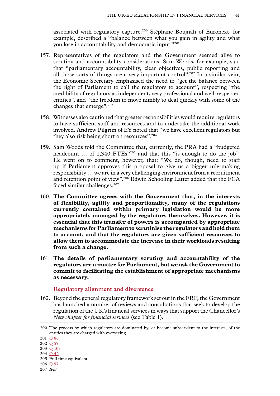associated with regulatory capture.200 Stéphane Boujnah of Euronext, for example, described a "balance between what you gain in agility and what you lose in accountability and democratic input."201

- 157. Representatives of the regulators and the Government seemed alive to scrutiny and accountability considerations. Sam Woods, for example, said that "parliamentary accountability, clear objectives, public reporting and all those sorts of things are a very important control".202 In a similar vein, the Economic Secretary emphasised the need to "get the balance between the right of Parliament to call the regulators to account", respecting "the credibility of regulators as independent, very professional and well-respected entities", and "the freedom to move nimbly to deal quickly with some of the changes that emerge".203
- 158. Witnesses also cautioned that greater responsibilities would require regulators to have sufficient staff and resources and to undertake the additional work involved. Andrew Pilgrim of EY noted that "we have excellent regulators but they also risk being short on resources".204
- 159. Sam Woods told the Committee that, currently, the PRA had a "budgeted headcount ... of 1,340 FTEs<sup>"205</sup> and that this "is enough to do the job". He went on to comment, however, that: "We do, though, need to staff up if Parliament approves this proposal to give us a bigger rule-making responsibility … we are in a very challenging environment from a recruitment and retention point of view".206 Edwin Schooling Latter added that the FCA faced similar challenges.<sup>207</sup>
- 160. **The Committee agrees with the Government that, in the interests of flexibility, agility and proportionality, many of the regulations currently contained within primary legislation would be more appropriately managed by the regulators themselves. However, it is essential that this transfer of powers is accompanied by appropriate mechanisms for Parliament to scrutinise the regulators and hold them to account, and that the regulators are given sufficient resources to allow them to accommodate the increase in their workloads resulting from such a change.**
- 161. **The details of parliamentary scrutiny and accountability of the regulators are a matter for Parliament, but we ask the Government to commit to facilitating the establishment of appropriate mechanisms as necessary.**

#### **Regulatory alignment and divergence**

162. Beyond the general regulatory framework set out in the FRF, the Government has launched a number of reviews and consultations that seek to develop the regulation of the UK's financial services in ways that support the Chancellor's *New chapter for financial services* (see Table 1).

207 *Ibid.*

<sup>200</sup> The process by which regulators are dominated by, or become subservient to the interests, of the entities they are charged with overseeing.

<sup>201</sup> Q [86](https://committees.parliament.uk/oralevidence/10097/html/)

<sup>202</sup> Q [57](https://committees.parliament.uk/oralevidence/10016/html/)

<sup>203</sup> Q [103](https://committees.parliament.uk/oralevidence/10188/html/)

<sup>204</sup> Q [42](https://committees.parliament.uk/oralevidence/9980/html/)

<sup>205</sup> Full time equivalent.

<sup>206</sup> Q [57](https://committees.parliament.uk/oralevidence/10016/html/)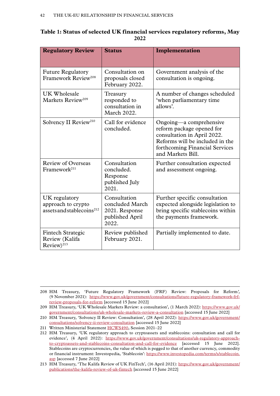| Table 1: Status of selected UK financial services regulatory reforms, May |
|---------------------------------------------------------------------------|
| 2022                                                                      |

| <b>Regulatory Review</b>                                                     | <b>Status</b>                                                                 | Implementation                                                                                                                                                                |
|------------------------------------------------------------------------------|-------------------------------------------------------------------------------|-------------------------------------------------------------------------------------------------------------------------------------------------------------------------------|
| <b>Future Regulatory</b><br>Framework Review <sup>208</sup>                  | Consultation on<br>proposals closed<br>February 2022.                         | Government analysis of the<br>consultation is ongoing.                                                                                                                        |
| UK Wholesale<br>Markets Review <sup>209</sup>                                | Treasury<br>responded to<br>consultation in<br>March 2022.                    | A number of changes scheduled<br>'when parliamentary time<br>allows'.                                                                                                         |
| Solvency II Review <sup>210</sup>                                            | Call for evidence<br>concluded.                                               | Ongoing—a comprehensive<br>reform package opened for<br>consultation in April 2022.<br>Reforms will be included in the<br>forthcoming Financial Services<br>and Markets Bill. |
| <b>Review of Overseas</b><br>Framework <sup>211</sup>                        | Consultation<br>concluded.<br>Response<br>published July<br>2021.             | Further consultation expected<br>and assessment ongoing.                                                                                                                      |
| UK regulatory<br>approach to crypto<br>assets and stablecoins <sup>212</sup> | Consultation<br>concluded March<br>2021. Response<br>published April<br>2022. | Further specific consultation<br>expected alongside legislation to<br>bring specific stablecoins within<br>the payments framework.                                            |
| <b>Fintech Strategic</b><br>Review (Kalifa<br>$Review)$ <sup>213</sup>       | Review published<br>February 2021.                                            | Partially implemented to date.                                                                                                                                                |

<sup>208</sup> HM Treasury, 'Future Regulatory Framework (FRF) Review: Proposals for Reform*',*  (9 November 2021): [https://www.gov.uk/government/consultations/future-regulatory-framework-frf](https://www.gov.uk/government/consultations/future-regulatory-framework-frf-review-proposals-for-reform)[review-proposals-for-reform](https://www.gov.uk/government/consultations/future-regulatory-framework-frf-review-proposals-for-reform) [accessed 15 June 2022]

<sup>209</sup> HM Treasury, 'UK Wholesale Markets Review: a consultation', (1 March 2022): [https://www.gov.uk/](https://www.gov.uk/government/consultations/uk-wholesale-markets-review-a-consultation) [government/consultations/uk-wholesale-markets-review-a-consultation](https://www.gov.uk/government/consultations/uk-wholesale-markets-review-a-consultation) [accessed 15 June 2022]

<sup>210</sup> HM Treasury, 'Solvency II Review: Consultation', (28 April 2022): [https://www.gov.uk/government/](https://www.gov.uk/government/consultations/solvency-ii-review-consultation) [consultations/solvency-ii-review-consultation](https://www.gov.uk/government/consultations/solvency-ii-review-consultation) [accessed 15 June 2022]

<sup>211</sup> Written Ministerial Statement [HCWS490,](https://questions-statements.parliament.uk/written-statements/detail/2021-12-15/hcws490) Session 2021–22

<sup>212</sup> HM Treasury, 'UK regulatory approach to cryptoassets and stablecoins: consultation and call for evidence', (4 April 2022): [https://www.gov.uk/government/consultations/uk-regulatory-approach](https://www.gov.uk/government/consultations/uk-regulatory-approach-to-cryptoassets-and-stablecoins-consultation-and-call-for-evidence)[to-cryptoassets-and-stablecoins-consultation-and-call-for-evidence](https://www.gov.uk/government/consultations/uk-regulatory-approach-to-cryptoassets-and-stablecoins-consultation-and-call-for-evidence) [accessed 15 June 2022]. Stablecoins are cryptocurrencies, the value of which is pegged to that of another currency, commodity or financial instrument: Investopedia, 'Stablecoin': [https://www.investopedia.com/terms/s/stablecoin.](https://www.investopedia.com/terms/s/stablecoin.asp) [asp](https://www.investopedia.com/terms/s/stablecoin.asp) [accessed 7 June 2022]

<sup>213</sup> HM Treasury, 'The Kalifa Review of UK FinTech', (16 April 2021): [https://www.gov.uk/government/](https://www.gov.uk/government/publications/the-kalifa-review-of-uk-fintech) [publications/the-kalifa-review-of-uk-fintech](https://www.gov.uk/government/publications/the-kalifa-review-of-uk-fintech) [accessed 15 June 2022]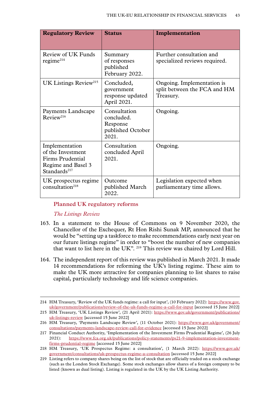| <b>Regulatory Review</b>                                                                                  | <b>Status</b>                                                        | Implementation                                                          |
|-----------------------------------------------------------------------------------------------------------|----------------------------------------------------------------------|-------------------------------------------------------------------------|
| Review of UK Funds<br>regime <sup>214</sup>                                                               | Summary<br>of responses<br>published<br>February 2022.               | Further consultation and<br>specialized reviews required.               |
| UK Listings Review <sup>215</sup>                                                                         | Concluded,<br>government<br>response updated<br>April 2021.          | Ongoing. Implementation is<br>split between the FCA and HM<br>Treasury. |
| Payments Landscape<br>Review <sup>216</sup>                                                               | Consultation<br>concluded.<br>Response<br>published October<br>2021. | Ongoing.                                                                |
| Implementation<br>of the Investment<br>Firms Prudential<br>Regime and Basel 3<br>Standards <sup>217</sup> | Consultation<br>concluded April<br>2021.                             | Ongoing.                                                                |
| UK prospectus regime<br>consultation <sup>218</sup>                                                       | Outcome<br>published March<br>2022.                                  | Legislation expected when<br>parliamentary time allows.                 |

### **Planned UK regulatory reforms**

### *The Listings Review*

- 163. In a statement to the House of Commons on 9 November 2020, the Chancellor of the Exchequer, Rt Hon Rishi Sunak MP, announced that he would be "setting up a taskforce to make recommendations early next year on our future listings regime" in order to "boost the number of new companies that want to list here in the UK". 219 This review was chaired by Lord Hill.
- 164. The independent report of this review was published in March 2021. It made 14 recommendations for reforming the UK's listing regime. These aim to make the UK more attractive for companies planning to list shares to raise capital, particularly technology and life science companies.

<sup>214</sup> HM Treasury, 'Review of the UK funds regime: a call for input', (10 February 2022): [https://www.gov.](https://www.gov.uk/government/publications/review-of-the-uk-funds-regime-a-call-for-input) [uk/government/publications/review-of-the-uk-funds-regime-a-call-for-input](https://www.gov.uk/government/publications/review-of-the-uk-funds-regime-a-call-for-input) [accessed 15 June 2022]

<sup>215</sup> HM Treasury, 'UK Listings Review', (21 April 2021): [https://www.gov.uk/government/publications/](https://www.gov.uk/government/publications/uk-listings-review) [uk-listings-review](https://www.gov.uk/government/publications/uk-listings-review) [accessed 15 June 2022]

<sup>216</sup> HM Treasury, 'Payments Landscape Review', (11 October 2021): [https://www.gov.uk/government/](https://www.gov.uk/government/consultations/payments-landscape-review-call-for-evidence) [consultations/payments-landscape-review-call-for-evidence](https://www.gov.uk/government/consultations/payments-landscape-review-call-for-evidence) [accessed 15 June 2022]

<sup>217</sup> Financial Conduct Authority, 'Implementation of the Investment Firms Prudential Regime', (26 July 2021): [https://www.fca.org.uk/publications/policy-statements/ps21-9-implementation-investment](https://www.fca.org.uk/publications/policy-statements/ps21-9-implementation-investment-firms-prudential-regime)[firms-prudential-regime](https://www.fca.org.uk/publications/policy-statements/ps21-9-implementation-investment-firms-prudential-regime) [accessed 15 June 2022]

<sup>218</sup> HM Treasury, 'UK Prospectus Regime: a consultation', (1 March 2022): [https://www.gov.uk/](https://www.gov.uk/government/consultations/uk-prospectus-regime-a-consultation) [government/consultations/uk-prospectus-regime-a-consultation](https://www.gov.uk/government/consultations/uk-prospectus-regime-a-consultation) [accessed 15 June 2022]

<sup>219</sup> Listing refers to company shares being on the list of stock that are officially traded on a stock exchange (such as the London Stock Exchange). Some stock exchanges allow shares of a foreign company to be listed (known as dual listing). Listing is regulated in the UK by the UK Listing Authority.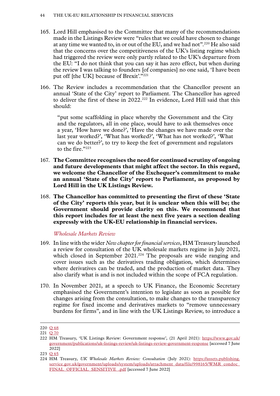- 165. Lord Hill emphasised to the Committee that many of the recommendations made in the Listings Review were "rules that we could have chosen to change at any time we wanted to, in or out of the EU, and we had not".220 He also said that the concerns over the competitiveness of the UK's listing regime which had triggered the review were only partly related to the UK's departure from the EU: "I do not think that you can say it has zero effect, but when during the review I was talking to founders [of companies] no one said, 'I have been put off [the UK] because of Brexit'."221
- 166. The Review includes a recommendation that the Chancellor present an annual 'State of the City' report to Parliament. The Chancellor has agreed to deliver the first of these in 2022.<sup>222</sup> In evidence, Lord Hill said that this should:

"put some scaffolding in place whereby the Government and the City and the regulators, all in one place, would have to ask themselves once a year, 'How have we done?', 'Have the changes we have made over the last year worked?', 'What has worked?', 'What has not worked?', 'What can we do better?', to try to keep the feet of government and regulators to the fire."223

- 167. **The Committee recognises the need for continued scrutiny of ongoing and future developments that might affect the sector. In this regard, we welcome the Chancellor of the Exchequer's commitment to make an annual 'State of the City' report to Parliament, as proposed by Lord Hill in the UK Listings Review.**
- 168. **The Chancellor has committed to presenting the first of these 'State of the City' reports this year, but it is unclear when this will be; the Government should provide clarity on this. We recommend that this report includes for at least the next five years a section dealing expressly with the UK-EU relationship in financial services.**

*Wholesale Markets Review*

- 169. In line with the wider *New chapter for financial services*, HM Treasury launched a review for consultation of the UK wholesale markets regime in July 2021, which closed in September 2021.<sup>224</sup> The proposals are wide ranging and cover issues such as the derivatives trading obligation, which determines where derivatives can be traded, and the production of market data. They also clarify what is and is not included within the scope of FCA regulation.
- 170. In November 2021, at a speech to UK Finance, the Economic Secretary emphasised the Government's intention to legislate as soon as possible for changes arising from the consultation, to make changes to the transparency regime for fixed income and derivatives markets to "remove unnecessary burdens for firms", and in line with the UK Listings Review, to introduce a

<sup>220</sup> Q [68](https://committees.parliament.uk/oralevidence/10060/html/) 221 Q [70](https://committees.parliament.uk/oralevidence/10060/html/)

<sup>222</sup> HM Treasury, 'UK Listings Review: Government response', (21 April 2021): [https://www.gov.uk/](https://www.gov.uk/government/publications/uk-listings-review/uk-listings-review-government-response) [government/publications/uk-listings-review/uk-listings-review-government-response](https://www.gov.uk/government/publications/uk-listings-review/uk-listings-review-government-response) [accessed 7 June 2022]

<sup>223</sup> Q [65](https://committees.parliament.uk/oralevidence/10060/html/)

<sup>224</sup> HM Treasury, *UK Wholesale Markets Review: Consultation* (July 2021): [https://assets.publishing.](https://assets.publishing.service.gov.uk/government/uploads/system/uploads/attachment_data/file/998165/WMR_condoc_FINAL_OFFICIAL_SENSITIVE_.pdf) [service.gov.uk/government/uploads/system/uploads/attachment\\_data/file/998165/WMR\\_condoc\\_](https://assets.publishing.service.gov.uk/government/uploads/system/uploads/attachment_data/file/998165/WMR_condoc_FINAL_OFFICIAL_SENSITIVE_.pdf) [FINAL\\_OFFICIAL\\_SENSITIVE\\_.pdf](https://assets.publishing.service.gov.uk/government/uploads/system/uploads/attachment_data/file/998165/WMR_condoc_FINAL_OFFICIAL_SENSITIVE_.pdf) [accessed 7 June 2022]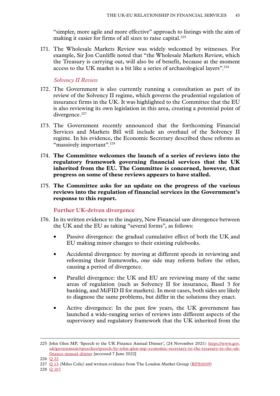"simpler, more agile and more effective" approach to listings with the aim of making it easier for firms of all sizes to raise capital.<sup>225</sup>

171. The Wholesale Markets Review was widely welcomed by witnesses. For example, Sir Jon Cunliffe noted that "the Wholesale Markets Review, which the Treasury is carrying out, will also be of benefit, because at the moment access to the UK market is a bit like a series of archaeological layers".<sup>226</sup>

### *Solvency II Review*

- 172. The Government is also currently running a consultation as part of its review of the Solvency II regime, which governs the prudential regulation of insurance firms in the UK. It was highlighted to the Committee that the EU is also reviewing its own legislation in this area, creating a potential point of divergence.<sup>227</sup>
- 173. The Government recently announced that the forthcoming Financial Services and Markets Bill will include an overhaul of the Solvency II regime. In his evidence, the Economic Secretary described these reforms as "massively important".<sup>228</sup>
- 174. **The Committee welcomes the launch of a series of reviews into the regulatory framework governing financial services that the UK inherited from the EU. The Committee is concerned, however, that progress on some of these reviews appears to have stalled.**
- 175. **The Committee asks for an update on the progress of the various reviews into the regulation of financial services in the Government's response to this report.**

# **Further UK-driven divergence**

- 176. In its written evidence to the inquiry, New Financial saw divergence between the UK and the EU as taking "several forms", as follows:
	- Passive divergence: the gradual cumulative effect of both the UK and EU making minor changes to their existing rulebooks.
	- Accidental divergence: by moving at different speeds in reviewing and reforming their frameworks, one side may reform before the other, causing a period of divergence.
	- Parallel divergence: the UK and EU are reviewing many of the same areas of regulation (such as Solvency II for insurance, Basel 3 for banking, and MiFID II for markets). In most cases, both sides are likely to diagnose the same problems, but differ in the solutions they enact.
	- Active divergence: In the past few years, the UK government has launched a wide-ranging series of reviews into different aspects of the supervisory and regulatory framework that the UK inherited from the

<sup>225</sup> John Glen MP, 'Speech to the UK Finance Annual Dinner', (24 November 2021): [https://www.gov.](https://www.gov.uk/government/speeches/speech-by-john-glen-mp-economic-secretary-to-the-treasury-to-the-uk-finance-annual-dinner) [uk/government/speeches/speech-by-john-glen-mp-economic-secretary-to-the-treasury-to-the-uk](https://www.gov.uk/government/speeches/speech-by-john-glen-mp-economic-secretary-to-the-treasury-to-the-uk-finance-annual-dinner)[finance-annual-dinner](https://www.gov.uk/government/speeches/speech-by-john-glen-mp-economic-secretary-to-the-treasury-to-the-uk-finance-annual-dinner) [accessed 7 June 2022]

<sup>226</sup> Q [22](https://committees.parliament.uk/oralevidence/9903/html/)

<sup>227</sup> O [13](https://committees.parliament.uk/oralevidence/3446/html/) (Miles Celic) and written evidence from The London Market Group ([RFS0009\)](https://committees.parliament.uk/writtenevidence/108486/html/)

<sup>228</sup> Q [107](https://committees.parliament.uk/oralevidence/10188/html/)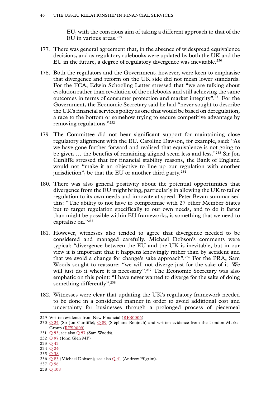EU, with the conscious aim of taking a different approach to that of the EU in various areas.<sup>229</sup>

- 177. There was general agreement that, in the absence of widespread equivalence decisions, and as regulatory rulebooks were updated by both the UK and the EU in the future, a degree of regulatory divergence was inevitable.<sup>230</sup>
- 178. Both the regulators and the Government, however, were keen to emphasise that divergence and reform on the UK side did not mean lower standards. For the FCA, Edwin Schooling Latter stressed that "we are talking about evolution rather than revolution of the rulebooks and still achieving the same outcomes in terms of consumer protection and market integrity".231 For the Government, the Economic Secretary said he had "never sought to describe the UK's financial services policy as one that would be based on deregulation, a race to the bottom or somehow trying to secure competitive advantage by removing regulations."232
- 179. The Committee did not hear significant support for maintaining close regulatory alignment with the EU. Caroline Dawson, for example, said: "As we have gone further forward and realised that equivalence is not going to be given … the benefits of remaining aligned seem less and less."233 Sir Jon Cunliffe stressed that for financial stability reasons, the Bank of England would not "make it an objective to line up our regulation with another jurisdiction", be that the EU or another third party. $234$
- 180. There was also general positivity about the potential opportunities that divergence from the EU might bring, particularly in allowing the UK to tailor regulation to its own needs and innovate at speed. Peter Bevan summarised this: "The ability to not have to compromise with 27 other Member States but to target regulation specifically to our own needs, and to do it faster than might be possible within EU frameworks, is something that we need to capitalise on."235
- 181. However, witnesses also tended to agree that divergence needed to be considered and managed carefully. Michael Dobson's comments were typical: "divergence between the EU and the UK is inevitable, but in our view it is important that it happens knowingly rather than by accident and that we avoid a change for change's sake approach".236 For the PRA, Sam Woods sought to reassure: "we will not diverge just for the sake of it. We will just do it where it is necessary".<sup>237</sup> The Economic Secretary was also emphatic on this point: "I have never wanted to diverge for the sake of doing something differently".<sup>238</sup>
- 182. Witnesses were clear that updating the UK's regulatory framework needed to be done in a considered manner in order to avoid additional cost and uncertainty for businesses through a prolonged process of piecemeal

<sup>229</sup> Written evidence from New Financial [\(RFS0006\)](https://committees.parliament.uk/writtenevidence/108480/html/)

<sup>230</sup> Q [25](https://committees.parliament.uk/oralevidence/9903/html/) (Sir Jon Cunliffe); Q [89](https://committees.parliament.uk/oralevidence/10097/html/) (Stéphane Boujnah) and written evidence from the London Market Group ([RFS0009\)](https://committees.parliament.uk/writtenevidence/108486/html/)

<sup>231</sup> O [53](https://committees.parliament.uk/oralevidence/10016/html/); see also O [57](https://committees.parliament.uk/oralevidence/10016/html/) (Sam Woods).

<sup>232</sup> Q [97](https://committees.parliament.uk/oralevidence/10188/html/) (John Glen MP)

<sup>233</sup> Q [43](https://committees.parliament.uk/oralevidence/9980/html/)

<sup>234</sup> Q [24](https://committees.parliament.uk/oralevidence/3446/html/)

<sup>235</sup> Q [38](https://committees.parliament.uk/oralevidence/9980/html/)

<sup>236</sup> Q [83](https://committees.parliament.uk/oralevidence/10097/html/) (Michael Dobson); see also Q [41](https://committees.parliament.uk/oralevidence/9980/html/) (Andrew Pilgrim).

<sup>237</sup> O [56](https://committees.parliament.uk/oralevidence/10016/html/) 238 Q [108](https://committees.parliament.uk/oralevidence/10188/html/)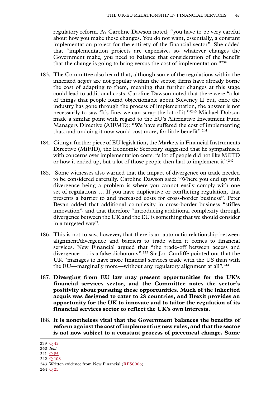regulatory reform. As Caroline Dawson noted, "you have to be very careful about how you make these changes. You do not want, essentially, a constant implementation project for the entirety of the financial sector". She added that "implementation projects are expensive, so, whatever changes the Government make, you need to balance that consideration of the benefit that the change is going to bring versus the cost of implementation."239

- 183. The Committee also heard that, although some of the regulations within the inherited *acquis* are not popular within the sector, firms have already borne the cost of adapting to them, meaning that further changes at this stage could lead to additional costs. Caroline Dawson noted that there were "a lot of things that people found objectionable about Solvency II but, once the industry has gone through the process of implementation, the answer is not necessarily to say, 'It's fine, we can scrap the lot of it.'"240 Michael Dobson made a similar point with regard to the EU's Alternative Investment Fund Managers Directive (AIFMD): "We have suffered the cost of implementing that, and undoing it now would cost more, for little benefit".<sup>241</sup>
- 184. Citing a further piece of EU legislation, the Markets in Financial Instruments Directive (MiFID), the Economic Secretary suggested that he sympathised with concerns over implementation costs: "a lot of people did not like MiFID or how it ended up, but a lot of those people then had to implement it".<sup>242</sup>
- 185. Some witnesses also warned that the impact of divergence on trade needed to be considered carefully. Caroline Dawson said: "Where you end up with divergence being a problem is where you cannot easily comply with one set of regulations … If you have duplicative or conflicting regulation, that presents a barrier to and increased costs for cross-border business". Peter Bevan added that additional complexity in cross-border business "stifles innovation", and that therefore "introducing additional complexity through divergence between the UK and the EU is something that we should consider in a targeted way".
- 186. This is not to say, however, that there is an automatic relationship between alignment/divergence and barriers to trade when it comes to financial services. New Financial argued that "the trade-off between access and divergence …. is a false dichotomy".243 Sir Jon Cunliffe pointed out that the UK "manages to have more financial services trade with the US than with the EU—marginally more—without any regulatory alignment at all".<sup>244</sup>
- 187. **Diverging from EU law may present opportunities for the UK's financial services sector, and the Committee notes the sector's positivity about pursuing these opportunities. Much of the inherited acquis was designed to cater to 28 countries, and Brexit provides an opportunity for the UK to innovate and to tailor the regulation of its financial services sector to reflect the UK's own interests.**
- 188. **It is nonetheless vital that the Government balances the benefits of reform against the cost of implementing new rules, and that the sector is not now subject to a constant process of piecemeal change. Some**

244 Q [25](https://committees.parliament.uk/oralevidence/9903/html/)

<sup>239</sup> Q [42](https://committees.parliament.uk/oralevidence/9980/html/)

<sup>240</sup> *Ibid.*

<sup>241</sup> Q [85](https://committees.parliament.uk/oralevidence/10097/html/)

<sup>242</sup> Q [108](https://committees.parliament.uk/oralevidence/10188/html/)

<sup>243</sup> Written evidence from New Financial [\(RFS0006\)](https://committees.parliament.uk/writtenevidence/108480/html/)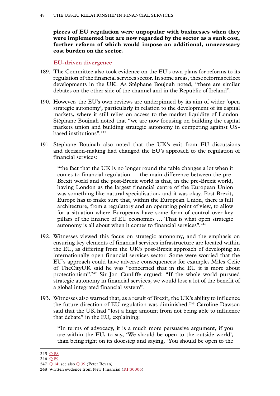**pieces of EU regulation were unpopular with businesses when they were implemented but are now regarded by the sector as a sunk cost, further reform of which would impose an additional, unnecessary cost burden on the sector.**

#### **EU-driven divergence**

- 189. The Committee also took evidence on the EU's own plans for reforms to its regulation of the financial services sector. In some areas, these reforms reflect developments in the UK. As Stéphane Boujnah noted, "there are similar debates on the other side of the channel and in the Republic of Ireland".
- 190. However, the EU's own reviews are underpinned by its aim of wider 'open strategic autonomy', particularly in relation to the development of its capital markets, where it still relies on access to the market liquidity of London. Stéphane Boujnah noted that "we are now focusing on building the capital markets union and building strategic autonomy in competing against USbased institutions".<sup>245</sup>
- 191. Stéphane Boujnah also noted that the UK's exit from EU discussions and decision-making had changed the EU's approach to the regulation of financial services:

"the fact that the UK is no longer round the table changes a lot when it comes to financial regulation … the main difference between the pre-Brexit world and the post-Brexit world is that, in the pre-Brexit world, having London as the largest financial centre of the European Union was something like natural specialisation, and it was okay. Post-Brexit, Europe has to make sure that, within the European Union, there is full architecture, from a regulatory and an operating point of view, to allow for a situation where Europeans have some form of control over key pillars of the finance of EU economies … That is what open strategic autonomy is all about when it comes to financial services".<sup>246</sup>

- 192. Witnesses viewed this focus on strategic autonomy, and the emphasis on ensuring key elements of financial services infrastructure are located within the EU, as differing from the UK's post-Brexit approach of developing an internationally open financial services sector. Some were worried that the EU's approach could have adverse consequences; for example, Miles Celic of TheCityUK said he was "concerned that in the EU it is more about protectionism".247 Sir Jon Cunliffe argued: "If the whole world pursued strategic autonomy in financial services, we would lose a lot of the benefit of a global integrated financial system".
- 193. Witnesses also warned that, as a result of Brexit, the UK's ability to influence the future direction of EU regulation was diminished.<sup>248</sup> Caroline Dawson said that the UK had "lost a huge amount from not being able to influence that debate" in the EU, explaining:

"In terms of advocacy, it is a much more persuasive argument, if you are within the EU, to say, 'We should be open to the outside world', than being right on its doorstep and saying, 'You should be open to the

<sup>245</sup> Q [88](https://committees.parliament.uk/oralevidence/10097/html/)

<sup>246</sup> Q [89](https://committees.parliament.uk/oralevidence/10097/html/)

<sup>247</sup> O [14](https://committees.parliament.uk/oralevidence/3446/html/); see also O [39](https://committees.parliament.uk/oralevidence/9980/html/) (Peter Bevan).

<sup>248</sup> Written evidence from New Financial [\(RFS0006\)](https://committees.parliament.uk/writtenevidence/108480/html/)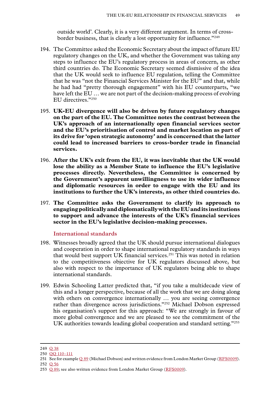outside world'. Clearly, it is a very different argument. In terms of crossborder business, that is clearly a lost opportunity for influence."249

- 194. The Committee asked the Economic Secretary about the impact of future EU regulatory changes on the UK, and whether the Government was taking any steps to influence the EU's regulatory process in areas of concern, as other third countries do. The Economic Secretary seemed dismissive of the idea that the UK would seek to influence EU regulation, telling the Committee that he was "not the Financial Services Minister for the EU" and that, while he had had "pretty thorough engagement" with his EU counterparts, "we have left the EU … we are not part of the decision-making process of evolving EU directives."250
- 195. **UK-EU divergence will also be driven by future regulatory changes on the part of the EU. The Committee notes the contrast between the UK's approach of an internationally open financial services sector and the EU's prioritisation of control and market location as part of its drive for 'open strategic autonomy' and is concerned that the latter could lead to increased barriers to cross-border trade in financial services.**
- 196. **After the UK's exit from the EU, it was inevitable that the UK would lose the ability as a Member State to influence the EU's legislative processes directly. Nevertheless, the Committee is concerned by the Government's apparent unwillingness to use its wider influence and diplomatic resources in order to engage with the EU and its institutions to further the UK's interests, as other third countries do.**
- 197. **The Committee asks the Government to clarify its approach to engaging politically and diplomatically with the EU and its institutions to support and advance the interests of the UK's financial services sector in the EU's legislative decision-making processes.**

#### **International standards**

- 198. Witnesses broadly agreed that the UK should pursue international dialogues and cooperation in order to shape international regulatory standards in ways that would best support UK financial services.251 This was noted in relation to the competitiveness objective for UK regulators discussed above, but also with respect to the importance of UK regulators being able to shape international standards.
- 199. Edwin Schooling Latter predicted that, "if you take a multidecade view of this and a longer perspective, because of all the work that we are doing along with others on convergence internationally … you are seeing convergence rather than divergence across jurisdictions."252 Michael Dobson expressed his organisation's support for this approach: "We are strongly in favour of more global convergence and we are pleased to see the commitment of the UK authorities towards leading global cooperation and standard setting."253

<sup>249</sup> Q [38](https://committees.parliament.uk/oralevidence/9980/html/)

<sup>250</sup> QQ [110–111](https://committees.parliament.uk/oralevidence/10188/html/)

<sup>251</sup> See for example Q [89](https://committees.parliament.uk/oralevidence/10097/html/) (Michael Dobson) and written evidence from London Market Group ([RFS0009](https://committees.parliament.uk/writtenevidence/108486/html/)).

<sup>252</sup> Q [56](https://committees.parliament.uk/oralevidence/10016/html/)

<sup>253</sup> O [89;](https://committees.parliament.uk/oralevidence/10097/html/) see also written evidence from London Market Group [\(RFS0009](https://committees.parliament.uk/writtenevidence/108486/html/)).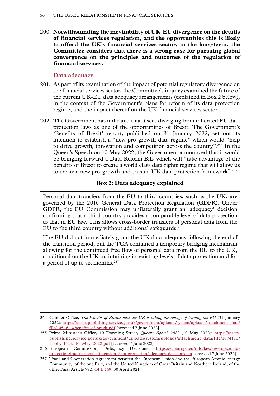200. **Notwithstanding the inevitability of UK-EU divergence on the details of financial services regulation, and the opportunities this is likely to afford the UK's financial services sector, in the long-term, the Committee considers that there is a strong case for pursuing global convergence on the principles and outcomes of the regulation of financial services.**

### **Data adequacy**

- 201. As part of its examination of the impact of potential regulatory divergence on the financial services sector, the Committee's inquiry examined the future of the current UK-EU data adequacy arrangements (explained in Box 2 below), in the context of the Government's plans for reform of its data protection regime, and the impact thereof on the UK financial services sector.
- 202. The Government has indicated that it sees diverging from inherited EU data protection laws as one of the opportunities of Brexit. The Government's 'Benefits of Brexit' report, published on 31 January 2022, set out its intention to establish a "new pro-growth data regime" which would "help to drive growth, innovation and competition across the country".254 In the Queen's Speech on 10 May 2022, the Government announced that it would be bringing forward a Data Reform Bill, which will "take advantage of the benefits of Brexit to create a world class data rights regime that will allow us to create a new pro-growth and trusted UK data protection framework".255

### **Box 2: Data adequacy explained**

Personal data transfers from the EU to third countries, such as the UK, are governed by the 2016 General Data Protection Regulation (GDPR). Under GDPR, the EU Commission may unilaterally grant an 'adequacy' decision confirming that a third country provides a comparable level of data protection to that in EU law. This allows cross-border transfers of personal data from the EU to the third country without additional safeguards.<sup>256</sup>

The EU did not immediately grant the UK data adequacy following the end of the transition period, but the TCA contained a temporary bridging mechanism allowing for the continued free flow of personal data from the EU to the UK, conditional on the UK maintaining its existing levels of data protection and for a period of up to six months.<sup>257</sup>

<sup>254</sup> Cabinet Office, *The benefits of Brexit: how the UK is taking advantage of leaving the EU* (31 January 2022): [https://assets.publishing.service.gov.uk/government/uploads/system/uploads/attachment\\_data/](https://assets.publishing.service.gov.uk/government/uploads/system/uploads/attachment_data/file/1054643/benefits-of-brexit.pdf) [file/1054643/benefits-of-brexit.pdf](https://assets.publishing.service.gov.uk/government/uploads/system/uploads/attachment_data/file/1054643/benefits-of-brexit.pdf) [accessed 7 June 2022]

<sup>255</sup> Prime Minister's Office, 10 Downing Street, *Queen's Speech 2022* (10 May 2022): [https://assets.](https://assets.publishing.service.gov.uk/government/uploads/system/uploads/attachment_data/file/1074113/Lobby_Pack_10_May_2022.pdf) [publishing.service.gov.uk/government/uploads/system/uploads/attachment\\_data/file/1074113/](https://assets.publishing.service.gov.uk/government/uploads/system/uploads/attachment_data/file/1074113/Lobby_Pack_10_May_2022.pdf) [Lobby\\_Pack\\_10\\_May\\_2022.pdf](https://assets.publishing.service.gov.uk/government/uploads/system/uploads/attachment_data/file/1074113/Lobby_Pack_10_May_2022.pdf) [accessed 7 June 2022]

<sup>256</sup> European Commission, 'Adequacy Decisions': [https://ec.europa.eu/info/law/law-topic/data](https://ec.europa.eu/info/law/law-topic/data-protection/international-dimension-data-protection/adequacy-decisions_en)[protection/international-dimension-data-protection/adequacy-decisions\\_en](https://ec.europa.eu/info/law/law-topic/data-protection/international-dimension-data-protection/adequacy-decisions_en) [accessed 7 June 2022]

<sup>257</sup> Trade and Cooperation Agreement between the European Union and the European Atomic Energy Community, of the one Part, and the United Kingdom of Great Britain and Northern Ireland, of the other Part, Article 782, [OJ L 149](https://eur-lex.europa.eu/legal-content/EN/TXT/PDF/?uri=CELEX:22021A0430(01)&from=EN), 30 April 2021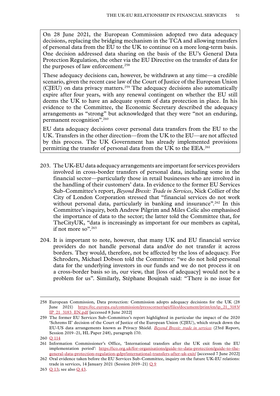On 28 June 2021, the European Commission adopted two data adequacy decisions, replacing the bridging mechanism in the TCA and allowing transfers of personal data from the EU to the UK to continue on a more long-term basis. One decision addressed data sharing on the basis of the EU's General Data Protection Regulation, the other via the EU Directive on the transfer of data for the purposes of law enforcement.<sup>258</sup>

These adequacy decisions can, however, be withdrawn at any time—a credible scenario, given the recent case law of the Court of Justice of the European Union (CJEU) on data privacy matters.259 The adequacy decisions also automatically expire after four years, with any renewal contingent on whether the EU still deems the UK to have an adequate system of data protection in place. In his evidence to the Committee, the Economic Secretary described the adequacy arrangements as "strong" but acknowledged that they were "not an enduring, permanent recognition".260

EU data adequacy decisions cover personal data transfers from the EU to the UK. Transfers in the other direction—from the UK to the EU—are not affected by this process. The UK Government has already implemented provisions permitting the transfer of personal data from the UK to the EEA.<sup>261</sup>

- 203. The UK-EU data adequacy arrangements are important for services providers involved in cross-border transfers of personal data, including some in the financial sector—particularly those in retail businesses who are involved in the handling of their customers' data. In evidence to the former EU Services Sub-Committee's report, *Beyond Brexit: Trade in Services*, Nick Collier of the City of London Corporation stressed that "financial services do not work without personal data, particularly in banking and insurance".<sup>262</sup> In this Committee's inquiry, both Andrew Pilgrim and Miles Celic also emphasised the importance of data to the sector; the latter told the Committee that, for TheCityUK, "data is increasingly as important for our members as capital, if not more so".<sup>263</sup>
- 204. It is important to note, however, that many UK and EU financial service providers do not handle personal data and/or do not transfer it across borders. They would, therefore, not be affected by the loss of adequacy. For Schroders, Michael Dobson told the Committee: "we do not hold personal data for the underlying investors in our funds and we do not process it on a cross-border basis so in, our view, that [loss of adequacy] would not be a problem for us". Similarly, Stéphane Boujnah said: "There is no issue for

<sup>258</sup> European Commission, Data protection: Commission adopts adequacy decisions for the UK (28 June 2021) [https://ec.europa.eu/commission/presscorner/api/files/document/print/en/ip\\_21\\_3183/](https://ec.europa.eu/commission/presscorner/api/files/document/print/en/ip_21_3183/IP_21_3183_EN.pdf) [IP\\_21\\_3183\\_EN.pdf](https://ec.europa.eu/commission/presscorner/api/files/document/print/en/ip_21_3183/IP_21_3183_EN.pdf) [accessed 8 June 2022]

<sup>259</sup> The former EU Services Sub-Committee's report highlighted in particular the impact of the 2020 'Schrems II' decision of the Court of Justice of the European Union (CJEU), which struck down the EU-US data arrangements known as Privacy Shield. *[Beyond Brexit: trade in services](https://publications.parliament.uk/pa/ld5801/ldselect/ldeucom/248/248.pdf)* (23rd Report, Session 2019–21, HL Paper 248), paragraph 170.

<sup>260</sup> Q [114](https://committees.parliament.uk/oralevidence/10188/html/)

<sup>261</sup> Information Commissioner's Office, 'International transfers after the UK exit from the EU implementation period': [https://ico.org.uk/for-organisations/guide-to-data-protection/guide-to-the](https://ico.org.uk/for-organisations/guide-to-data-protection/guide-to-the-general-data-protection-regulation-gdpr/international-transfers-after-uk-exit/)[general-data-protection-regulation-gdpr/international-transfers-after-uk-exit/](https://ico.org.uk/for-organisations/guide-to-data-protection/guide-to-the-general-data-protection-regulation-gdpr/international-transfers-after-uk-exit/) [accessed 7 June 2022]

<sup>262</sup> Oral evidence taken before the EU Services Sub-Committee, inquiry on the future UK-EU relations: trade in services, 14 January 2021 (Session 2019–21)  $\overline{O}$  9

<sup>263</sup> Q [13](https://committees.parliament.uk/oralevidence/3446/html/); see also Q [43](https://committees.parliament.uk/oralevidence/9980/html/).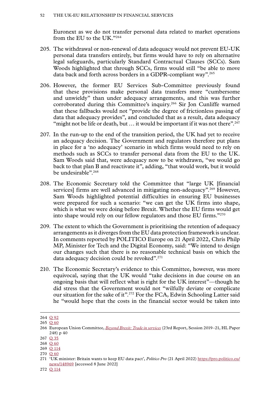Euronext as we do not transfer personal data related to market operations from the EU to the UK."264

- 205. The withdrawal or non-renewal of data adequacy would not prevent EU-UK personal data transfers entirely, but firms would have to rely on alternative legal safeguards, particularly Standard Contractual Clauses (SCCs). Sam Woods highlighted that through SCCs, firms would still "be able to move data back and forth across borders in a GDPR-compliant way".<sup>265</sup>
- 206. However, the former EU Services Sub-Committee previously found that these provisions make personal data transfers more "cumbersome and unwieldy" than under adequacy arrangements, and this was further corroborated during this Committee's inquiry.266 Sir Jon Cunliffe warned that these fallbacks would not "provide the degree of frictionless passing of data that adequacy provides", and concluded that as a result, data adequacy "might not be life or death, but  $\ldots$  it would be important if it was not there".<sup>267</sup>
- 207. In the run-up to the end of the transition period, the UK had yet to receive an adequacy decision. The Government and regulators therefore put plans in place for a 'no adequacy' scenario in which firms would need to rely on methods such as SCCs to transfer personal data from the EU to the UK. Sam Woods said that, were adequacy now to be withdrawn, "we would go back to that plan B and reactivate it", adding, "that would work, but it would be undesirable".<sup>268</sup>
- 208. The Economic Secretary told the Committee that "large UK [financial services] firms are well advanced in mitigating non-adequacy".<sup>269</sup> However, Sam Woods highlighted potential difficulties in ensuring EU businesses were prepared for such a scenario: "we can get the UK firms into shape, which is what we were doing before Brexit. Whether the EU firms would get into shape would rely on our fellow regulators and those EU firms."270
- 209. The extent to which the Government is prioritising the retention of adequacy arrangements as it diverges from the EU data protection framework is unclear. In comments reported by POLITICO Europe on 21 April 2022, Chris Philp MP, Minister for Tech and the Digital Economy, said: "We intend to design our changes such that there is no reasonable technical basis on which the data adequacy decision could be revoked".<sup>271</sup>
- 210. The Economic Secretary's evidence to this Committee, however, was more equivocal, saying that the UK would "take decisions in due course on an ongoing basis that will reflect what is right for the UK interest"—though he did stress that the Government would not "wilfully deviate or complicate our situation for the sake of it".<sup>272</sup> For the FCA, Edwin Schooling Latter said he "would hope that the costs in the financial sector would be taken into

<sup>264</sup> Q [92](https://committees.parliament.uk/oralevidence/10097/html/)

<sup>265</sup> Q [60](https://committees.parliament.uk/oralevidence/10016/html/)

<sup>266</sup> European Union Committee, *[Beyond Brexit: Trade in services](https://publications.parliament.uk/pa/ld5801/ldselect/ldeucom/248/248.pdf)* (23rd Report, Session 2019–21, HL Paper 248) p 40

<sup>267</sup> Q [35](https://committees.parliament.uk/oralevidence/9903/html/)

<sup>268</sup> Q [60](https://committees.parliament.uk/oralevidence/10016/html/)

<sup>269</sup> Q [114](https://committees.parliament.uk/oralevidence/10188/html/)

<sup>270</sup> Q [60](https://committees.parliament.uk/oralevidence/10016/html/)

<sup>271</sup> 'UK minister: Britain wants to keep EU data pact', *Politico Pro* (21 April 2022) [https://pro.politico.eu/](https://pro.politico.eu/news/148969) [news/148969](https://pro.politico.eu/news/148969) [accessed 8 June 2022]

<sup>272</sup> Q [114](https://committees.parliament.uk/oralevidence/10188/html/)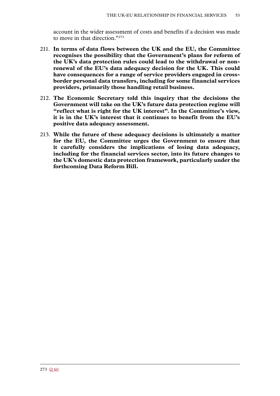account in the wider assessment of costs and benefits if a decision was made to move in that direction."273

- 211. **In terms of data flows between the UK and the EU, the Committee recognises the possibility that the Government's plans for reform of the UK's data protection rules could lead to the withdrawal or nonrenewal of the EU's data adequacy decision for the UK. This could have consequences for a range of service providers engaged in crossborder personal data transfers, including for some financial services providers, primarily those handling retail business.**
- 212. **The Economic Secretary told this inquiry that the decisions the Government will take on the UK's future data protection regime will "reflect what is right for the UK interest". In the Committee's view, it is in the UK's interest that it continues to benefit from the EU's positive data adequacy assessment.**
- 213. **While the future of these adequacy decisions is ultimately a matter for the EU, the Committee urges the Government to ensure that it carefully considers the implications of losing data adequacy, including for the financial services sector, into its future changes to the UK's domestic data protection framework, particularly under the forthcoming Data Reform Bill.**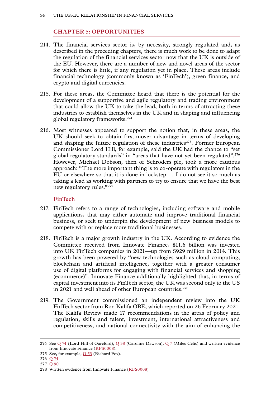### **Chapter 5: OPPORTUNITIES**

- 214. The financial services sector is, by necessity, strongly regulated and, as described in the preceding chapters, there is much work to be done to adapt the regulation of the financial services sector now that the UK is outside of the EU. However, there are a number of new and novel areas of the sector for which there is little, if any regulation yet in place. These areas include financial technology (commonly known as 'FinTech'), green finance, and crypto and digital currencies.
- 215. For these areas, the Committee heard that there is the potential for the development of a supportive and agile regulatory and trading environment that could allow the UK to take the lead, both in terms of attracting these industries to establish themselves in the UK and in shaping and influencing global regulatory frameworks.274
- 216. Most witnesses appeared to support the notion that, in these areas, the UK should seek to obtain first-mover advantage in terms of developing and shaping the future regulation of these industries<sup>275</sup>. Former European Commissioner Lord Hill, for example, said the UK had the chance to "set global regulatory standards" in "areas that have not yet been regulated".<sup>276</sup> However, Michael Dobson, then of Schroders plc, took a more cautious approach: "The more important thing is to co-operate with regulators in the EU or elsewhere so that it is done in lockstep … I do not see it so much as taking a lead as working with partners to try to ensure that we have the best new regulatory rules."277

### **FinTech**

- 217. FinTech refers to a range of technologies, including software and mobile applications, that may either automate and improve traditional financial business, or seek to underpin the development of new business models to compete with or replace more traditional businesses.
- 218. FinTech is a major growth industry in the UK. According to evidence the Committee received from Innovate Finance, \$11.6 billion was invested into UK FinTech companies in 2021—up from \$929 million in 2014. This growth has been powered by "new technologies such as cloud computing, blockchain and artificial intelligence, together with a greater consumer use of digital platforms for engaging with financial services and shopping (ecommerce)". Innovate Finance additionally highlighted that, in terms of capital investment into its FinTech sector, the UK was second only to the US in 2021 and well ahead of other European countries.<sup>278</sup>
- 219. The Government commissioned an independent review into the UK FinTech sector from Ron Kalifa OBE, which reported on 26 February 2021. The Kalifa Review made 17 recommendations in the areas of policy and regulation, skills and talent, investment, international attractiveness and competitiveness, and national connectivity with the aim of enhancing the

<sup>274</sup> See Q [74](https://committees.parliament.uk/oralevidence/10060/html/) (Lord Hill of Oareford), Q [38](https://committees.parliament.uk/oralevidence/9980/html/) (Caroline Dawson), [Q](https://committees.parliament.uk/oralevidence/3446/html/) 7 (Miles Celic) and written evidence from Innovate Finance ([RFS0008](https://committees.parliament.uk/writtenevidence/108484/html/)).

<sup>275</sup> See, for example,  $Q$  [53](https://committees.parliament.uk/oralevidence/10016/html/) (Richard Fox).

<sup>276</sup> Q [74](https://committees.parliament.uk/oralevidence/10060/html/)

<sup>277</sup> Q [90](https://committees.parliament.uk/oralevidence/10097/html/)

<sup>278</sup> Written evidence from Innovate Finance ([RFS0008\)](https://committees.parliament.uk/writtenevidence/108484/html/)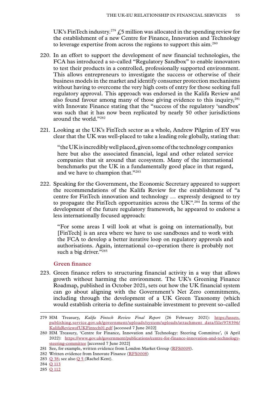UK's FinTech industry.<sup>279</sup>  $\text{\textsterling}5$  million was allocated in the spending review for the establishment of a new Centre for Finance, Innovation and Technology to leverage expertise from across the regions to support this aim.280

- 220. In an effort to support the development of new financial technologies, the FCA has introduced a so-called "Regulatory Sandbox" to enable innovators to test their products in a controlled, professionally supported environment. This allows entrepreneurs to investigate the success or otherwise of their business models in the market and identify consumer protection mechanisms without having to overcome the very high costs of entry for those seeking full regulatory approval. This approach was endorsed in the Kalifa Review and also found favour among many of those giving evidence to this inquiry,<sup>281</sup> with Innovate Finance stating that the "success of the regulatory 'sandbox' was such that it has now been replicated by nearly 50 other jurisdictions around the world."282
- 221. Looking at the UK's FinTech sector as a whole, Andrew Pilgrim of EY was clear that the UK was well-placed to take a leading role globally, stating that:

"the UK is incredibly well placed, given some of the technology companies here but also the associated financial, legal and other related service companies that sit around that ecosystem. Many of the international benchmarks put the UK in a fundamentally good place in that regard, and we have to champion that."283

222. Speaking for the Government, the Economic Secretary appeared to support the recommendations of the Kalifa Review for the establishment of "a centre for FinTech innovation and technology … expressly designed to try to propagate the FinTech opportunities across the UK".284 In terms of the development of the future regulatory framework, he appeared to endorse a less internationally focused approach:

"For some areas I will look at what is going on internationally, but [FinTech] is an area where we have to use sandboxes and to work with the FCA to develop a better iterative loop on regulatory approvals and authorisations. Again, international co-operation there is probably not such a big driver."285

#### **Green finance**

223. Green finance refers to structuring financial activity in a way that allows growth without harming the environment. The UK's Greening Finance Roadmap, published in October 2021, sets out how the UK financial system can go about aligning with the Government's Net Zero commitments, including through the development of a UK Green Taxonomy (which would establish criteria to define sustainable investment to prevent so-called

283 Q [38;](https://committees.parliament.uk/oralevidence/9980/html/) see also [Q](https://committees.parliament.uk/oralevidence/3446/html/) 5 (Rachel Kent).

284 Q [113](https://committees.parliament.uk/oralevidence/10188/html/)

285 Q [112](https://committees.parliament.uk/oralevidence/10188/html/)

<sup>279</sup> HM Treasury, *Kalifa Fintech Review Final Report* (26 February 2021): [https://assets.](https://assets.publishing.service.gov.uk/government/uploads/system/uploads/attachment_data/file/978396/KalifaReviewofUKFintech01.pdf) [publishing.service.gov.uk/government/uploads/system/uploads/attachment\\_data/file/978396/](https://assets.publishing.service.gov.uk/government/uploads/system/uploads/attachment_data/file/978396/KalifaReviewofUKFintech01.pdf) [KalifaReviewofUKFintech01.pdf](https://assets.publishing.service.gov.uk/government/uploads/system/uploads/attachment_data/file/978396/KalifaReviewofUKFintech01.pdf) [accessed 7 June 2022]

<sup>280</sup> HM Treasury, 'Centre for Finance, Innovation and Technology: Steering Committee', (4 April 2022): [https://www.gov.uk/government/publications/centre-for-finance-innovation-and-technology](https://www.gov.uk/government/publications/centre-for-finance-innovation-and-technology-steering-committee)[steering-committee](https://www.gov.uk/government/publications/centre-for-finance-innovation-and-technology-steering-committee) [accessed 7 June 2022]

<sup>281</sup> See, for example, written evidence from London Market Group ([RFS0009\)](https://committees.parliament.uk/writtenevidence/108486/html/).

<sup>282</sup> Written evidence from Innovate Finance ([RFS0008\)](https://committees.parliament.uk/writtenevidence/108484/html/)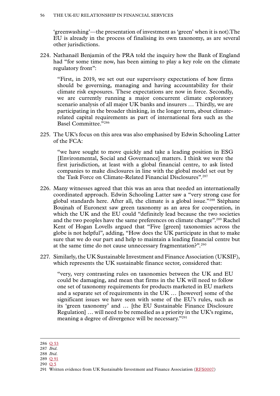'greenwashing'—the presentation of investment as 'green' when it is not).The EU is already in the process of finalising its own taxonomy, as are several other jurisdictions.

224. Nathanaël Benjamin of the PRA told the inquiry how the Bank of England had "for some time now, has been aiming to play a key role on the climate regulatory front":

"First, in 2019, we set out our supervisory expectations of how firms should be governing, managing and having accountability for their climate risk exposures. These expectations are now in force. Secondly, we are currently running a major concurrent climate exploratory scenario analysis of all major UK banks and insurers … Thirdly, we are participating in the broader thinking, in the longer term, about climaterelated capital requirements as part of international fora such as the Basel Committee."286

225. The UK's focus on this area was also emphasised by Edwin Schooling Latter of the FCA:

"we have sought to move quickly and take a leading position in ESG [Environmental, Social and Governance] matters. I think we were the first jurisdiction, at least with a global financial centre, to ask listed companies to make disclosures in line with the global model set out by the Task Force on Climate-Related Financial Disclosures".287

- 226. Many witnesses agreed that this was an area that needed an internationally coordinated approach. Edwin Schooling Latter saw a "very strong case for global standards here. After all, the climate is a global issue."288 Stéphane Boujnah of Euronext saw green taxonomy as an area for cooperation, in which the UK and the EU could "definitely lead because the two societies and the two peoples have the same preferences on climate change".289 Rachel Kent of Hogan Lovells argued that "Five [green] taxonomies across the globe is not helpful", adding, "How does the UK participate in that to make sure that we do our part and help to maintain a leading financial centre but at the same time do not cause unnecessary fragmentation?".290
- 227. Similarly, the UK Sustainable Investment and Finance Association (UKSIF), which represents the UK sustainable finance sector, considered that:

"very, very contrasting rules on taxonomies between the UK and EU could be damaging, and mean that firms in the UK will need to follow one set of taxonomy requirements for products marketed in EU markets and a separate set of requirements in the UK ... [however] some of the significant issues we have seen with some of the EU's rules, such as its 'green taxonomy' and … [the EU Sustainable Finance Disclosure Regulation] … will need to be remedied as a priority in the UK's regime, meaning a degree of divergence will be necessary."291

- 288 *Ibid.*
- 289 Q [91](https://committees.parliament.uk/oralevidence/10097/html/)
- 290 [Q](https://committees.parliament.uk/oralevidence/3446/html/) 5

<sup>286</sup> Q [53](https://committees.parliament.uk/oralevidence/10016/html/)

<sup>287</sup> *Ibid.*

<sup>291</sup> Written evidence from UK Sustainable Investment and Finance Association ([RFS0007](https://committees.parliament.uk/writtenevidence/108483/html/))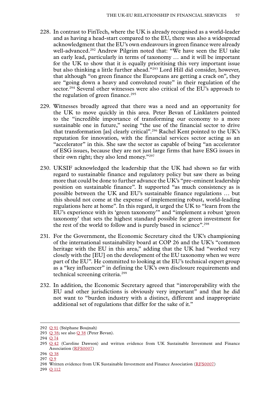- 228. In contrast to FinTech, where the UK is already recognised as a world-leader and as having a head-start compared to the EU, there was also a widespread acknowledgment that the EU's own endeavours in green finance were already well-advanced.<sup>292</sup> Andrew Pilgrim noted that: "We have seen the EU take an early lead, particularly in terms of taxonomy … and it will be important for the UK to show that it is equally prioritising this very important issue but also thinking a little further ahead."293 Lord Hill did consider, however, that although "on green finance the Europeans are getting a crack on", they are "going down a heavy and convoluted route" in their regulation of the sector.<sup>294</sup> Several other witnesses were also critical of the EU's approach to the regulation of green finance. $295$
- 229. Witnesses broadly agreed that there was a need and an opportunity for the UK to move quickly in this area. Peter Bevan of Linklaters pointed to the "incredible importance of transforming our economy to a more sustainable one in future," seeing "the use of the financial sector to drive that transformation [as] clearly critical".296 Rachel Kent pointed to the UK's reputation for innovation, with the financial services sector acting as an "accelerator" in this. She saw the sector as capable of being "an accelerator of ESG issues, because they are not just large firms that have ESG issues in their own right; they also lend money."297
- 230. UKSIF acknowledged the leadership that the UK had shown so far with regard to sustainable finance and regulatory policy but saw there as being more that could be done to further advance the UK's "pre-eminent leadership position on sustainable finance". It supported "as much consistency as is possible between the UK and EU's sustainable finance regulations … but this should not come at the expense of implementing robust, world-leading regulations here at home". In this regard, it urged the UK to "learn from the EU's experience with its 'green taxonomy'" and "implement a robust 'green taxonomy' that sets the highest standard possible for green investment for the rest of the world to follow and is purely based in science".<sup>298</sup>
- 231. For the Government, the Economic Secretary cited the UK's championing of the international sustainability board at COP 26 and the UK's "common heritage with the EU in this area," adding that the UK had "worked very closely with the [EU] on the development of the EU taxonomy when we were part of the EU". He committed to looking at the EU's technical expert group as a "key influencer" in defining the UK's own disclosure requirements and technical screening criteria.299
- 232. In addition, the Economic Secretary agreed that "interoperability with the EU and other jurisdictions is obviously very important" and that he did not want to "burden industry with a distinct, different and inappropriate additional set of regulations that differ for the sake of it."

<sup>292</sup> Q [91](https://committees.parliament.uk/oralevidence/10097/html/) (Stéphane Boujnah)

<sup>293</sup> Q [38;](https://committees.parliament.uk/oralevidence/9980/html/) see also Q [38](https://committees.parliament.uk/oralevidence/9980/html/) (Peter Bevan).

<sup>294</sup> Q [74](https://committees.parliament.uk/oralevidence/10060/html/)

<sup>295</sup> Q [42](https://committees.parliament.uk/oralevidence/9980/html/) (Caroline Dawson) and written evidence from UK Sustainable Investment and Finance Association ([RFS0007\)](https://committees.parliament.uk/writtenevidence/108483/html/)

<sup>296</sup> Q [38](https://committees.parliament.uk/oralevidence/9980/html/)

<sup>297</sup> [Q](https://committees.parliament.uk/oralevidence/3446/html/) 9

<sup>298</sup> Written evidence from UK Sustainable Investment and Finance Association ([RFS0007](https://committees.parliament.uk/writtenevidence/108483/html/))

<sup>299</sup> Q [112](https://committees.parliament.uk/oralevidence/10188/html/)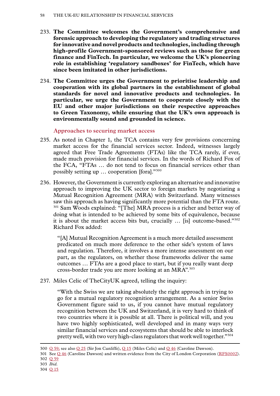- 233. **The Committee welcomes the Government's comprehensive and forensic approach to developing the regulatory and trading structures for innovative and novel products and technologies, including through high-profile Government-sponsored reviews such as those for green finance and FinTech. In particular, we welcome the UK's pioneering role in establishing 'regulatory sandboxes' for FinTech, which have since been imitated in other jurisdictions.**
- 234. **The Committee urges the Government to prioritise leadership and cooperation with its global partners in the establishment of global standards for novel and innovative products and technologies. In particular, we urge the Government to cooperate closely with the EU and other major jurisdictions on their respective approaches to Green Taxonomy, while ensuring that the UK's own approach is environmentally sound and grounded in science.**

### **Approaches to securing market access**

- 235. As noted in Chapter 1, the TCA contains very few provisions concerning market access for the financial services sector. Indeed, witnesses largely agreed that Free Trade Agreements (FTAs) like the TCA rarely, if ever, made much provision for financial services. In the words of Richard Fox of the FCA, "FTAs … do not tend to focus on financial services other than possibly setting up … cooperation [fora]."300
- 236. However, the Government is currently exploring an alternative and innovative approach to improving the UK sector to foreign markets by negotiating a Mutual Recognition Agreement (MRA) with Switzerland. Many witnesses saw this approach as having significantly more potential than the FTA route. <sup>301</sup> Sam Woods explained: "[The] MRA process is a richer and better way of doing what is intended to be achieved by some bits of equivalence, because it is about the market access bits but, crucially … [is] outcome-based."302 Richard Fox added:

"[A] Mutual Recognition Agreement is a much more detailed assessment predicated on much more deference to the other side's system of laws and regulation. Therefore, it involves a more intense assessment on our part, as the regulators, on whether those frameworks deliver the same outcomes … FTAs are a good place to start, but if you really want deep cross-border trade you are more looking at an MRA".303

237. Miles Celic of TheCityUK agreed, telling the inquiry:

"With the Swiss we are taking absolutely the right approach in trying to go for a mutual regulatory recognition arrangement. As a senior Swiss Government figure said to us, if you cannot have mutual regulatory recognition between the UK and Switzerland, it is very hard to think of two countries where it is possible at all. There is political will, and you have two highly sophisticated, well developed and in many ways very similar financial services and ecosystems that should be able to interlock pretty well, with two very high-class regulators that work well together."304

<sup>300</sup> Q [59](https://committees.parliament.uk/oralevidence/10016/html/); see also Q [25](https://committees.parliament.uk/oralevidence/9903/html/) (Sir Jon Cunliffe), Q [15](https://committees.parliament.uk/oralevidence/3446/html/) (Miles Celic) and Q [46](https://committees.parliament.uk/oralevidence/9980/html/) (Caroline Dawson).

<sup>301</sup> See Q [46](https://committees.parliament.uk/oralevidence/9980/html/) (Caroline Dawson) and written evidence from the City of London Corporation ([RFS0002](https://committees.parliament.uk/writtenevidence/107600/html/)). 302 Q [59](https://committees.parliament.uk/oralevidence/10016/html/)

<sup>303</sup> *Ibid.*

<sup>304</sup> Q [15](https://committees.parliament.uk/oralevidence/3446/html/)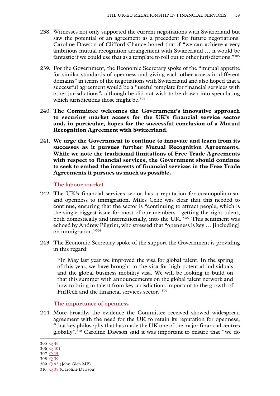- 238. Witnesses not only supported the current negotiations with Switzerland but saw the potential of an agreement as a precedent for future negotiations. Caroline Dawson of Clifford Chance hoped that if "we can achieve a very ambitious mutual recognition arrangement with Switzerland … it would be fantastic if we could use that as a template to roll out to other jurisdictions."305
- 239. For the Government, the Economic Secretary spoke of the "mutual appetite for similar standards of openness and giving each other access in different domains" in terms of the negotiations with Switzerland and also hoped that a successful agreement would be a "useful template for financial services with other jurisdictions", although he did not wish to be drawn into speculating which jurisdictions those might be.<sup>306</sup>
- 240. **The Committee welcomes the Government's innovative approach to securing market access for the UK's financial service sector and, in particular, hopes for the successful conclusion of a Mutual Recognition Agreement with Switzerland.**
- 241. **We urge the Government to continue to innovate and learn from its successes as it pursues further Mutual Recognition Agreements. While we note the traditional limitations of Free Trade Agreements with respect to financial services, the Government should continue to seek to embed the interests of financial services in the Free Trade Agreements it pursues as much as possible.**

#### **The labour market**

- 242. The UK's financial services sector has a reputation for cosmopolitanism and openness to immigration. Miles Celic was clear that this needed to continue, ensuring that the sector is "continuing to attract people, which is the single biggest issue for most of our members—getting the right talent, both domestically and internationally, into the UK."<sup>307</sup> This sentiment was echoed by Andrew Pilgrim, who stressed that "openness is key … [including] on immigration."308
- 243. The Economic Secretary spoke of the support the Government is providing in this regard:

"In May last year we improved the visa for global talent. In the spring of this year, we have brought in the visa for high-potential individuals and the global business mobility visa. We will be looking to build on that this summer with announcements on the global talent network and how to bring in talent from key jurisdictions important to the growth of FinTech and the financial services sector."309

#### **The importance of openness**

244. More broadly, the evidence the Committee received showed widespread agreement with the need for the UK to retain its reputation for openness, "that key philosophy that has made the UK one of the major financial centres globally".310 Caroline Dawson said it was important to ensure that "we do

<sup>305</sup> Q [46](https://committees.parliament.uk/oralevidence/9980/html/)

<sup>306</sup> Q [101](https://committees.parliament.uk/oralevidence/10188/html/)

<sup>307</sup> Q [15](https://committees.parliament.uk/oralevidence/3446/html/)

<sup>308</sup> Q [39](https://committees.parliament.uk/oralevidence/9980/html/)

<sup>309</sup> Q [93](https://committees.parliament.uk/oralevidence/10188/html/) (John Glen MP) 310 Q [38](https://committees.parliament.uk/oralevidence/9980/html/) (Caroline Dawson)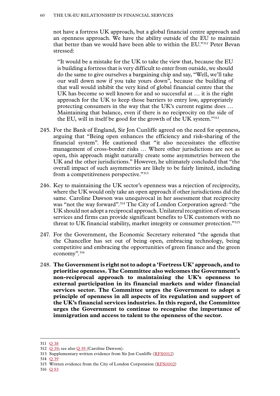not have a fortress UK approach, but a global financial centre approach and an openness approach. We have the ability outside of the EU to maintain that better than we would have been able to within the EU."311 Peter Bevan stressed:

"It would be a mistake for the UK to take the view that, because the EU is building a fortress that is very difficult to enter from outside, we should do the same to give ourselves a bargaining chip and say, "Well, we'll take our wall down now if you take yours down", because the building of that wall would inhibit the very kind of global financial centre that the UK has become so well known for and so successful at … it is the right approach for the UK to keep those barriers to entry low, appropriately protecting consumers in the way that the UK's current regime does … Maintaining that balance, even if there is no reciprocity on the side of the EU, will in itself be good for the growth of the UK system."312

- 245. For the Bank of England, Sir Jon Cunliffe agreed on the need for openness, arguing that "Being open enhances the efficiency and risk-sharing of the financial system". He cautioned that "it also necessitates the effective management of cross-border risks … Where other jurisdictions are not as open, this approach might naturally create some asymmetries between the UK and the other jurisdictions." However, he ultimately concluded that "the overall impact of such asymmetries are likely to be fairly limited, including from a competitiveness perspective."313
- 246. Key to maintaining the UK sector's openness was a rejection of reciprocity, where the UK would only take an open approach if other jurisdictions did the same. Caroline Dawson was unequivocal in her assessment that reciprocity was "not the way forward".<sup>314</sup> The City of London Corporation agreed: "the UK should not adopt a reciprocal approach. Unilateral recognition of overseas services and firms can provide significant benefits to UK customers with no threat to UK financial stability, market integrity or consumer protection."315
- 247. For the Government, the Economic Secretary reiterated "the agenda that the Chancellor has set out of being open, embracing technology, being competitive and embracing the opportunities of green finance and the green economy".316
- 248. **The Government is right not to adopt a 'Fortress UK' approach, and to prioritise openness. The Committee also welcomes the Government's non-reciprocal approach to maintaining the UK's openness to external participation in its financial markets and wider financial services sector. The Committee urges the Government to adopt a principle of openness in all aspects of its regulation and support of the UK's financial services industries. In this regard, the Committee urges the Government to continue to recognise the importance of immigration and access to talent to the openness of the sector.**

314 Q [39](https://committees.parliament.uk/oralevidence/9980/html/)

316 Q [93](https://committees.parliament.uk/oralevidence/10188/html/)

<sup>311</sup> Q [38](https://committees.parliament.uk/oralevidence/9980/html/)

<sup>312</sup> Q [39](https://committees.parliament.uk/oralevidence/9980/html/); see also Q [39](https://committees.parliament.uk/oralevidence/9980/html/) (Caroline Dawson).

<sup>313</sup> Supplementary written evidence from Sir Jon Cunliffe [\(RFS0012](https://committees.parliament.uk/writtenevidence/109074/html/))

<sup>315</sup> Written evidence from the City of London Corporation ([RFS0002\)](https://committees.parliament.uk/writtenevidence/107600/html/)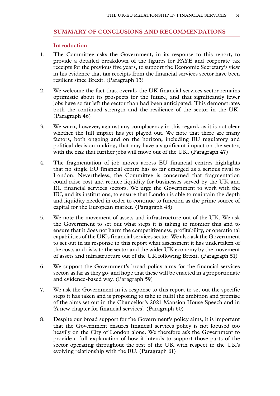### **SUMMARY OF CONCLUSIONS AND RECOMMENDATIONS**

### **Introduction**

- 1. The Committee asks the Government, in its response to this report, to provide a detailed breakdown of the figures for PAYE and corporate tax receipts for the previous five years, to support the Economic Secretary's view in his evidence that tax receipts from the financial services sector have been resilient since Brexit. (Paragraph 13)
- 2. We welcome the fact that, overall, the UK financial services sector remains optimistic about its prospects for the future, and that significantly fewer jobs have so far left the sector than had been anticipated. This demonstrates both the continued strength and the resilience of the sector in the UK. (Paragraph 46)
- 3. We warn, however, against any complacency in this regard, as it is not clear whether the full impact has yet played out. We note that there are many factors, both ongoing and on the horizon, including EU regulatory and political decision-making, that may have a significant impact on the sector, with the risk that further jobs will move out of the UK. (Paragraph 47)
- 4. The fragmentation of job moves across EU financial centres highlights that no single EU financial centre has so far emerged as a serious rival to London. Nevertheless, the Committee is concerned that fragmentation could raise cost and reduce liquidity for businesses served by the UK and EU financial services sectors. We urge the Government to work with the EU, and its institutions, to ensure that London is able to maintain the depth and liquidity needed in order to continue to function as the prime source of capital for the European market. (Paragraph 48)
- 5. We note the movement of assets and infrastructure out of the UK. We ask the Government to set out what steps it is taking to monitor this and to ensure that it does not harm the competitiveness, profitability, or operational capabilities of the UK's financial services sector. We also ask the Government to set out in its response to this report what assessment it has undertaken of the costs and risks to the sector and the wider UK economy by the movement of assets and infrastructure out of the UK following Brexit. (Paragraph 51)
- 6. We support the Government's broad policy aims for the financial services sector, as far as they go, and hope that these will be enacted in a proportionate and evidence-based way. (Paragraph 59)
- 7. We ask the Government in its response to this report to set out the specific steps it has taken and is proposing to take to fulfil the ambition and promise of the aims set out in the Chancellor's 2021 Mansion House Speech and in 'A new chapter for financial services'. (Paragraph 60)
- 8. Despite our broad support for the Government's policy aims, it is important that the Government ensures financial services policy is not focused too heavily on the City of London alone. We therefore ask the Government to provide a full explanation of how it intends to support those parts of the sector operating throughout the rest of the UK with respect to the UK's evolving relationship with the EU. (Paragraph 61)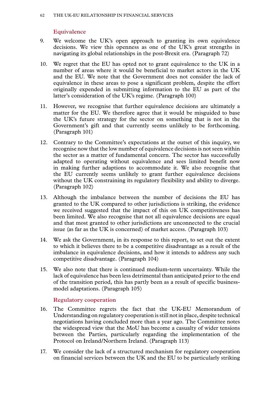### **Equivalence**

- 9. We welcome the UK's open approach to granting its own equivalence decisions. We view this openness as one of the UK's great strengths in navigating its global relationships in the post-Brexit era. (Paragraph 72)
- 10. We regret that the EU has opted not to grant equivalence to the UK in a number of areas where it would be beneficial to market actors in the UK and the EU. We note that the Government does not consider the lack of equivalence in these areas to pose a significant problem, despite the effort originally expended in submitting information to the EU as part of the latter's consideration of the UK's regime. (Paragraph 100)
- 11. However, we recognise that further equivalence decisions are ultimately a matter for the EU. We therefore agree that it would be misguided to base the UK's future strategy for the sector on something that is not in the Government's gift and that currently seems unlikely to be forthcoming. (Paragraph 101)
- 12. Contrary to the Committee's expectations at the outset of this inquiry, we recognise now that the low number of equivalence decisions is not seen within the sector as a matter of fundamental concern. The sector has successfully adapted to operating without equivalence and sees limited benefit now in making further adaptions to accommodate it. We also recognise that the EU currently seems unlikely to grant further equivalence decisions without the UK constraining its regulatory flexibility and ability to diverge. (Paragraph 102)
- 13. Although the imbalance between the number of decisions the EU has granted to the UK compared to other jurisdictions is striking, the evidence we received suggested that the impact of this on UK competitiveness has been limited. We also recognise that not all equivalence decisions are equal and that most granted to other jurisdictions are unconnected to the crucial issue (as far as the UK is concerned) of market access. (Paragraph 103)
- 14. We ask the Government, in its response to this report, to set out the extent to which it believes there to be a competitive disadvantage as a result of the imbalance in equivalence decisions, and how it intends to address any such competitive disadvantage. (Paragraph 104)
- 15. We also note that there is continued medium-term uncertainty. While the lack of equivalence has been less detrimental than anticipated prior to the end of the transition period, this has partly been as a result of specific businessmodel adaptations. (Paragraph 105)

#### **Regulatory cooperation**

- 16. The Committee regrets the fact that the UK-EU Memorandum of Understanding on regulatory cooperation is still not in place, despite technical negotiations having concluded more than a year ago. The Committee notes the widespread view that the MoU has become a casualty of wider tensions between the Parties, particularly regarding the implementation of the Protocol on Ireland/Northern Ireland. (Paragraph 113)
- 17. We consider the lack of a structured mechanism for regulatory cooperation on financial services between the UK and the EU to be particularly striking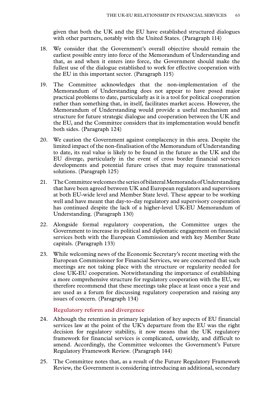given that both the UK and the EU have established structured dialogues with other partners, notably with the United States. (Paragraph 114)

- 18. We consider that the Government's overall objective should remain the earliest possible entry into force of the Memorandum of Understanding and that, as and when it enters into force, the Government should make the fullest use of the dialogue established to work for effective cooperation with the EU in this important sector. (Paragraph 115)
- 19. The Committee acknowledges that the non-implementation of the Memorandum of Understanding does not appear to have posed major practical problems to date, particularly as it is a tool for political cooperation rather than something that, in itself, facilitates market access. However, the Memorandum of Understanding would provide a useful mechanism and structure for future strategic dialogue and cooperation between the UK and the EU, and the Committee considers that its implementation would benefit both sides. (Paragraph 124)
- 20. We caution the Government against complacency in this area. Despite the limited impact of the non-finalisation of the Memorandum of Understanding to date, its real value is likely to be found in the future as the UK and the EU diverge, particularly in the event of cross border financial services developments and potential future crises that may require transnational solutions. (Paragraph 125)
- 21. The Committee welcomes the series of bilateral Memoranda of Understanding that have been agreed between UK and European regulators and supervisors at both EU-wide level and Member State level. These appear to be working well and have meant that day-to-day regulatory and supervisory cooperation has continued despite the lack of a higher-level UK-EU Memorandum of Understanding. (Paragraph 130)
- 22. Alongside formal regulatory cooperation, the Committee urges the Government to increase its political and diplomatic engagement on financial services both with the European Commission and with key Member State capitals. (Paragraph 133)
- 23. While welcoming news of the Economic Secretary's recent meeting with the European Commissioner for Financial Services, we are concerned that such meetings are not taking place with the structure or regularity needed for close UK-EU cooperation. Notwithstanding the importance of establishing a more comprehensive structure for regulatory cooperation with the EU, we therefore recommend that these meetings take place at least once a year and are used as a forum for discussing regulatory cooperation and raising any issues of concern. (Paragraph 134)

### **Regulatory reform and divergence**

- 24. Although the retention in primary legislation of key aspects of EU financial services law at the point of the UK's departure from the EU was the right decision for regulatory stability, it now means that the UK regulatory framework for financial services is complicated, unwieldy, and difficult to amend. Accordingly, the Committee welcomes the Government's Future Regulatory Framework Review. (Paragraph 144)
- 25. The Committee notes that, as a result of the Future Regulatory Framework Review, the Government is considering introducing an additional, secondary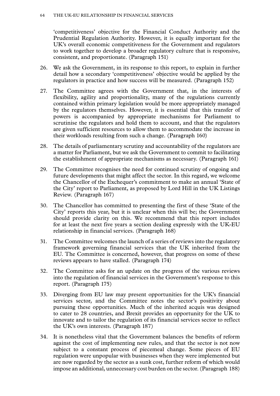'competitiveness' objective for the Financial Conduct Authority and the Prudential Regulation Authority. However, it is equally important for the UK's overall economic competitiveness for the Government and regulators to work together to develop a broader regulatory culture that is responsive, consistent, and proportionate. (Paragraph 151)

- 26. We ask the Government, in its response to this report, to explain in further detail how a secondary 'competitiveness' objective would be applied by the regulators in practice and how success will be measured. (Paragraph 152)
- 27. The Committee agrees with the Government that, in the interests of flexibility, agility and proportionality, many of the regulations currently contained within primary legislation would be more appropriately managed by the regulators themselves. However, it is essential that this transfer of powers is accompanied by appropriate mechanisms for Parliament to scrutinise the regulators and hold them to account, and that the regulators are given sufficient resources to allow them to accommodate the increase in their workloads resulting from such a change. (Paragraph 160)
- 28. The details of parliamentary scrutiny and accountability of the regulators are a matter for Parliament, but we ask the Government to commit to facilitating the establishment of appropriate mechanisms as necessary. (Paragraph 161)
- 29. The Committee recognises the need for continued scrutiny of ongoing and future developments that might affect the sector. In this regard, we welcome the Chancellor of the Exchequer's commitment to make an annual 'State of the City' report to Parliament, as proposed by Lord Hill in the UK Listings Review. (Paragraph 167)
- 30. The Chancellor has committed to presenting the first of these 'State of the City' reports this year, but it is unclear when this will be; the Government should provide clarity on this. We recommend that this report includes for at least the next five years a section dealing expressly with the UK-EU relationship in financial services. (Paragraph 168)
- 31. The Committee welcomes the launch of a series of reviews into the regulatory framework governing financial services that the UK inherited from the EU. The Committee is concerned, however, that progress on some of these reviews appears to have stalled. (Paragraph 174)
- 32. The Committee asks for an update on the progress of the various reviews into the regulation of financial services in the Government's response to this report. (Paragraph 175)
- 33. Diverging from EU law may present opportunities for the UK's financial services sector, and the Committee notes the sector's positivity about pursuing these opportunities. Much of the inherited acquis was designed to cater to 28 countries, and Brexit provides an opportunity for the UK to innovate and to tailor the regulation of its financial services sector to reflect the UK's own interests. (Paragraph 187)
- 34. It is nonetheless vital that the Government balances the benefits of reform against the cost of implementing new rules, and that the sector is not now subject to a constant process of piecemeal change. Some pieces of EU regulation were unpopular with businesses when they were implemented but are now regarded by the sector as a sunk cost, further reform of which would impose an additional, unnecessary cost burden on the sector. (Paragraph 188)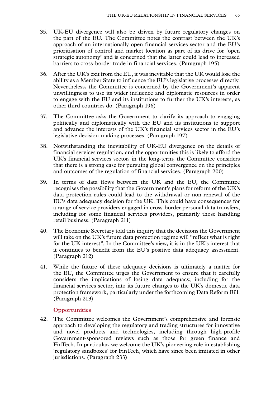- 35. UK-EU divergence will also be driven by future regulatory changes on the part of the EU. The Committee notes the contrast between the UK's approach of an internationally open financial services sector and the EU's prioritisation of control and market location as part of its drive for 'open strategic autonomy' and is concerned that the latter could lead to increased barriers to cross-border trade in financial services. (Paragraph 195)
- 36. After the UK's exit from the EU, it was inevitable that the UK would lose the ability as a Member State to influence the EU's legislative processes directly. Nevertheless, the Committee is concerned by the Government's apparent unwillingness to use its wider influence and diplomatic resources in order to engage with the EU and its institutions to further the UK's interests, as other third countries do. (Paragraph 196)
- 37. The Committee asks the Government to clarify its approach to engaging politically and diplomatically with the EU and its institutions to support and advance the interests of the UK's financial services sector in the EU's legislative decision-making processes. (Paragraph 197)
- 38. Notwithstanding the inevitability of UK-EU divergence on the details of financial services regulation, and the opportunities this is likely to afford the UK's financial services sector, in the long-term, the Committee considers that there is a strong case for pursuing global convergence on the principles and outcomes of the regulation of financial services. (Paragraph 200)
- 39. In terms of data flows between the UK and the EU, the Committee recognises the possibility that the Government's plans for reform of the UK's data protection rules could lead to the withdrawal or non-renewal of the EU's data adequacy decision for the UK. This could have consequences for a range of service providers engaged in cross-border personal data transfers, including for some financial services providers, primarily those handling retail business. (Paragraph 211)
- 40. The Economic Secretary told this inquiry that the decisions the Government will take on the UK's future data protection regime will "reflect what is right for the UK interest". In the Committee's view, it is in the UK's interest that it continues to benefit from the EU's positive data adequacy assessment. (Paragraph 212)
- 41. While the future of these adequacy decisions is ultimately a matter for the EU, the Committee urges the Government to ensure that it carefully considers the implications of losing data adequacy, including for the financial services sector, into its future changes to the UK's domestic data protection framework, particularly under the forthcoming Data Reform Bill. (Paragraph 213)

# **Opportunities**

42. The Committee welcomes the Government's comprehensive and forensic approach to developing the regulatory and trading structures for innovative and novel products and technologies, including through high-profile Government-sponsored reviews such as those for green finance and FinTech. In particular, we welcome the UK's pioneering role in establishing 'regulatory sandboxes' for FinTech, which have since been imitated in other jurisdictions. (Paragraph 233)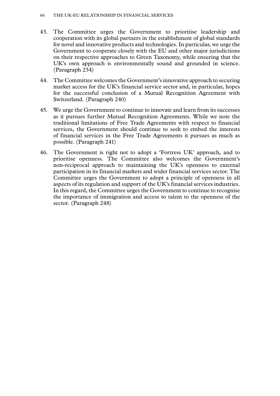- 43. The Committee urges the Government to prioritise leadership and cooperation with its global partners in the establishment of global standards for novel and innovative products and technologies. In particular, we urge the Government to cooperate closely with the EU and other major jurisdictions on their respective approaches to Green Taxonomy, while ensuring that the UK's own approach is environmentally sound and grounded in science. (Paragraph 234)
- 44. The Committee welcomes the Government's innovative approach to securing market access for the UK's financial service sector and, in particular, hopes for the successful conclusion of a Mutual Recognition Agreement with Switzerland. (Paragraph 240)
- 45. We urge the Government to continue to innovate and learn from its successes as it pursues further Mutual Recognition Agreements. While we note the traditional limitations of Free Trade Agreements with respect to financial services, the Government should continue to seek to embed the interests of financial services in the Free Trade Agreements it pursues as much as possible. (Paragraph 241)
- 46. The Government is right not to adopt a 'Fortress UK' approach, and to prioritise openness. The Committee also welcomes the Government's non-reciprocal approach to maintaining the UK's openness to external participation in its financial markets and wider financial services sector. The Committee urges the Government to adopt a principle of openness in all aspects of its regulation and support of the UK's financial services industries. In this regard, the Committee urges the Government to continue to recognise the importance of immigration and access to talent to the openness of the sector. (Paragraph 248)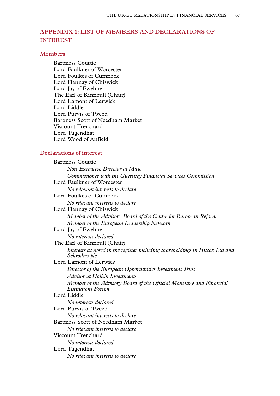# **Appendix 1: LIST OF MEMBERS AND DECLARATIONS OF INTEREST**

#### **Members**

Baroness Couttie Lord Faulkner of Worcester Lord Foulkes of Cumnock Lord Hannay of Chiswick Lord Jay of Ewelme The Earl of Kinnoull (Chair) Lord Lamont of Lerwick Lord Liddle Lord Purvis of Tweed Baroness Scott of Needham Market Viscount Trenchard Lord Tugendhat Lord Wood of Anfield

### **Declarations of interest**

Baroness Couttie *Non-Executive Director at Mitie Commissioner with the Guernsey Financial Services Commission* Lord Faulkner of Worcester *No relevant interests to declare* Lord Foulkes of Cumnock *No relevant interests to declare* Lord Hannay of Chiswick *Member of the Advisory Board of the Centre for European Reform Member of the European Leadership Network* Lord Jay of Ewelme *No interests declared* The Earl of Kinnoull (Chair) *Interests as noted in the register including shareholdings in Hiscox Ltd and Schroders plc* Lord Lamont of Lerwick *Director of the European Opportunities Investment Trust Advisor at Halkin Investments Member of the Advisory Board of the Official Monetary and Financial Institutions Forum* Lord Liddle *No interests declared* Lord Purvis of Tweed *No relevant interests to declare* Baroness Scott of Needham Market *No relevant interests to declare* Viscount Trenchard *No interests declared* Lord Tugendhat *No relevant interests to declare*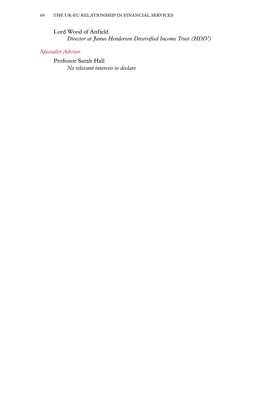Lord Wood of Anfield *Director at Janus Henderson Diversified Income Trust (HDIV)*

# *Specialist Adviser*

Professor Sarah Hall *No relevant interests to declare*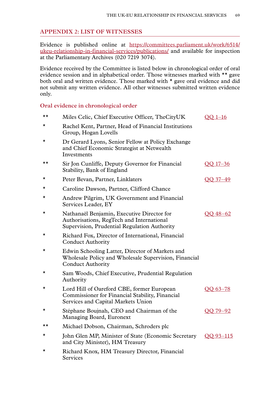### **Appendix 2: LIST OF WITNESSES**

Evidence is published online at [https://committees.parliament.uk/work/6514/](https://committees.parliament.uk/work/6514/ukeu-relationship-in-financial-services/publications/) [ukeu-relationship-in-financial-services/publications/](https://committees.parliament.uk/work/6514/ukeu-relationship-in-financial-services/publications/) and available for inspection at the Parliamentary Archives (020 7219 3074).

Evidence received by the Committee is listed below in chronological order of oral evidence session and in alphabetical order. Those witnesses marked with \*\* gave both oral and written evidence. Those marked with \* gave oral evidence and did not submit any written evidence. All other witnesses submitted written evidence only.

### **Oral evidence in chronological order**

| ★★       | Miles Celic, Chief Executive Officer, TheCityUK                                                                                         | $OO$ 1-16 |
|----------|-----------------------------------------------------------------------------------------------------------------------------------------|-----------|
| *        | Rachel Kent, Partner, Head of Financial Institutions<br>Group, Hogan Lovells                                                            |           |
| $^\star$ | Dr Gerard Lyons, Senior Fellow at Policy Exchange<br>and Chief Economic Strategist at Netwealth<br>Investments                          |           |
| ★★       | Sir Jon Cunliffe, Deputy Governor for Financial<br>Stability, Bank of England                                                           | OO 17-36  |
| $^\star$ | Peter Bevan, Partner, Linklaters                                                                                                        | OO 37-49  |
| $^\star$ | Caroline Dawson, Partner, Clifford Chance                                                                                               |           |
| $^\star$ | Andrew Pilgrim, UK Government and Financial<br>Services Leader, EY                                                                      |           |
| *        | Nathanaël Benjamin, Executive Director for<br>Authorisations, RegTech and International<br>Supervision, Prudential Regulation Authority | OO 48-62  |
| *        | Richard Fox, Director of International, Financial<br><b>Conduct Authority</b>                                                           |           |
| *        | Edwin Schooling Latter, Director of Markets and<br>Wholesale Policy and Wholesale Supervision, Financial<br><b>Conduct Authority</b>    |           |
| *        | Sam Woods, Chief Executive, Prudential Regulation<br>Authority                                                                          |           |
| $^\star$ | Lord Hill of Oareford CBE, former European<br>Commissioner for Financial Stability, Financial<br>Services and Capital Markets Union     | QQ 63-78  |
| *        | Stéphane Boujnah, CEO and Chairman of the<br>Managing Board, Euronext                                                                   | OO 79-92  |
| ★★       | Michael Dobson, Chairman, Schroders plc                                                                                                 |           |
| $^\star$ | John Glen MP, Minister of State (Economic Secretary<br>and City Minister), HM Treasury                                                  | OO 93-115 |
| *        | Richard Knox, HM Treasury Director, Financial<br>Services                                                                               |           |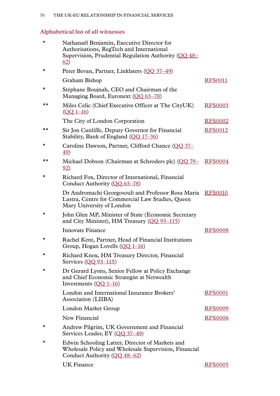# **Alphabetical list of all witnesses**

| $\star$ | Nathanaël Benjamin, Executive Director for<br>Authorisations, RegTech and International<br>Supervision, Prudential Regulation Authority (QQ 48–<br>62) |                |
|---------|--------------------------------------------------------------------------------------------------------------------------------------------------------|----------------|
| *       | Peter Bevan, Partner, Linklaters (QQ 37-49)                                                                                                            |                |
|         | Graham Bishop                                                                                                                                          | <b>RFS0011</b> |
| *       | Stéphane Boujnah, CEO and Chairman of the<br>Managing Board, Euronext (OO 63-78)                                                                       |                |
| ★★      | Miles Celic (Chief Executive Officer at The CityUK)<br>$(QQ 1-16)$                                                                                     | <b>RFS0003</b> |
|         | The City of London Corporation                                                                                                                         | <b>RFS0002</b> |
| ★★      | Sir Jon Cunliffe, Deputy Governor for Financial<br>Stability, Bank of England (QQ 17-36)                                                               | <b>RFS0012</b> |
| *       | Caroline Dawson, Partner, Clifford Chance (QQ 37–<br><u>49</u> )                                                                                       |                |
| ★★      | Michael Dobson (Chairman at Schroders plc) (QQ 79–<br><u>92</u> )                                                                                      | <b>RFS0004</b> |
| *       | Richard Fox, Director of International, Financial<br>Conduct Authority (QQ 63-78)                                                                      |                |
|         | Dr Andromachi Georgosouli and Professor Rosa Maria<br>Lastra, Centre for Commercial Law Studies, Queen<br>Mary University of London                    | <b>RFS0010</b> |
| *       | John Glen MP, Minister of State (Economic Secretary<br>and City Minister), HM Treasury (OO 93-115)                                                     |                |
|         | Innovate Finance                                                                                                                                       | <b>RFS0008</b> |
| *       | Rachel Kent, Partner, Head of Financial Institutions<br>Group, Hogan Lovells $(OO 1-16)$                                                               |                |
| *       | Richard Knox, HM Treasury Director, Financial<br>Services $(0093 - 115)$                                                                               |                |
| *       | Dr Gerard Lyons, Senior Fellow at Policy Exchange<br>and Chief Economic Strategist at Netwealth<br>Investments $(OQ_1-16)$                             |                |
|         | London and International Insurance Brokers'<br>Association (LIIBA)                                                                                     | <b>RFS0001</b> |
|         | London Market Group                                                                                                                                    | <b>RFS0009</b> |
|         | New Financial                                                                                                                                          | <b>RFS0006</b> |
| *       | Andrew Pilgrim, UK Government and Financial<br>Services Leader, EY (OO 37-49)                                                                          |                |
| *       | Edwin Schooling Latter, Director of Markets and<br>Wholesale Policy and Wholesale Supervision, Financial<br>Conduct Authority (QQ 48-62)               |                |
|         | <b>UK Finance</b>                                                                                                                                      | <b>RFS0005</b> |